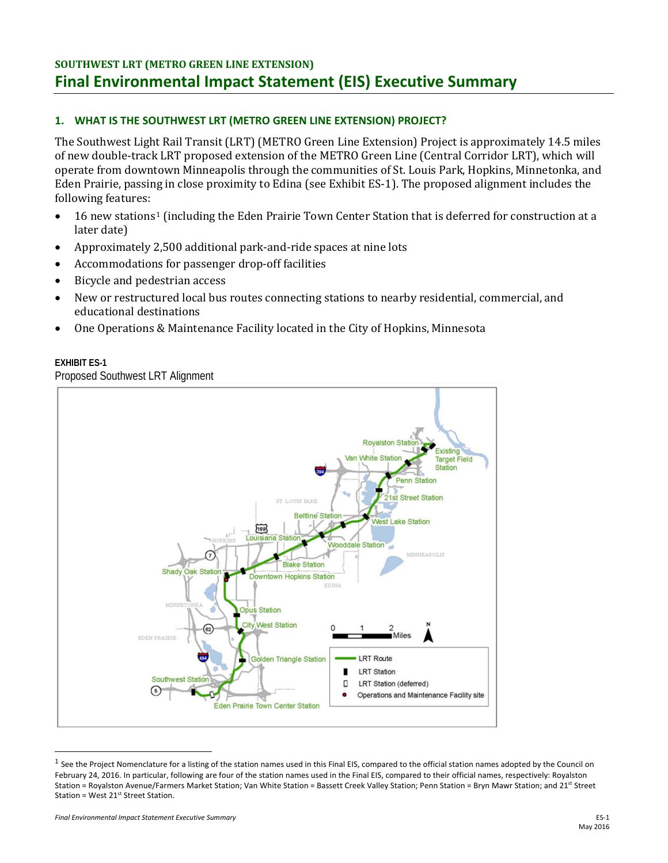# **SOUTHWEST LRT (METRO GREEN LINE EXTENSION) Final Environmental Impact Statement (EIS) Executive Summary**

## **1. WHAT IS THE SOUTHWEST LRT (METRO GREEN LINE EXTENSION) PROJECT?**

The Southwest Light Rail Transit (LRT) (METRO Green Line Extension) Project is approximately 14.5 miles of new double-track LRT proposed extension of the METRO Green Line (Central Corridor LRT), which will operate from downtown Minneapolis through the communities of St. Louis Park, Hopkins, Minnetonka, and Eden Prairie, passing in close proximity to Edina (see Exhibit ES-1). The proposed alignment includes the following features:

- l ater date) [1](#page-0-0)6 new stations<sup>1</sup> (including the Eden Prairie Town Center Station that is deferred for construction at a
- Approximately 2,500 additional park-and-ride spaces at nine lots
- Accommodations for passenger drop-off facilities
- Bicycle and pedestrian access
- New or restructured local bus routes connecting stations to nearby residential, commercial, and educational destinations
- One Operations & Maintenance Facility located in the City of Hopkins, Minnesota

#### **EXHIBIT ES-1**

Proposed Southwest LRT Alignment



<span id="page-0-0"></span> $<sup>1</sup>$  See the Project Nomenclature for a listing of the station names used in this Final EIS, compared to the official station names adopted by the Council on</sup> February 24, 2016. In particular, following are four of the station names used in the Final EIS, compared to their official names, respectively: Royalston Station = Royalston Avenue/Farmers Market Station; Van White Station = Bassett Creek Valley Station; Penn Station = Bryn Mawr Station; and 21st Street Station = West  $21^{st}$  Street Station.

l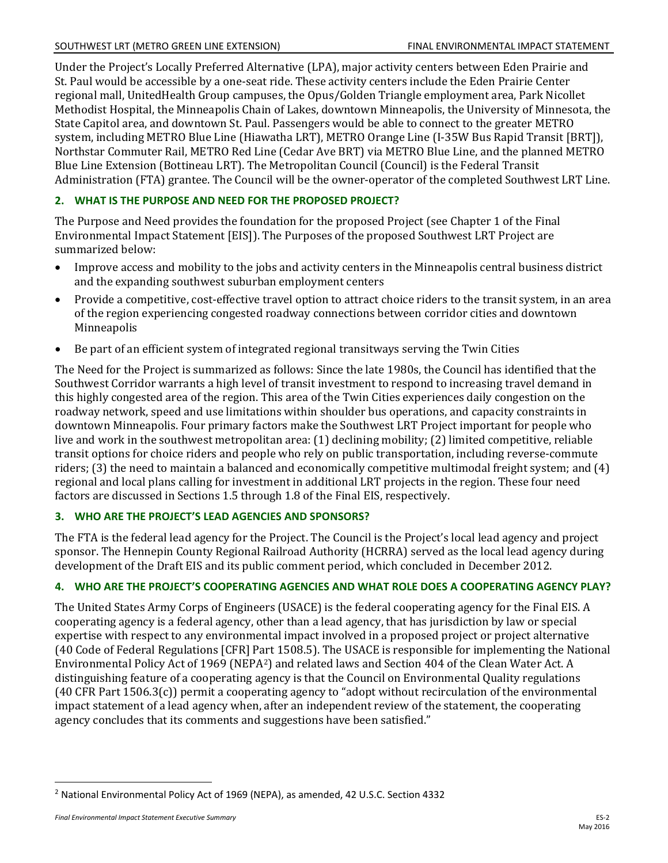Under the Project's Locally Preferred Alternative (LPA), major activity centers between Eden Prairie and St. Paul would be accessible by a one-seat ride. These activity centers include the Eden Prairie Center regional mall, UnitedHealth Group campuses, the Opus/Golden Triangle employment area, Park Nicollet Methodist Hospital, the Minneapolis Chain of Lakes, downtown Minneapolis, the University of Minnesota, the State Capitol area, and downtown St. Paul. Passengers would be able to connect to the greater METRO system, including METRO Blue Line (Hiawatha LRT), METRO Orange Line (I-35W Bus Rapid Transit [BRT]), Northstar Commuter Rail, METRO Red Line (Cedar Ave BRT) via METRO Blue Line, and the planned METRO Blue Line Extension (Bottineau LRT). The Metropolitan Council (Council) is the Federal Transit Administration (FTA) grantee. The Council will be the owner-operator of the completed Southwest LRT Line.

# **2. WHAT IS THE PURPOSE AND NEED FOR THE PROPOSED PROJECT?**

The Purpose and Need provides the foundation for the proposed Project (see Chapter 1 of the Final Environmental Impact Statement [EIS]). The Purposes of the proposed Southwest LRT Project are summarized below:

- Improve access and mobility to the jobs and activity centers in the Minneapolis central business district and the expanding southwest suburban employment centers
- Provide a competitive, cost-effective travel option to attract choice riders to the transit system, in an area of the region experiencing congested roadway connections between corridor cities and downtown Minneapolis
- Be part of an efficient system of integrated regional transitways serving the Twin Cities

The Need for the Project is summarized as follows: Since the late 1980s, the Council has identified that the Southwest Corridor warrants a high level of transit investment to respond to increasing travel demand in this highly congested area of the region. This area of the Twin Cities experiences daily congestion on the roadway network, speed and use limitations within shoulder bus operations, and capacity constraints in downtown Minneapolis. Four primary factors make the Southwest LRT Project important for people who live and work in the southwest metropolitan area: (1) declining mobility; (2) limited competitive, reliable transit options for choice riders and people who rely on public transportation, including reverse-commute riders; (3) the need to maintain a balanced and economically competitive multimodal freight system; and (4) regional and local plans calling for investment in additional LRT projects in the region. These four need factors are discussed in Sections 1.5 through 1.8 of the Final EIS, respectively.

## **3. WHO ARE THE PROJECT'S LEAD AGENCIES AND SPONSORS?**

The FTA is the federal lead agency for the Project. The Council is the Project's local lead agency and project sponsor. The Hennepin County Regional Railroad Authority (HCRRA) served as the local lead agency during development of the Draft EIS and its public comment period, which concluded in December 2012.

## **4. WHO ARE THE PROJECT'S COOPERATING AGENCIES AND WHAT ROLE DOES A COOPERATING AGENCY PLAY?**

The United States Army Corps of Engineers (USACE) is the federal cooperating agency for the Final EIS. A cooperating agency is a federal agency, other than a lead agency, that has jurisdiction by law or special expertise with respect to any environmental impact involved in a proposed project or project alternative (40 Code of Federal Regulations [CFR] Part 1508.5). The USACE is responsible for implementing the National Environmental Policy Act of 1969 (NEPA[2\)](#page-1-0) and related laws and Section 404 of the Clean Water Act. A distinguishing feature of a cooperating agency is that the Council on Environmental Quality regulations (40 CFR Part 1506.3(c)) permit a cooperating agency to "adopt without recirculation of the environmental impact statement of a lead agency when, after an independent review of the statement, the cooperating agency concludes that its comments and suggestions have been satisfied."

 $\overline{a}$ 

<span id="page-1-0"></span><sup>2</sup> National Environmental Policy Act of 1969 (NEPA), as amended, 42 U.S.C. Section 4332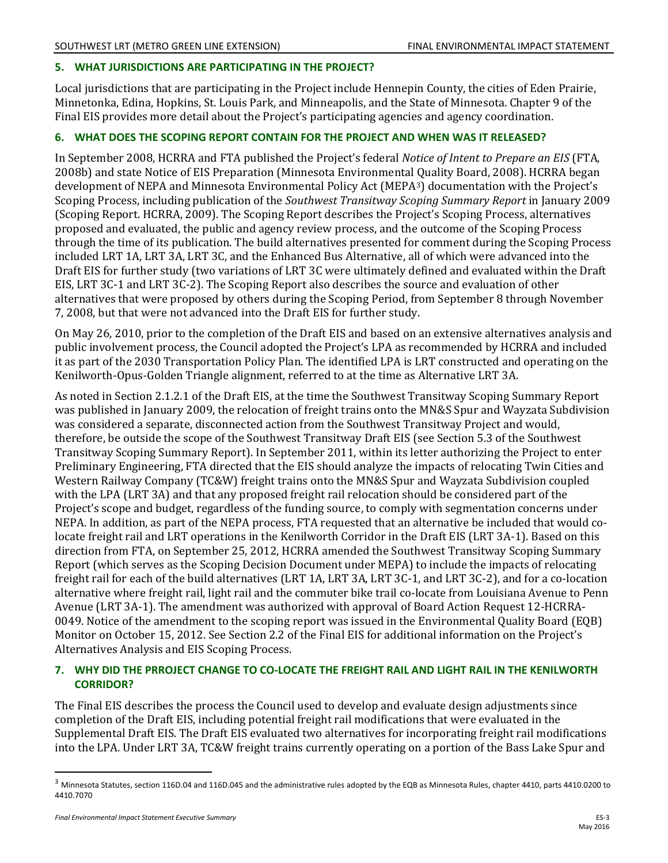#### **5. WHAT JURISDICTIONS ARE PARTICIPATING IN THE PROJECT?**

Local jurisdictions that are participating in the Project include Hennepin County, the cities of Eden Prairie, Minnetonka, Edina, Hopkins, St. Louis Park, and Minneapolis, and the State of Minnesota. Chapter 9 of the Final EIS provides more detail about the Project's participating agencies and agency coordination.

#### **6. WHAT DOES THE SCOPING REPORT CONTAIN FOR THE PROJECT AND WHEN WAS IT RELEASED?**

In September 2008, HCRRA and FTA published the Project's federal *Notice of Intent to Prepare an EIS* (FTA, 2008b) and state Notice of EIS Preparation (Minnesota Environmental Quality Board, 2008). HCRRA began development of NEPA and Minnesota Environmental Policy Act (MEPA[3\)](#page-2-0) documentation with the Project's Scoping Process, including publication of the *Southwest Transitway Scoping Summary Report* in January 2009 (Scoping Report. HCRRA, 2009). The Scoping Report describes the Project's Scoping Process, alternatives proposed and evaluated, the public and agency review process, and the outcome of the Scoping Process through the time of its publication. The build alternatives presented for comment during the Scoping Process included LRT 1A, LRT 3A, LRT 3C, and the Enhanced Bus Alternative, all of which were advanced into the Draft EIS for further study (two variations of LRT 3C were ultimately defined and evaluated within the Draft EIS, LRT 3C-1 and LRT 3C-2). The Scoping Report also describes the source and evaluation of other alternatives that were proposed by others during the Scoping Period, from September 8 through November 7, 2008, but that were not advanced into the Draft EIS for further study.

On May 26, 2010, prior to the completion of the Draft EIS and based on an extensive alternatives analysis and public involvement process, the Council adopted the Project's LPA as recommended by HCRRA and included it as part of the 2030 Transportation Policy Plan. The identified LPA is LRT constructed and operating on the Kenilworth-Opus-Golden Triangle alignment, referred to at the time as Alternative LRT 3A.

As noted in Section 2.1.2.1 of the Draft EIS, at the time the Southwest Transitway Scoping Summary Report was published in January 2009, the relocation of freight trains onto the MN&S Spur and Wayzata Subdivision was considered a separate, disconnected action from the Southwest Transitway Project and would, therefore, be outside the scope of the Southwest Transitway Draft EIS (see Section 5.3 of the Southwest Transitway Scoping Summary Report). In September 2011, within its letter authorizing the Project to enter Preliminary Engineering, FTA directed that the EIS should analyze the impacts of relocating Twin Cities and Western Railway Company (TC&W) freight trains onto the MN&S Spur and Wayzata Subdivision coupled with the LPA (LRT 3A) and that any proposed freight rail relocation should be considered part of the Project's scope and budget, regardless of the funding source, to comply with segmentation concerns under NEPA. In addition, as part of the NEPA process, FTA requested that an alternative be included that would colocate freight rail and LRT operations in the Kenilworth Corridor in the Draft EIS (LRT 3A-1). Based on this direction from FTA, on September 25, 2012, HCRRA amended the Southwest Transitway Scoping Summary Report (which serves as the Scoping Decision Document under MEPA) to include the impacts of relocating freight rail for each of the build alternatives (LRT 1A, LRT 3A, LRT 3C-1, and LRT 3C-2), and for a co-location alternative where freight rail, light rail and the commuter bike trail co-locate from Louisiana Avenue to Penn Avenue (LRT 3A-1). The amendment was authorized with approval of Board Action Request 12-HCRRA-0049. Notice of the amendment to the scoping report was issued in the Environmental Quality Board (EQB) Monitor on October 15, 2012. See Section 2.2 of the Final EIS for additional information on the Project's Alternatives Analysis and EIS Scoping Process.

#### **7. WHY DID THE PRROJECT CHANGE TO CO-LOCATE THE FREIGHT RAIL AND LIGHT RAIL IN THE KENILWORTH CORRIDOR?**

The Final EIS describes the process the Council used to develop and evaluate design adjustments since completion of the Draft EIS, including potential freight rail modifications that were evaluated in the Supplemental Draft EIS. The Draft EIS evaluated two alternatives for incorporating freight rail modifications into the LPA. Under LRT 3A, TC&W freight trains currently operating on a portion of the Bass Lake Spur and

 $\overline{a}$ 

<span id="page-2-0"></span> $3$  Minnesota Statutes, section 116D.04 and 116D.045 and the administrative rules adopted by the EQB as Minnesota Rules, chapter 4410, parts 4410.0200 to 4410.7070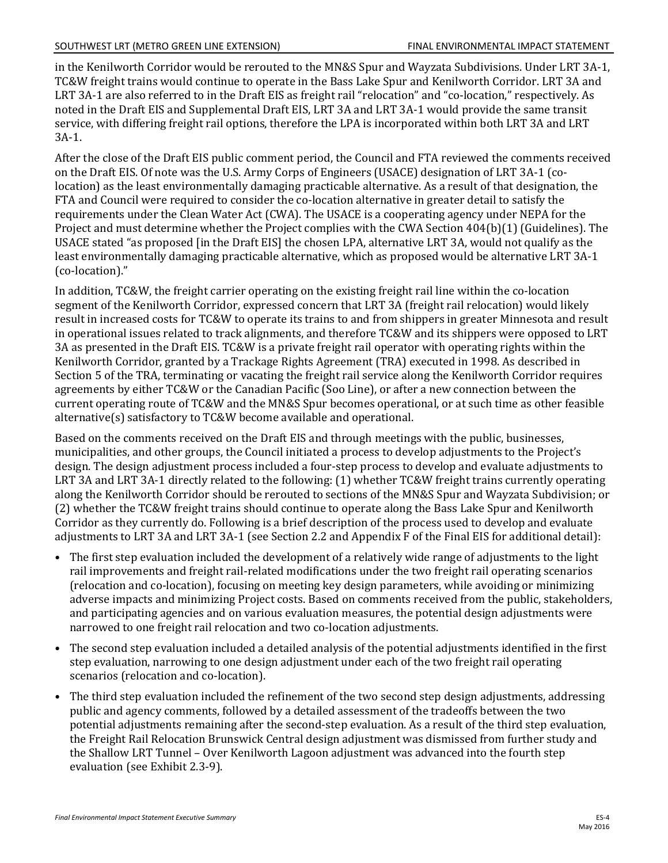in the Kenilworth Corridor would be rerouted to the MN&S Spur and Wayzata Subdivisions. Under LRT 3A-1, TC&W freight trains would continue to operate in the Bass Lake Spur and Kenilworth Corridor. LRT 3A and LRT 3A-1 are also referred to in the Draft EIS as freight rail "relocation" and "co-location," respectively. As noted in the Draft EIS and Supplemental Draft EIS, LRT 3A and LRT 3A-1 would provide the same transit service, with differing freight rail options, therefore the LPA is incorporated within both LRT 3A and LRT 3A-1.

After the close of the Draft EIS public comment period, the Council and FTA reviewed the comments received on the Draft EIS. Of note was the U.S. Army Corps of Engineers (USACE) designation of LRT 3A-1 (colocation) as the least environmentally damaging practicable alternative. As a result of that designation, the FTA and Council were required to consider the co-location alternative in greater detail to satisfy the requirements under the Clean Water Act (CWA). The USACE is a cooperating agency under NEPA for the Project and must determine whether the Project complies with the CWA Section 404(b)(1) (Guidelines). The USACE stated "as proposed [in the Draft EIS] the chosen LPA, alternative LRT 3A, would not qualify as the least environmentally damaging practicable alternative, which as proposed would be alternative LRT 3A-1 (co-location)."

In addition, TC&W, the freight carrier operating on the existing freight rail line within the co-location segment of the Kenilworth Corridor, expressed concern that LRT 3A (freight rail relocation) would likely result in increased costs for TC&W to operate its trains to and from shippers in greater Minnesota and result in operational issues related to track alignments, and therefore TC&W and its shippers were opposed to LRT 3A as presented in the Draft EIS. TC&W is a private freight rail operator with operating rights within the Kenilworth Corridor, granted by a Trackage Rights Agreement (TRA) executed in 1998. As described in Section 5 of the TRA, terminating or vacating the freight rail service along the Kenilworth Corridor requires agreements by either TC&W or the Canadian Pacific (Soo Line), or after a new connection between the current operating route of TC&W and the MN&S Spur becomes operational, or at such time as other feasible alternative(s) satisfactory to TC&W become available and operational.

Based on the comments received on the Draft EIS and through meetings with the public, businesses, municipalities, and other groups, the Council initiated a process to develop adjustments to the Project's design. The design adjustment process included a four-step process to develop and evaluate adjustments to LRT 3A and LRT 3A-1 directly related to the following: (1) whether TC&W freight trains currently operating along the Kenilworth Corridor should be rerouted to sections of the MN&S Spur and Wayzata Subdivision; or (2) whether the TC&W freight trains should continue to operate along the Bass Lake Spur and Kenilworth Corridor as they currently do. Following is a brief description of the process used to develop and evaluate adjustments to LRT 3A and LRT 3A-1 (see Section 2.2 and Appendix F of the Final EIS for additional detail):

- The first step evaluation included the development of a relatively wide range of adjustments to the light rail improvements and freight rail-related modifications under the two freight rail operating scenarios (relocation and co-location), focusing on meeting key design parameters, while avoiding or minimizing adverse impacts and minimizing Project costs. Based on comments received from the public, stakeholders, and participating agencies and on various evaluation measures, the potential design adjustments were narrowed to one freight rail relocation and two co-location adjustments.
- The second step evaluation included a detailed analysis of the potential adjustments identified in the first step evaluation, narrowing to one design adjustment under each of the two freight rail operating scenarios (relocation and co-location).
- The third step evaluation included the refinement of the two second step design adjustments, addressing public and agency comments, followed by a detailed assessment of the tradeoffs between the two potential adjustments remaining after the second-step evaluation. As a result of the third step evaluation, the Freight Rail Relocation Brunswick Central design adjustment was dismissed from further study and the Shallow LRT Tunnel – Over Kenilworth Lagoon adjustment was advanced into the fourth step evaluation (see Exhibit 2.3-9).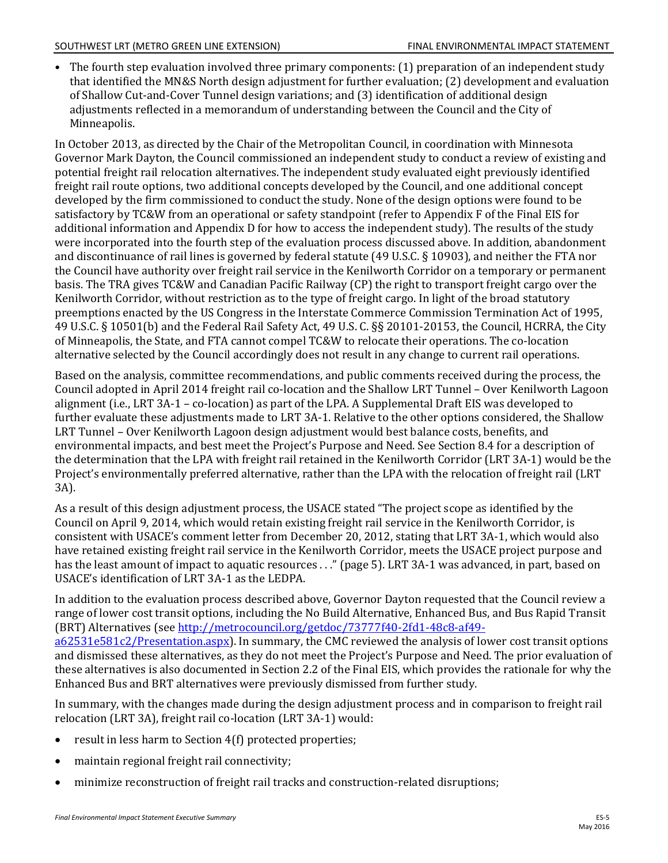• The fourth step evaluation involved three primary components: (1) preparation of an independent study that identified the MN&S North design adjustment for further evaluation; (2) development and evaluation of Shallow Cut-and-Cover Tunnel design variations; and (3) identification of additional design adjustments reflected in a memorandum of understanding between the Council and the City of Minneapolis.

In October 2013, as directed by the Chair of the Metropolitan Council, in coordination with Minnesota Governor Mark Dayton, the Council commissioned an independent study to conduct a review of existing and potential freight rail relocation alternatives. The independent study evaluated eight previously identified freight rail route options, two additional concepts developed by the Council, and one additional concept developed by the firm commissioned to conduct the study. None of the design options were found to be satisfactory by TC&W from an operational or safety standpoint (refer to Appendix F of the Final EIS for additional information and Appendix D for how to access the independent study). The results of the study were incorporated into the fourth step of the evaluation process discussed above. In addition, abandonment and discontinuance of rail lines is governed by federal statute (49 U.S.C. § 10903), and neither the FTA nor the Council have authority over freight rail service in the Kenilworth Corridor on a temporary or permanent basis. The TRA gives TC&W and Canadian Pacific Railway (CP) the right to transport freight cargo over the Kenilworth Corridor, without restriction as to the type of freight cargo. In light of the broad statutory preemptions enacted by the US Congress in the Interstate Commerce Commission Termination Act of 1995, 49 U.S.C. § 10501(b) and the Federal Rail Safety Act, 49 U.S. C. §§ 20101-20153, the Council, HCRRA, the City of Minneapolis, the State, and FTA cannot compel TC&W to relocate their operations. The co-location alternative selected by the Council accordingly does not result in any change to current rail operations.

Based on the analysis, committee recommendations, and public comments received during the process, the Council adopted in April 2014 freight rail co-location and the Shallow LRT Tunnel – Over Kenilworth Lagoon alignment (i.e., LRT 3A-1 – co-location) as part of the LPA. A Supplemental Draft EIS was developed to further evaluate these adjustments made to LRT 3A-1. Relative to the other options considered, the Shallow LRT Tunnel – Over Kenilworth Lagoon design adjustment would best balance costs, benefits, and environmental impacts, and best meet the Project's Purpose and Need. See Section 8.4 for a description of the determination that the LPA with freight rail retained in the Kenilworth Corridor (LRT 3A-1) would be the Project's environmentally preferred alternative, rather than the LPA with the relocation of freight rail (LRT 3A).

As a result of this design adjustment process, the USACE stated "The project scope as identified by the Council on April 9, 2014, which would retain existing freight rail service in the Kenilworth Corridor, is consistent with USACE's comment letter from December 20, 2012, stating that LRT 3A-1, which would also have retained existing freight rail service in the Kenilworth Corridor, meets the USACE project purpose and has the least amount of impact to aquatic resources . . ." (page 5). LRT 3A-1 was advanced, in part, based on USACE's identification of LRT 3A-1 as the LEDPA.

In addition to the evaluation process described above, Governor Dayton requested that the Council review a range of lower cost transit options, including the No Build Alternative, Enhanced Bus, and Bus Rapid Transit (BRT) Alternatives (see [http://metrocouncil.org/getdoc/73777f40-2fd1-48c8-af49](http://metrocouncil.org/getdoc/73777f40-2fd1-48c8-af49-a62531e581c2/Presentation.aspx) [a62531e581c2/Presentation.aspx\)](http://metrocouncil.org/getdoc/73777f40-2fd1-48c8-af49-a62531e581c2/Presentation.aspx). In summary, the CMC reviewed the analysis of lower cost transit options and dismissed these alternatives, as they do not meet the Project's Purpose and Need. The prior evaluation of these alternatives is also documented in Section 2.2 of the Final EIS, which provides the rationale for why the Enhanced Bus and BRT alternatives were previously dismissed from further study.

In summary, with the changes made during the design adjustment process and in comparison to freight rail relocation (LRT 3A), freight rail co-location (LRT 3A-1) would:

- result in less harm to Section 4(f) protected properties;
- maintain regional freight rail connectivity;
- minimize reconstruction of freight rail tracks and construction-related disruptions;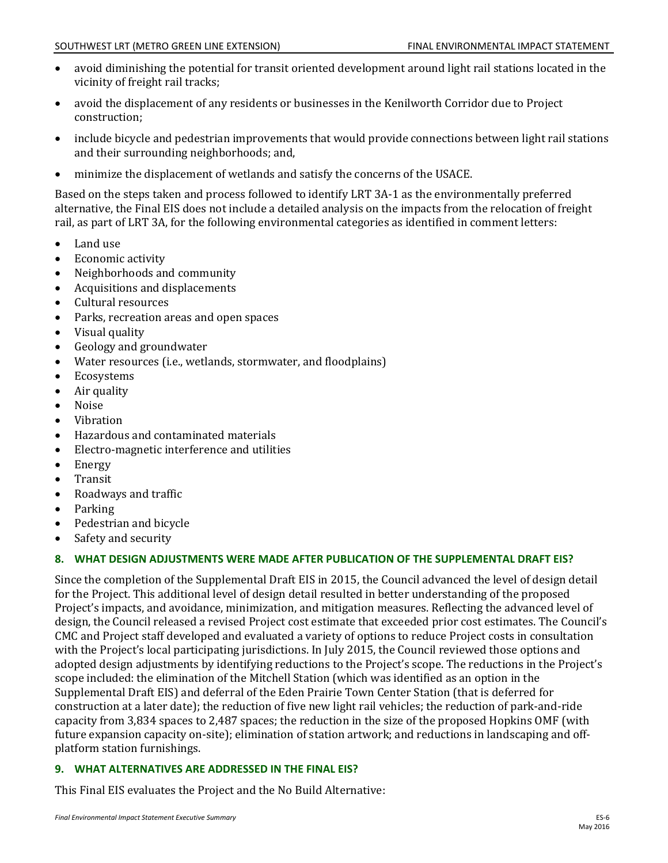- avoid diminishing the potential for transit oriented development around light rail stations located in the vicinity of freight rail tracks;
- avoid the displacement of any residents or businesses in the Kenilworth Corridor due to Project construction;
- include bicycle and pedestrian improvements that would provide connections between light rail stations and their surrounding neighborhoods; and,
- $\bullet$ minimize the displacement of wetlands and satisfy the concerns of the USACE.

Based on the steps taken and process followed to identify LRT 3A-1 as the environmentally preferred alternative, the Final EIS does not include a detailed analysis on the impacts from the relocation of freight rail, as part of LRT 3A, for the following environmental categories as identified in comment letters:

- Land use
- $\bullet$ Economic activity
- Neighborhoods and community
- Acquisitions and displacements
- Cultural resources
- Parks, recreation areas and open spaces
- Visual quality
- $\bullet$ Geology and groundwater
- Water resources (i.e., wetlands, stormwater, and floodplains)
- Ecosystems
- Air quality
- Noise
- Vibration
- Hazardous and contaminated materials
- Electro-magnetic interference and utilities
- Energy
- Transit
- Roadways and traffic
- Parking
- Pedestrian and bicycle
- Safety and security

#### **8. WHAT DESIGN ADJUSTMENTS WERE MADE AFTER PUBLICATION OF THE SUPPLEMENTAL DRAFT EIS?**

Since the completion of the Supplemental Draft EIS in 2015, the Council advanced the level of design detail for the Project. This additional level of design detail resulted in better understanding of the proposed Project's impacts, and avoidance, minimization, and mitigation measures. Reflecting the advanced level of design, the Council released a revised Project cost estimate that exceeded prior cost estimates. The Council's CMC and Project staff developed and evaluated a variety of options to reduce Project costs in consultation with the Project's local participating jurisdictions. In July 2015, the Council reviewed those options and adopted design adjustments by identifying reductions to the Project's scope. The reductions in the Project's scope included: the elimination of the Mitchell Station (which was identified as an option in the Supplemental Draft EIS) and deferral of the Eden Prairie Town Center Station (that is deferred for construction at a later date); the reduction of five new light rail vehicles; the reduction of park-and-ride capacity from 3,834 spaces to 2,487 spaces; the reduction in the size of the proposed Hopkins OMF (with future expansion capacity on-site); elimination of station artwork; and reductions in landscaping and offplatform station furnishings.

#### **9. WHAT ALTERNATIVES ARE ADDRESSED IN THE FINAL EIS?**

This Final EIS evaluates the Project and the No Build Alternative: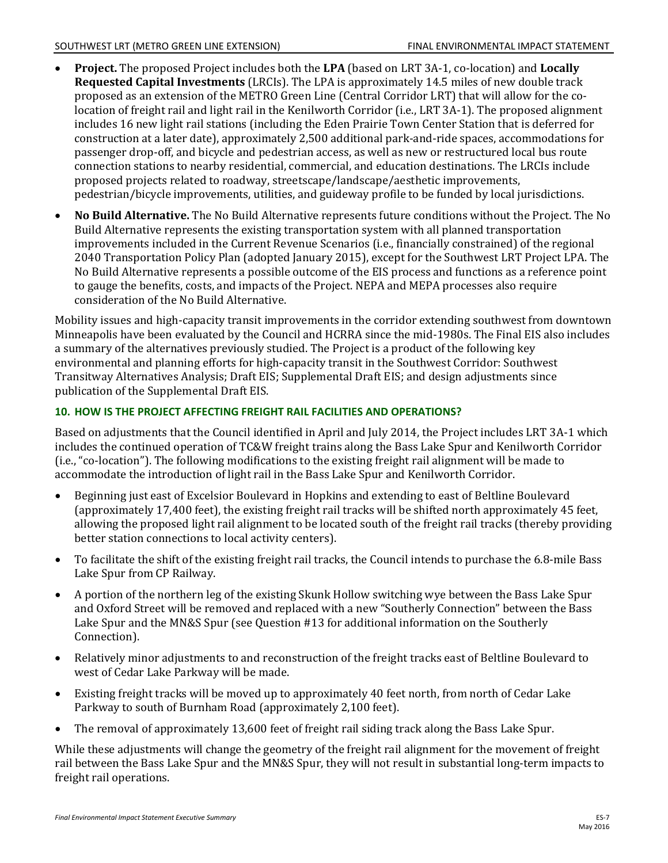- **Project.** The proposed Project includes both the **LPA** (based on LRT 3A-1, co-location) and **Locally Requested Capital Investments** (LRCIs). The LPA is approximately 14.5 miles of new double track proposed as an extension of the METRO Green Line (Central Corridor LRT) that will allow for the colocation of freight rail and light rail in the Kenilworth Corridor (i.e., LRT 3A-1). The proposed alignment includes 16 new light rail stations (including the Eden Prairie Town Center Station that is deferred for construction at a later date), approximately 2,500 additional park-and-ride spaces, accommodations for passenger drop-off, and bicycle and pedestrian access, as well as new or restructured local bus route connection stations to nearby residential, commercial, and education destinations. The LRCIs include proposed projects related to roadway, streetscape/landscape/aesthetic improvements, pedestrian/bicycle improvements, utilities, and guideway profile to be funded by local jurisdictions.
- **No Build Alternative.** The No Build Alternative represents future conditions without the Project. The No Build Alternative represents the existing transportation system with all planned transportation improvements included in the Current Revenue Scenarios (i.e., financially constrained) of the regional 2040 Transportation Policy Plan (adopted January 2015), except for the Southwest LRT Project LPA. The No Build Alternative represents a possible outcome of the EIS process and functions as a reference point to gauge the benefits, costs, and impacts of the Project. NEPA and MEPA processes also require consideration of the No Build Alternative.

Mobility issues and high-capacity transit improvements in the corridor extending southwest from downtown Minneapolis have been evaluated by the Council and HCRRA since the mid-1980s. The Final EIS also includes a summary of the alternatives previously studied. The Project is a product of the following key environmental and planning efforts for high-capacity transit in the Southwest Corridor: Southwest Transitway Alternatives Analysis; Draft EIS; Supplemental Draft EIS; and design adjustments since publication of the Supplemental Draft EIS.

## **10. HOW IS THE PROJECT AFFECTING FREIGHT RAIL FACILITIES AND OPERATIONS?**

Based on adjustments that the Council identified in April and July 2014, the Project includes LRT 3A-1 which includes the continued operation of TC&W freight trains along the Bass Lake Spur and Kenilworth Corridor (i.e., "co-location"). The following modifications to the existing freight rail alignment will be made to accommodate the introduction of light rail in the Bass Lake Spur and Kenilworth Corridor.

- Beginning just east of Excelsior Boulevard in Hopkins and extending to east of Beltline Boulevard (approximately 17,400 feet), the existing freight rail tracks will be shifted north approximately 45 feet, allowing the proposed light rail alignment to be located south of the freight rail tracks (thereby providing better station connections to local activity centers).
- To facilitate the shift of the existing freight rail tracks, the Council intends to purchase the 6.8-mile Bass Lake Spur from CP Railway.
- A portion of the northern leg of the existing Skunk Hollow switching wye between the Bass Lake Spur and Oxford Street will be removed and replaced with a new "Southerly Connection" between the Bass Lake Spur and the MN&S Spur (see Question #13 for additional information on the Southerly Connection).
- Relatively minor adjustments to and reconstruction of the freight tracks east of Beltline Boulevard to west of Cedar Lake Parkway will be made.
- Existing freight tracks will be moved up to approximately 40 feet north, from north of Cedar Lake Parkway to south of Burnham Road (approximately 2,100 feet).
- The removal of approximately 13,600 feet of freight rail siding track along the Bass Lake Spur.

While these adjustments will change the geometry of the freight rail alignment for the movement of freight rail between the Bass Lake Spur and the MN&S Spur, they will not result in substantial long-term impacts to freight rail operations.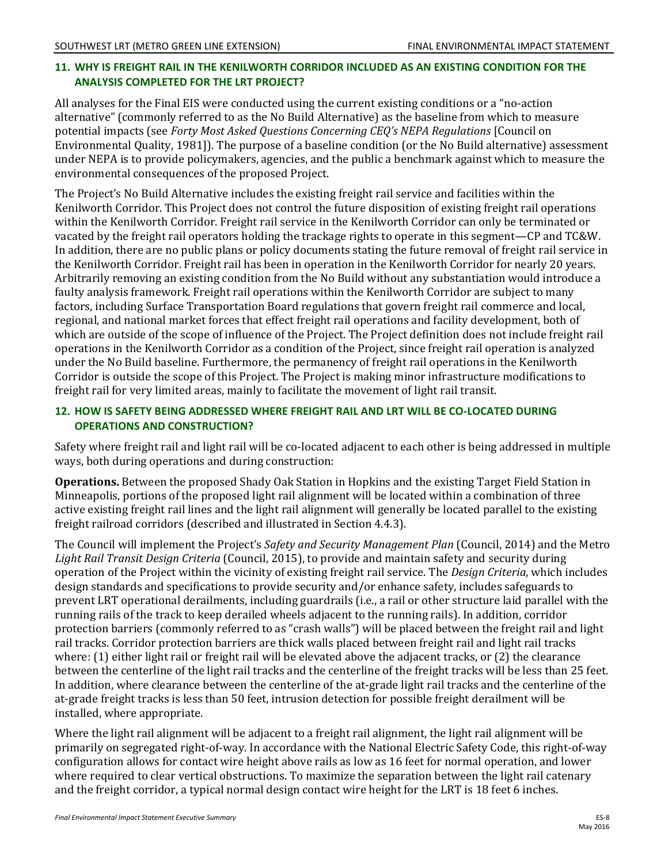## **11. WHY IS FREIGHT RAIL IN THE KENILWORTH CORRIDOR INCLUDED AS AN EXISTING CONDITION FOR THE ANALYSIS COMPLETED FOR THE LRT PROJECT?**

All analyses for the Final EIS were conducted using the current existing conditions or a "no-action alternative" (commonly referred to as the No Build Alternative) as the baseline from which to measure potential impacts (see *Forty Most Asked Questions Concerning CEQ's NEPA Regulations* [Council on Environmental Quality, 1981]). The purpose of a baseline condition (or the No Build alternative) assessment under NEPA is to provide policymakers, agencies, and the public a benchmark against which to measure the environmental consequences of the proposed Project.

The Project's No Build Alternative includes the existing freight rail service and facilities within the Kenilworth Corridor. This Project does not control the future disposition of existing freight rail operations within the Kenilworth Corridor. Freight rail service in the Kenilworth Corridor can only be terminated or vacated by the freight rail operators holding the trackage rights to operate in this segment—CP and TC&W. In addition, there are no public plans or policy documents stating the future removal of freight rail service in the Kenilworth Corridor. Freight rail has been in operation in the Kenilworth Corridor for nearly 20 years. Arbitrarily removing an existing condition from the No Build without any substantiation would introduce a faulty analysis framework. Freight rail operations within the Kenilworth Corridor are subject to many factors, including Surface Transportation Board regulations that govern freight rail commerce and local, regional, and national market forces that effect freight rail operations and facility development, both of which are outside of the scope of influence of the Project. The Project definition does not include freight rail operations in the Kenilworth Corridor as a condition of the Project, since freight rail operation is analyzed under the No Build baseline. Furthermore, the permanency of freight rail operations in the Kenilworth Corridor is outside the scope of this Project. The Project is making minor infrastructure modifications to freight rail for very limited areas, mainly to facilitate the movement of light rail transit.

## **12. HOW IS SAFETY BEING ADDRESSED WHERE FREIGHT RAIL AND LRT WILL BE CO-LOCATED DURING OPERATIONS AND CONSTRUCTION?**

Safety where freight rail and light rail will be co-located adjacent to each other is being addressed in multiple ways, both during operations and during construction:

**Operations.** Between the proposed Shady Oak Station in Hopkins and the existing Target Field Station in Minneapolis, portions of the proposed light rail alignment will be located within a combination of three active existing freight rail lines and the light rail alignment will generally be located parallel to the existing freight railroad corridors (described and illustrated in Section 4.4.3).

The Council will implement the Project's *Safety and Security Management Plan* (Council, 2014) and the Metro *Light Rail Transit Design Criteria* (Council, 2015), to provide and maintain safety and security during operation of the Project within the vicinity of existing freight rail service. The *Design Criteria*, which includes design standards and specifications to provide security and/or enhance safety, includes safeguards to prevent LRT operational derailments, including guardrails (i.e., a rail or other structure laid parallel with the running rails of the track to keep derailed wheels adjacent to the running rails). In addition, corridor protection barriers (commonly referred to as "crash walls") will be placed between the freight rail and light rail tracks. Corridor protection barriers are thick walls placed between freight rail and light rail tracks where: (1) either light rail or freight rail will be elevated above the adjacent tracks, or (2) the clearance between the centerline of the light rail tracks and the centerline of the freight tracks will be less than 25 feet. In addition, where clearance between the centerline of the at-grade light rail tracks and the centerline of the at-grade freight tracks is less than 50 feet, intrusion detection for possible freight derailment will be installed, where appropriate.

Where the light rail alignment will be adjacent to a freight rail alignment, the light rail alignment will be primarily on segregated right-of-way. In accordance with the National Electric Safety Code, this right-of-way configuration allows for contact wire height above rails as low as 16 feet for normal operation, and lower where required to clear vertical obstructions. To maximize the separation between the light rail catenary and the freight corridor, a typical normal design contact wire height for the LRT is 18 feet 6 inches.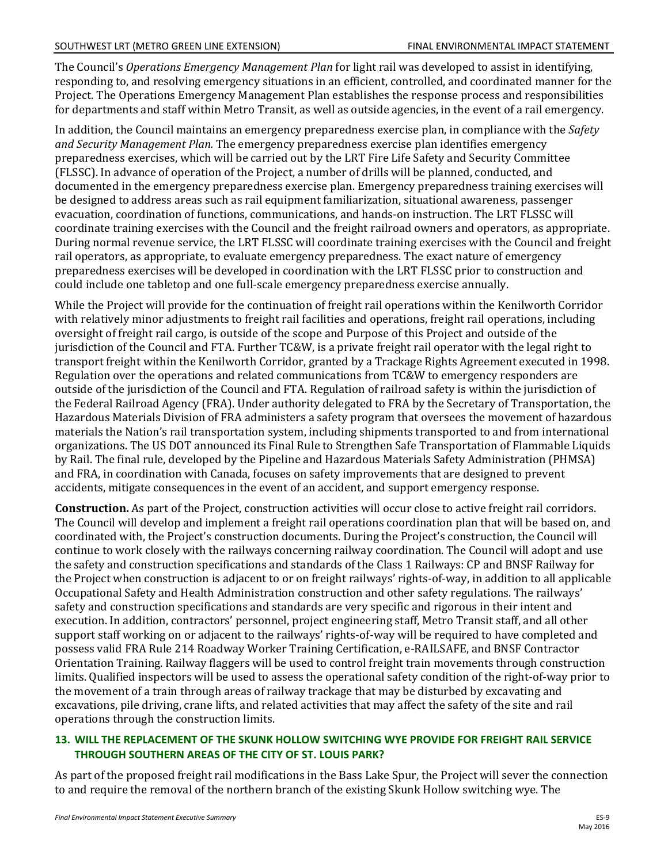The Council's *Operations Emergency Management Plan* for light rail was developed to assist in identifying, responding to, and resolving emergency situations in an efficient, controlled, and coordinated manner for the Project. The Operations Emergency Management Plan establishes the response process and responsibilities for departments and staff within Metro Transit, as well as outside agencies, in the event of a rail emergency.

In addition, the Council maintains an emergency preparedness exercise plan, in compliance with the *Safety and Security Management Plan.* The emergency preparedness exercise plan identifies emergency preparedness exercises, which will be carried out by the LRT Fire Life Safety and Security Committee (FLSSC). In advance of operation of the Project, a number of drills will be planned, conducted, and documented in the emergency preparedness exercise plan. Emergency preparedness training exercises will be designed to address areas such as rail equipment familiarization, situational awareness, passenger evacuation, coordination of functions, communications, and hands-on instruction. The LRT FLSSC will coordinate training exercises with the Council and the freight railroad owners and operators, as appropriate. During normal revenue service, the LRT FLSSC will coordinate training exercises with the Council and freight rail operators, as appropriate, to evaluate emergency preparedness. The exact nature of emergency preparedness exercises will be developed in coordination with the LRT FLSSC prior to construction and could include one tabletop and one full-scale emergency preparedness exercise annually.

While the Project will provide for the continuation of freight rail operations within the Kenilworth Corridor with relatively minor adjustments to freight rail facilities and operations, freight rail operations, including oversight of freight rail cargo, is outside of the scope and Purpose of this Project and outside of the jurisdiction of the Council and FTA. Further TC&W, is a private freight rail operator with the legal right to transport freight within the Kenilworth Corridor, granted by a Trackage Rights Agreement executed in 1998. Regulation over the operations and related communications from TC&W to emergency responders are outside of the jurisdiction of the Council and FTA. Regulation of railroad safety is within the jurisdiction of the Federal Railroad Agency (FRA). Under authority delegated to FRA by the Secretary of Transportation, the Hazardous Materials Division of FRA administers a safety program that oversees the movement of hazardous materials the Nation's rail transportation system, including shipments transported to and from international organizations. The US DOT announced its Final Rule to Strengthen Safe Transportation of Flammable Liquids by Rail. The final rule, developed by the Pipeline and Hazardous Materials Safety Administration (PHMSA) and FRA, in coordination with Canada, focuses on safety improvements that are designed to prevent accidents, mitigate consequences in the event of an accident, and support emergency response.

**Construction.** As part of the Project, construction activities will occur close to active freight rail corridors. The Council will develop and implement a freight rail operations coordination plan that will be based on, and coordinated with, the Project's construction documents. During the Project's construction, the Council will continue to work closely with the railways concerning railway coordination. The Council will adopt and use the safety and construction specifications and standards of the Class 1 Railways: CP and BNSF Railway for the Project when construction is adjacent to or on freight railways' rights-of-way, in addition to all applicable Occupational Safety and Health Administration construction and other safety regulations. The railways' safety and construction specifications and standards are very specific and rigorous in their intent and execution. In addition, contractors' personnel, project engineering staff, Metro Transit staff, and all other support staff working on or adjacent to the railways' rights-of-way will be required to have completed and possess valid FRA Rule 214 Roadway Worker Training Certification, e-RAILSAFE, and BNSF Contractor Orientation Training. Railway flaggers will be used to control freight train movements through construction limits. Qualified inspectors will be used to assess the operational safety condition of the right-of-way prior to the movement of a train through areas of railway trackage that may be disturbed by excavating and excavations, pile driving, crane lifts, and related activities that may affect the safety of the site and rail operations through the construction limits.

#### **13. WILL THE REPLACEMENT OF THE SKUNK HOLLOW SWITCHING WYE PROVIDE FOR FREIGHT RAIL SERVICE THROUGH SOUTHERN AREAS OF THE CITY OF ST. LOUIS PARK?**

As part of the proposed freight rail modifications in the Bass Lake Spur, the Project will sever the connection to and require the removal of the northern branch of the existing Skunk Hollow switching wye. The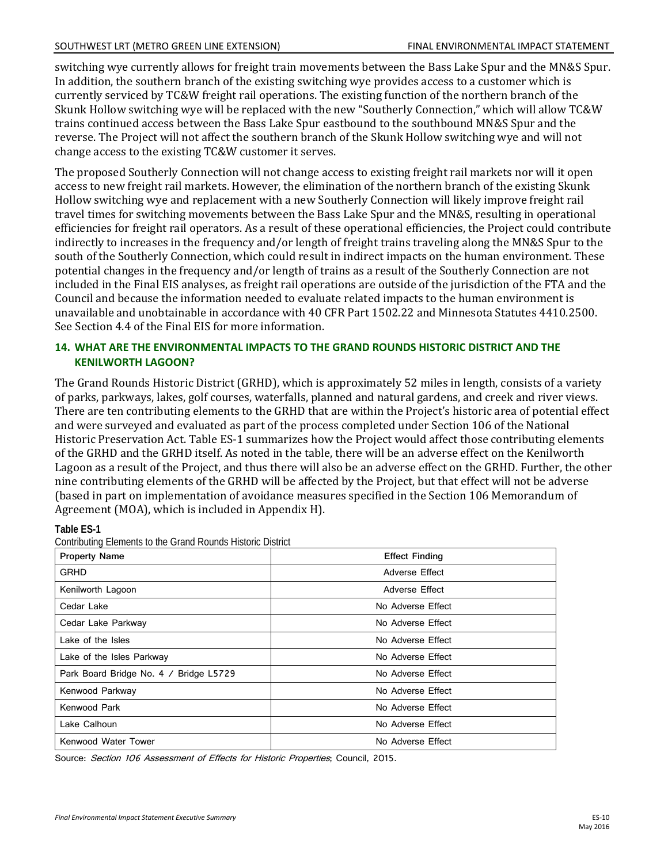#### SOUTHWEST LRT (METRO GREEN LINE EXTENSION) FINAL ENVIRONMENTAL IMPACT STATEMENT

switching wye currently allows for freight train movements between the Bass Lake Spur and the MN&S Spur. In addition, the southern branch of the existing switching wye provides access to a customer which is currently serviced by TC&W freight rail operations. The existing function of the northern branch of the Skunk Hollow switching wye will be replaced with the new "Southerly Connection," which will allow TC&W trains continued access between the Bass Lake Spur eastbound to the southbound MN&S Spur and the reverse. The Project will not affect the southern branch of the Skunk Hollow switching wye and will not change access to the existing TC&W customer it serves.

The proposed Southerly Connection will not change access to existing freight rail markets nor will it open access to new freight rail markets. However, the elimination of the northern branch of the existing Skunk Hollow switching wye and replacement with a new Southerly Connection will likely improve freight rail travel times for switching movements between the Bass Lake Spur and the MN&S, resulting in operational efficiencies for freight rail operators. As a result of these operational efficiencies, the Project could contribute indirectly to increases in the frequency and/or length of freight trains traveling along the MN&S Spur to the south of the Southerly Connection, which could result in indirect impacts on the human environment. These potential changes in the frequency and/or length of trains as a result of the Southerly Connection are not included in the Final EIS analyses, as freight rail operations are outside of the jurisdiction of the FTA and the Council and because the information needed to evaluate related impacts to the human environment is unavailable and unobtainable in accordance with 40 CFR Part 1502.22 and Minnesota Statutes 4410.2500. See Section 4.4 of the Final EIS for more information.

#### **14. WHAT ARE THE ENVIRONMENTAL IMPACTS TO THE GRAND ROUNDS HISTORIC DISTRICT AND THE KENILWORTH LAGOON?**

The Grand Rounds Historic District (GRHD), which is approximately 52 miles in length, consists of a variety of parks, parkways, lakes, golf courses, waterfalls, planned and natural gardens, and creek and river views. There are ten contributing elements to the GRHD that are within the Project's historic area of potential effect and were surveyed and evaluated as part of the process completed under Section 106 of the National Historic Preservation Act. Table ES-1 summarizes how the Project would affect those contributing elements of the GRHD and the GRHD itself. As noted in the table, there will be an adverse effect on the Kenilworth Lagoon as a result of the Project, and thus there will also be an adverse effect on the GRHD. Further, the other nine contributing elements of the GRHD will be affected by the Project, but that effect will not be adverse (based in part on implementation of avoidance measures specified in the Section 106 Memorandum of Agreement (MOA), which is included in Appendix H).

**Table ES-1** 

| <b>Contributing Elements to the Grand Rounds Historic District</b> |  |  |  |  |  |
|--------------------------------------------------------------------|--|--|--|--|--|
|--------------------------------------------------------------------|--|--|--|--|--|

| <b>Property Name</b>                   | <b>Effect Finding</b> |
|----------------------------------------|-----------------------|
| <b>GRHD</b>                            | Adverse Effect        |
| Kenilworth Lagoon                      | Adverse Effect        |
| Cedar Lake                             | No Adverse Effect     |
| Cedar Lake Parkway                     | No Adverse Effect     |
| Lake of the Isles                      | No Adverse Effect     |
| Lake of the Isles Parkway              | No Adverse Effect     |
| Park Board Bridge No. 4 / Bridge L5729 | No Adverse Effect     |
| Kenwood Parkway                        | No Adverse Effect     |
| Kenwood Park                           | No Adverse Effect     |
| Lake Calhoun                           | No Adverse Effect     |
| Kenwood Water Tower                    | No Adverse Effect     |

Source: Section 106 Assessment of Effects for Historic Properties; Council, 2015.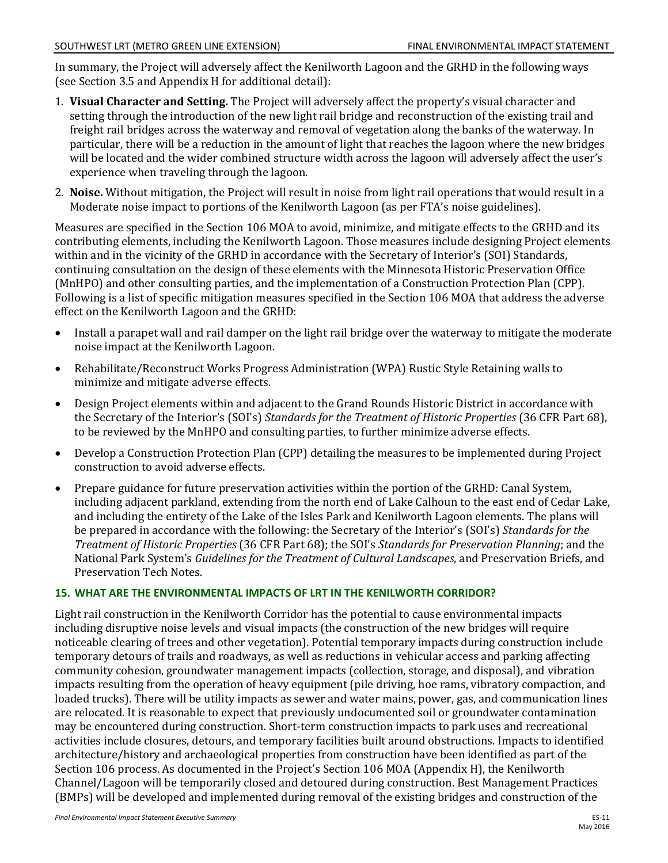In summary, the Project will adversely affect the Kenilworth Lagoon and the GRHD in the following ways (see Section 3.5 and Appendix H for additional detail):

- 1. **Visual Character and Setting.** The Project will adversely affect the property's visual character and setting through the introduction of the new light rail bridge and reconstruction of the existing trail and freight rail bridges across the waterway and removal of vegetation along the banks of the waterway. In particular, there will be a reduction in the amount of light that reaches the lagoon where the new bridges will be located and the wider combined structure width across the lagoon will adversely affect the user's experience when traveling through the lagoon.
- 2. **Noise.** Without mitigation, the Project will result in noise from light rail operations that would result in a Moderate noise impact to portions of the Kenilworth Lagoon (as per FTA's noise guidelines).

Measures are specified in the Section 106 MOA to avoid, minimize, and mitigate effects to the GRHD and its contributing elements, including the Kenilworth Lagoon. Those measures include designing Project elements within and in the vicinity of the GRHD in accordance with the Secretary of Interior's (SOI) Standards, continuing consultation on the design of these elements with the Minnesota Historic Preservation Office (MnHPO) and other consulting parties, and the implementation of a Construction Protection Plan (CPP). Following is a list of specific mitigation measures specified in the Section 106 MOA that address the adverse effect on the Kenilworth Lagoon and the GRHD:

- Install a parapet wall and rail damper on the light rail bridge over the waterway to mitigate the moderate noise impact at the Kenilworth Lagoon.
- Rehabilitate/Reconstruct Works Progress Administration (WPA) Rustic Style Retaining walls to minimize and mitigate adverse effects.
- Design Project elements within and adjacent to the Grand Rounds Historic District in accordance with the Secretary of the Interior's (SOI's) *Standards for the Treatment of Historic Properties* (36 CFR Part 68), to be reviewed by the MnHPO and consulting parties, to further minimize adverse effects.
- Develop a Construction Protection Plan (CPP) detailing the measures to be implemented during Project construction to avoid adverse effects.
- Prepare guidance for future preservation activities within the portion of the GRHD: Canal System, including adjacent parkland, extending from the north end of Lake Calhoun to the east end of Cedar Lake, and including the entirety of the Lake of the Isles Park and Kenilworth Lagoon elements. The plans will be prepared in accordance with the following: the Secretary of the Interior's (SOI's) *Standards for the Treatment of Historic Properties* (36 CFR Part 68); the SOI's *Standards for Preservation Planning*; and the National Park System's *Guidelines for the Treatment of Cultural Landscapes*, and Preservation Briefs, and Preservation Tech Notes.

## **15. WHAT ARE THE ENVIRONMENTAL IMPACTS OF LRT IN THE KENILWORTH CORRIDOR?**

Light rail construction in the Kenilworth Corridor has the potential to cause environmental impacts including disruptive noise levels and visual impacts (the construction of the new bridges will require noticeable clearing of trees and other vegetation). Potential temporary impacts during construction include temporary detours of trails and roadways, as well as reductions in vehicular access and parking affecting community cohesion, groundwater management impacts (collection, storage, and disposal), and vibration impacts resulting from the operation of heavy equipment (pile driving, hoe rams, vibratory compaction, and loaded trucks). There will be utility impacts as sewer and water mains, power, gas, and communication lines are relocated. It is reasonable to expect that previously undocumented soil or groundwater contamination may be encountered during construction. Short-term construction impacts to park uses and recreational activities include closures, detours, and temporary facilities built around obstructions. Impacts to identified architecture/history and archaeological properties from construction have been identified as part of the Section 106 process. As documented in the Project's Section 106 MOA (Appendix H), the Kenilworth Channel/Lagoon will be temporarily closed and detoured during construction. Best Management Practices (BMPs) will be developed and implemented during removal of the existing bridges and construction of the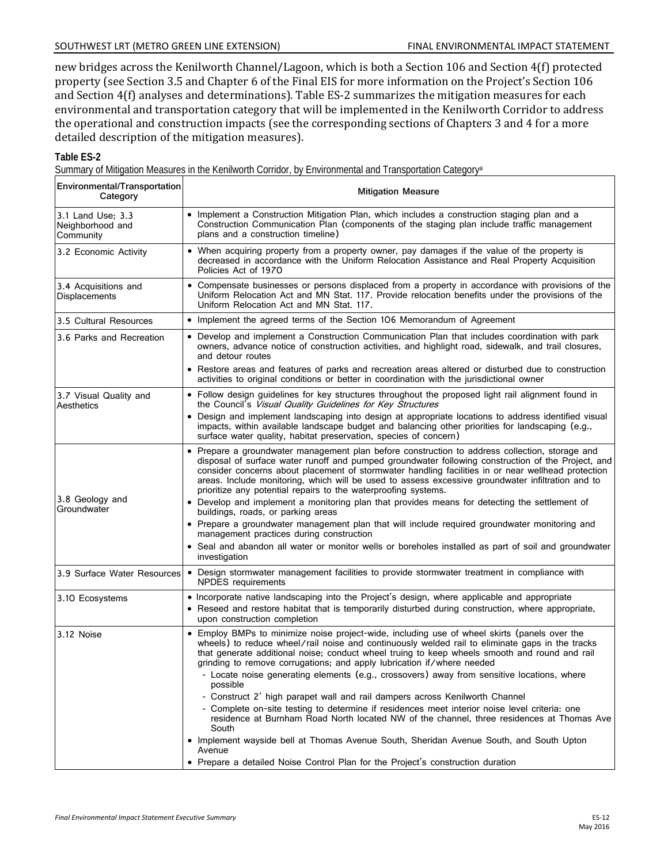#### SOUTHWEST LRT (METRO GREEN LINE EXTENSION) FINAL ENVIRONMENTAL IMPACT STATEMENT

new bridges across the Kenilworth Channel/Lagoon, which is both a Section 106 and Section 4(f) protected property (see Section 3.5 and Chapter 6 of the Final EIS for more information on the Project's Section 106 and Section 4(f) analyses and determinations). Table ES-2 summarizes the mitigation measures for each environmental and transportation category that will be implemented in the Kenilworth Corridor to address the operational and construction impacts (see the corresponding sections of Chapters 3 and 4 for a more detailed description of the mitigation measures).

#### **Table ES-2**

Summary of Mitigation Measures in the Kenilworth Corridor, by Environmental and Transportation Categorya

| Environmental/Transportation<br>Category           | <b>Mitigation Measure</b>                                                                                                                                                                                                                                                                                                                                                                                                                                                         |
|----------------------------------------------------|-----------------------------------------------------------------------------------------------------------------------------------------------------------------------------------------------------------------------------------------------------------------------------------------------------------------------------------------------------------------------------------------------------------------------------------------------------------------------------------|
| 3.1 Land Use: 3.3<br>Neighborhood and<br>Community | • Implement a Construction Mitigation Plan, which includes a construction staging plan and a<br>Construction Communication Plan (components of the staging plan include traffic management<br>plans and a construction timeline)                                                                                                                                                                                                                                                  |
| 3.2 Economic Activity                              | • When acquiring property from a property owner, pay damages if the value of the property is<br>decreased in accordance with the Uniform Relocation Assistance and Real Property Acquisition<br>Policies Act of 1970                                                                                                                                                                                                                                                              |
| 3.4 Acquisitions and<br>Displacements              | • Compensate businesses or persons displaced from a property in accordance with provisions of the<br>Uniform Relocation Act and MN Stat. 117. Provide relocation benefits under the provisions of the<br>Uniform Relocation Act and MN Stat. 117.                                                                                                                                                                                                                                 |
| 3.5 Cultural Resources                             | • Implement the agreed terms of the Section 106 Memorandum of Agreement                                                                                                                                                                                                                                                                                                                                                                                                           |
| 3.6 Parks and Recreation                           | • Develop and implement a Construction Communication Plan that includes coordination with park<br>owners, advance notice of construction activities, and highlight road, sidewalk, and trail closures,<br>and detour routes                                                                                                                                                                                                                                                       |
|                                                    | • Restore areas and features of parks and recreation areas altered or disturbed due to construction<br>activities to original conditions or better in coordination with the jurisdictional owner                                                                                                                                                                                                                                                                                  |
| 3.7 Visual Quality and<br>Aesthetics               | • Follow design guidelines for key structures throughout the proposed light rail alignment found in<br>the Council's Visual Quality Guidelines for Key Structures                                                                                                                                                                                                                                                                                                                 |
|                                                    | • Design and implement landscaping into design at appropriate locations to address identified visual<br>impacts, within available landscape budget and balancing other priorities for landscaping (e.g.,<br>surface water quality, habitat preservation, species of concern)                                                                                                                                                                                                      |
|                                                    | • Prepare a groundwater management plan before construction to address collection, storage and<br>disposal of surface water runoff and pumped groundwater following construction of the Project, and<br>consider concerns about placement of stormwater handling facilities in or near wellhead protection<br>areas. Include monitoring, which will be used to assess excessive groundwater infiltration and to<br>prioritize any potential repairs to the waterproofing systems. |
| 3.8 Geology and<br>Groundwater                     | • Develop and implement a monitoring plan that provides means for detecting the settlement of<br>buildings, roads, or parking areas                                                                                                                                                                                                                                                                                                                                               |
|                                                    | • Prepare a groundwater management plan that will include required groundwater monitoring and<br>management practices during construction                                                                                                                                                                                                                                                                                                                                         |
|                                                    | • Seal and abandon all water or monitor wells or boreholes installed as part of soil and groundwater<br>investigation                                                                                                                                                                                                                                                                                                                                                             |
| 3.9 Surface Water Resources                        | • Design stormwater management facilities to provide stormwater treatment in compliance with<br><b>NPDES</b> requirements                                                                                                                                                                                                                                                                                                                                                         |
| 3.10 Ecosystems                                    | • Incorporate native landscaping into the Project's design, where applicable and appropriate<br>• Reseed and restore habitat that is temporarily disturbed during construction, where appropriate,<br>upon construction completion                                                                                                                                                                                                                                                |
| 3.12 Noise                                         | • Employ BMPs to minimize noise project-wide, including use of wheel skirts (panels over the<br>wheels) to reduce wheel/rail noise and continuously welded rail to eliminate gaps in the tracks<br>that generate additional noise; conduct wheel truing to keep wheels smooth and round and rail<br>grinding to remove corrugations; and apply lubrication if/where needed                                                                                                        |
|                                                    | - Locate noise generating elements (e.g., crossovers) away from sensitive locations, where<br>possible                                                                                                                                                                                                                                                                                                                                                                            |
|                                                    | - Construct 2' high parapet wall and rail dampers across Kenilworth Channel                                                                                                                                                                                                                                                                                                                                                                                                       |
|                                                    | - Complete on-site testing to determine if residences meet interior noise level criteria: one<br>residence at Burnham Road North located NW of the channel, three residences at Thomas Ave<br>South                                                                                                                                                                                                                                                                               |
|                                                    | • Implement wayside bell at Thomas Avenue South, Sheridan Avenue South, and South Upton<br>Avenue                                                                                                                                                                                                                                                                                                                                                                                 |
|                                                    | • Prepare a detailed Noise Control Plan for the Project's construction duration                                                                                                                                                                                                                                                                                                                                                                                                   |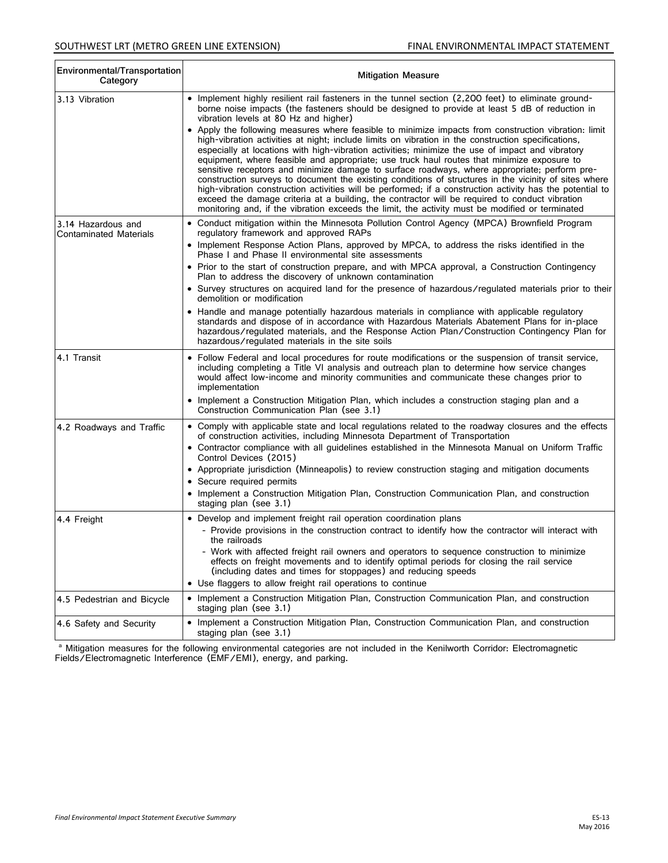| Environmental/Transportation<br>Category            | <b>Mitigation Measure</b>                                                                                                                                                                                                                                                                                                                                                                                                                                                                                                                                                                                                                                                                                                                                                                                                                                                                                                                |
|-----------------------------------------------------|------------------------------------------------------------------------------------------------------------------------------------------------------------------------------------------------------------------------------------------------------------------------------------------------------------------------------------------------------------------------------------------------------------------------------------------------------------------------------------------------------------------------------------------------------------------------------------------------------------------------------------------------------------------------------------------------------------------------------------------------------------------------------------------------------------------------------------------------------------------------------------------------------------------------------------------|
| 3.13 Vibration                                      | • Implement highly resilient rail fasteners in the tunnel section (2,200 feet) to eliminate ground-<br>borne noise impacts (the fasteners should be designed to provide at least 5 dB of reduction in<br>vibration levels at 80 Hz and higher)                                                                                                                                                                                                                                                                                                                                                                                                                                                                                                                                                                                                                                                                                           |
|                                                     | • Apply the following measures where feasible to minimize impacts from construction vibration: limit<br>high-vibration activities at night; include limits on vibration in the construction specifications,<br>especially at locations with high-vibration activities; minimize the use of impact and vibratory<br>equipment, where feasible and appropriate; use truck haul routes that minimize exposure to<br>sensitive receptors and minimize damage to surface roadways, where appropriate; perform pre-<br>construction surveys to document the existing conditions of structures in the vicinity of sites where<br>high-vibration construction activities will be performed; if a construction activity has the potential to<br>exceed the damage criteria at a building, the contractor will be required to conduct vibration<br>monitoring and, if the vibration exceeds the limit, the activity must be modified or terminated |
| 3.14 Hazardous and<br><b>Contaminated Materials</b> | • Conduct mitigation within the Minnesota Pollution Control Agency (MPCA) Brownfield Program<br>regulatory framework and approved RAPs                                                                                                                                                                                                                                                                                                                                                                                                                                                                                                                                                                                                                                                                                                                                                                                                   |
|                                                     | • Implement Response Action Plans, approved by MPCA, to address the risks identified in the<br>Phase I and Phase II environmental site assessments                                                                                                                                                                                                                                                                                                                                                                                                                                                                                                                                                                                                                                                                                                                                                                                       |
|                                                     | • Prior to the start of construction prepare, and with MPCA approval, a Construction Contingency<br>Plan to address the discovery of unknown contamination                                                                                                                                                                                                                                                                                                                                                                                                                                                                                                                                                                                                                                                                                                                                                                               |
|                                                     | • Survey structures on acquired land for the presence of hazardous/regulated materials prior to their<br>demolition or modification                                                                                                                                                                                                                                                                                                                                                                                                                                                                                                                                                                                                                                                                                                                                                                                                      |
|                                                     | • Handle and manage potentially hazardous materials in compliance with applicable regulatory<br>standards and dispose of in accordance with Hazardous Materials Abatement Plans for in-place<br>hazardous/regulated materials, and the Response Action Plan/Construction Contingency Plan for<br>hazardous/regulated materials in the site soils                                                                                                                                                                                                                                                                                                                                                                                                                                                                                                                                                                                         |
| 4.1 Transit                                         | • Follow Federal and local procedures for route modifications or the suspension of transit service,<br>including completing a Title VI analysis and outreach plan to determine how service changes<br>would affect low-income and minority communities and communicate these changes prior to<br>implementation                                                                                                                                                                                                                                                                                                                                                                                                                                                                                                                                                                                                                          |
|                                                     | • Implement a Construction Mitigation Plan, which includes a construction staging plan and a<br>Construction Communication Plan (see 3.1)                                                                                                                                                                                                                                                                                                                                                                                                                                                                                                                                                                                                                                                                                                                                                                                                |
| 4.2 Roadways and Traffic                            | • Comply with applicable state and local regulations related to the roadway closures and the effects<br>of construction activities, including Minnesota Department of Transportation                                                                                                                                                                                                                                                                                                                                                                                                                                                                                                                                                                                                                                                                                                                                                     |
|                                                     | • Contractor compliance with all guidelines established in the Minnesota Manual on Uniform Traffic<br>Control Devices (2015)                                                                                                                                                                                                                                                                                                                                                                                                                                                                                                                                                                                                                                                                                                                                                                                                             |
|                                                     | • Appropriate jurisdiction (Minneapolis) to review construction staging and mitigation documents                                                                                                                                                                                                                                                                                                                                                                                                                                                                                                                                                                                                                                                                                                                                                                                                                                         |
|                                                     | • Secure required permits                                                                                                                                                                                                                                                                                                                                                                                                                                                                                                                                                                                                                                                                                                                                                                                                                                                                                                                |
|                                                     | • Implement a Construction Mitigation Plan, Construction Communication Plan, and construction<br>staging plan (see 3.1)                                                                                                                                                                                                                                                                                                                                                                                                                                                                                                                                                                                                                                                                                                                                                                                                                  |
| 4.4 Freight                                         | • Develop and implement freight rail operation coordination plans                                                                                                                                                                                                                                                                                                                                                                                                                                                                                                                                                                                                                                                                                                                                                                                                                                                                        |
|                                                     | - Provide provisions in the construction contract to identify how the contractor will interact with<br>the railroads                                                                                                                                                                                                                                                                                                                                                                                                                                                                                                                                                                                                                                                                                                                                                                                                                     |
|                                                     | Work with affected freight rail owners and operators to sequence construction to minimize<br>effects on freight movements and to identify optimal periods for closing the rail service<br>(including dates and times for stoppages) and reducing speeds<br>• Use flaggers to allow freight rail operations to continue                                                                                                                                                                                                                                                                                                                                                                                                                                                                                                                                                                                                                   |
| 4.5 Pedestrian and Bicycle                          | • Implement a Construction Mitigation Plan, Construction Communication Plan, and construction                                                                                                                                                                                                                                                                                                                                                                                                                                                                                                                                                                                                                                                                                                                                                                                                                                            |
|                                                     | staging plan (see 3.1)                                                                                                                                                                                                                                                                                                                                                                                                                                                                                                                                                                                                                                                                                                                                                                                                                                                                                                                   |
| 4.6 Safety and Security                             | • Implement a Construction Mitigation Plan, Construction Communication Plan, and construction<br>staging plan (see 3.1)                                                                                                                                                                                                                                                                                                                                                                                                                                                                                                                                                                                                                                                                                                                                                                                                                  |

<sup>a</sup> Mitigation measures for the following environmental categories are not included in the Kenilworth Corridor: Electromagnetic Fields/Electromagnetic Interference (EMF/EMI), energy, and parking.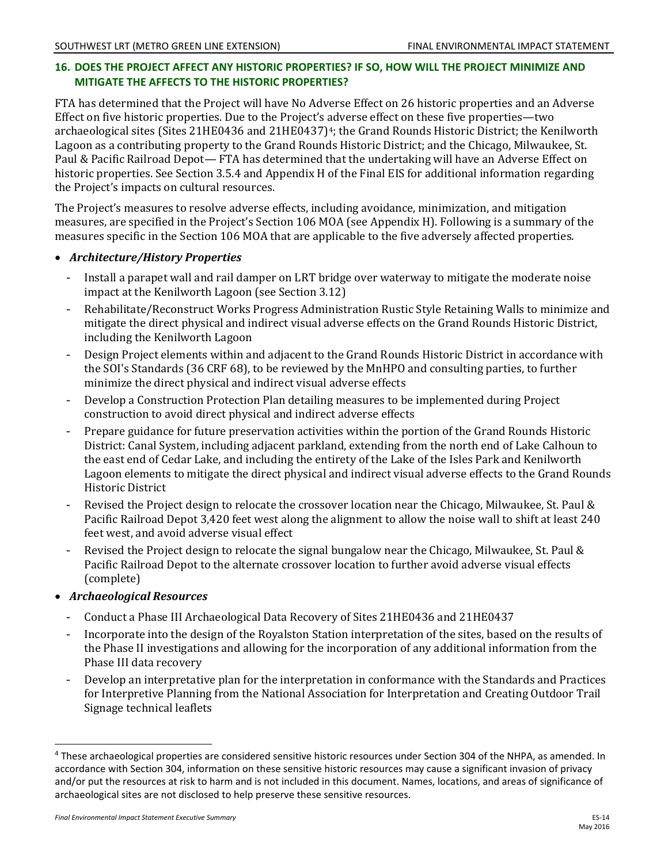# **16. DOES THE PROJECT AFFECT ANY HISTORIC PROPERTIES? IF SO, HOW WILL THE PROJECT MINIMIZE AND MITIGATE THE AFFECTS TO THE HISTORIC PROPERTIES?**

FTA has determined that the Project will have No Adverse Effect on 26 historic properties and an Adverse Effect on five historic properties. Due to the Project's adverse effect on these five properties—two archaeological sites (Sites 21HE0436 and 21HE0437)<sup>4</sup>; the Grand Rounds Historic District; the Kenilworth Lagoon as a contributing property to the Grand Rounds Historic District; and the Chicago, Milwaukee, St. Paul & Pacific Railroad Depot— FTA has determined that the undertaking will have an Adverse Effect on historic properties. See Section 3.5.4 and Appendix H of the Final EIS for additional information regarding the Project's impacts on cultural resources.

The Project's measures to resolve adverse effects, including avoidance, minimization, and mitigation measures, are specified in the Project's Section 106 MOA (see Appendix H). Following is a summary of the measures specific in the Section 106 MOA that are applicable to the five adversely affected properties.

#### • *Architecture/History Properties*

- Install a parapet wall and rail damper on LRT bridge over waterway to mitigate the moderate noise impact at the Kenilworth Lagoon (see Section 3.12)
- $-$ Rehabilitate/Reconstruct Works Progress Administration Rustic Style Retaining Walls to minimize and mitigate the direct physical and indirect visual adverse effects on the Grand Rounds Historic District, including the Kenilworth Lagoon
- Design Project elements within and adjacent to the Grand Rounds Historic District in accordance with the SOI's Standards (36 CRF 68), to be reviewed by the MnHPO and consulting parties, to further minimize the direct physical and indirect visual adverse effects
- $-$ Develop a Construction Protection Plan detailing measures to be implemented during Project construction to avoid direct physical and indirect adverse effects
- Prepare guidance for future preservation activities within the portion of the Grand Rounds Historic District: Canal System, including adjacent parkland, extending from the north end of Lake Calhoun to the east end of Cedar Lake, and including the entirety of the Lake of the Isles Park and Kenilworth Lagoon elements to mitigate the direct physical and indirect visual adverse effects to the Grand Rounds Historic District
- Revised the Project design to relocate the crossover location near the Chicago, Milwaukee, St. Paul & Pacific Railroad Depot 3,420 feet west along the alignment to allow the noise wall to shift at least 240 feet west, and avoid adverse visual effect
- Revised the Project design to relocate the signal bungalow near the Chicago, Milwaukee, St. Paul & Pacific Railroad Depot to the alternate crossover location to further avoid adverse visual effects (complete)
- *Archaeological Resources*
	- Conduct a Phase III Archaeological Data Recovery of Sites 21HE0436 and 21HE0437
	- Incorporate into the design of the Royalston Station interpretation of the sites, based on the results of the Phase II investigations and allowing for the incorporation of any additional information from the Phase III data recovery
	- Develop an interpretative plan for the interpretation in conformance with the Standards and Practices for Interpretive Planning from the National Association for Interpretation and Creating Outdoor Trail Signage technical leaflets

 $\overline{a}$ 

<span id="page-13-0"></span><sup>4</sup> These archaeological properties are considered sensitive historic resources under Section 304 of the NHPA, as amended. In accordance with Section 304, information on these sensitive historic resources may cause a significant invasion of privacy and/or put the resources at risk to harm and is not included in this document. Names, locations, and areas of significance of archaeological sites are not disclosed to help preserve these sensitive resources.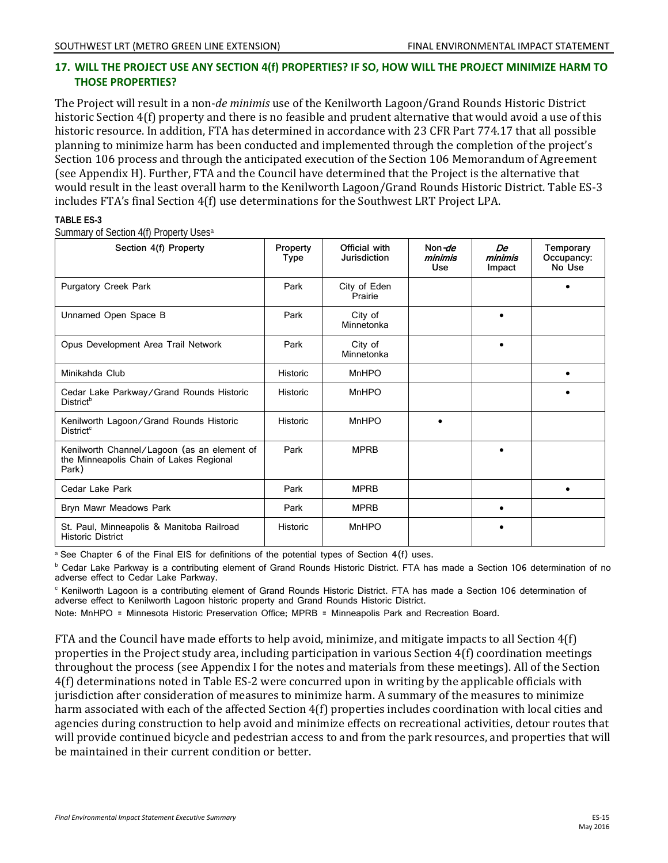#### **17. WILL THE PROJECT USE ANY SECTION 4(f) PROPERTIES? IF SO, HOW WILL THE PROJECT MINIMIZE HARM TO THOSE PROPERTIES?**

The Project will result in a non-*de minimis* use of the Kenilworth Lagoon/Grand Rounds Historic District historic Section 4(f) property and there is no feasible and prudent alternative that would avoid a use of this historic resource. In addition, FTA has determined in accordance with 23 CFR Part 774.17 that all possible planning to minimize harm has been conducted and implemented through the completion of the project's Section 106 process and through the anticipated execution of the Section 106 Memorandum of Agreement (see Appendix H). Further, FTA and the Council have determined that the Project is the alternative that would result in the least overall harm to the Kenilworth Lagoon/Grand Rounds Historic District. Table ES-3 includes FTA's final Section 4(f) use determinations for the Southwest LRT Project LPA.

#### **TABLE ES-3**

Summary of Section 4(f) Property Usesa

| Section 4(f) Property                                                                           | Property<br>Type | Official with<br>Jurisdiction | Non de<br>minimis<br>Use | De<br>minimis<br>Impact | Temporary<br>Occupancy:<br>No Use |
|-------------------------------------------------------------------------------------------------|------------------|-------------------------------|--------------------------|-------------------------|-----------------------------------|
| <b>Purgatory Creek Park</b>                                                                     | Park             | City of Eden<br>Prairie       |                          |                         |                                   |
| Unnamed Open Space B                                                                            | Park             | City of<br>Minnetonka         |                          | $\bullet$               |                                   |
| Opus Development Area Trail Network                                                             | Park             | City of<br>Minnetonka         |                          | $\bullet$               |                                   |
| Minikahda Club                                                                                  | Historic         | <b>MnHPO</b>                  |                          |                         | $\bullet$                         |
| Cedar Lake Parkway/Grand Rounds Historic<br><b>District</b> <sup>b</sup>                        | <b>Historic</b>  | <b>MnHPO</b>                  |                          |                         |                                   |
| Kenilworth Lagoon/Grand Rounds Historic<br>District <sup>c</sup>                                | Historic         | <b>MnHPO</b>                  |                          |                         |                                   |
| Kenilworth Channel/Lagoon (as an element of<br>the Minneapolis Chain of Lakes Regional<br>Park) | Park             | <b>MPRB</b>                   |                          | $\bullet$               |                                   |
| Cedar Lake Park                                                                                 | Park             | <b>MPRB</b>                   |                          |                         |                                   |
| Bryn Mawr Meadows Park                                                                          | Park             | <b>MPRB</b>                   |                          | $\bullet$               |                                   |
| St. Paul, Minneapolis & Manitoba Railroad<br><b>Historic District</b>                           | <b>Historic</b>  | MnHPO                         |                          |                         |                                   |

a See Chapter 6 of the Final EIS for definitions of the potential types of Section 4(f) uses.<br><sup>b</sup> Cedar Lake Parkway is a contributing element of Grand Rounds Historic District. FTA has made a Section 106 determination of adverse effect to Cedar Lake Parkway.

<sup>c</sup> Kenilworth Lagoon is a contributing element of Grand Rounds Historic District. FTA has made a Section 106 determination of adverse effect to Kenilworth Lagoon historic property and Grand Rounds Historic District.

Note: MnHPO = Minnesota Historic Preservation Office; MPRB = Minneapolis Park and Recreation Board.

FTA and the Council have made efforts to help avoid, minimize, and mitigate impacts to all Section 4(f) properties in the Project study area, including participation in various Section 4(f) coordination meetings throughout the process (see Appendix I for the notes and materials from these meetings). All of the Section 4(f) determinations noted in Table ES-2 were concurred upon in writing by the applicable officials with jurisdiction after consideration of measures to minimize harm. A summary of the measures to minimize harm associated with each of the affected Section 4(f) properties includes coordination with local cities and agencies during construction to help avoid and minimize effects on recreational activities, detour routes that will provide continued bicycle and pedestrian access to and from the park resources, and properties that will be maintained in their current condition or better.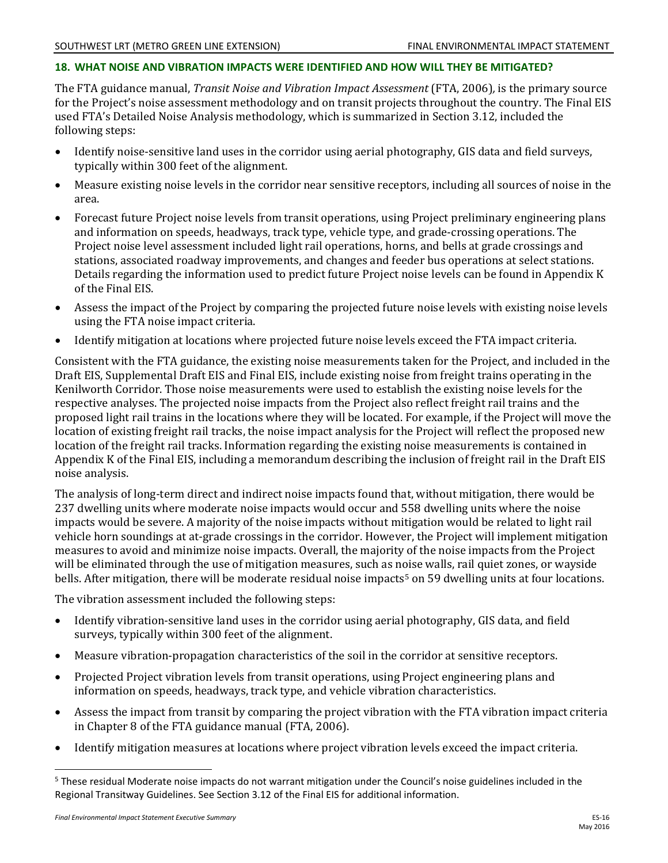#### **18. WHAT NOISE AND VIBRATION IMPACTS WERE IDENTIFIED AND HOW WILL THEY BE MITIGATED?**

The FTA guidance manual, *Transit Noise and Vibration Impact Assessment* (FTA, 2006)*,* is the primary source for the Project's noise assessment methodology and on transit projects throughout the country. The Final EIS used FTA's Detailed Noise Analysis methodology, which is summarized in Section 3.12, included the following steps:

- Identify noise-sensitive land uses in the corridor using aerial photography, GIS data and field surveys, typically within 300 feet of the alignment.
- Measure existing noise levels in the corridor near sensitive receptors, including all sources of noise in the area.
- Forecast future Project noise levels from transit operations, using Project preliminary engineering plans and information on speeds, headways, track type, vehicle type, and grade-crossing operations. The Project noise level assessment included light rail operations, horns, and bells at grade crossings and stations, associated roadway improvements, and changes and feeder bus operations at select stations. Details regarding the information used to predict future Project noise levels can be found in Appendix K of the Final EIS.
- Assess the impact of the Project by comparing the projected future noise levels with existing noise levels using the FTA noise impact criteria.
- Identify mitigation at locations where projected future noise levels exceed the FTA impact criteria.

Consistent with the FTA guidance, the existing noise measurements taken for the Project, and included in the Draft EIS, Supplemental Draft EIS and Final EIS, include existing noise from freight trains operating in the Kenilworth Corridor. Those noise measurements were used to establish the existing noise levels for the respective analyses. The projected noise impacts from the Project also reflect freight rail trains and the proposed light rail trains in the locations where they will be located. For example, if the Project will move the location of existing freight rail tracks, the noise impact analysis for the Project will reflect the proposed new location of the freight rail tracks. Information regarding the existing noise measurements is contained in Appendix K of the Final EIS, including a memorandum describing the inclusion of freight rail in the Draft EIS noise analysis.

The analysis of long-term direct and indirect noise impacts found that, without mitigation, there would be 237 dwelling units where moderate noise impacts would occur and 558 dwelling units where the noise impacts would be severe. A majority of the noise impacts without mitigation would be related to light rail vehicle horn soundings at at-grade crossings in the corridor. However, the Project will implement mitigation measures to avoid and minimize noise impacts. Overall, the majority of the noise impacts from the Project will be eliminated through the use of mitigation measures, such as noise walls, rail quiet zones, or wayside bells. After mitigation, there will be moderate residual noise impacts<sup>[5](#page-15-0)</sup> on 59 dwelling units at four locations.

The vibration assessment included the following steps:

- Identify vibration-sensitive land uses in the corridor using aerial photography, GIS data, and field surveys, typically within 300 feet of the alignment.
- Measure vibration-propagation characteristics of the soil in the corridor at sensitive receptors.
- Projected Project vibration levels from transit operations, using Project engineering plans and information on speeds, headways, track type, and vehicle vibration characteristics.
- Assess the impact from transit by comparing the project vibration with the FTA vibration impact criteria in Chapter 8 of the FTA guidance manual (FTA, 2006).
- Identify mitigation measures at locations where project vibration levels exceed the impact criteria.

 $\overline{a}$ 

<span id="page-15-0"></span><sup>&</sup>lt;sup>5</sup> These residual Moderate noise impacts do not warrant mitigation under the Council's noise guidelines included in the Regional Transitway Guidelines. See Section 3.12 of the Final EIS for additional information.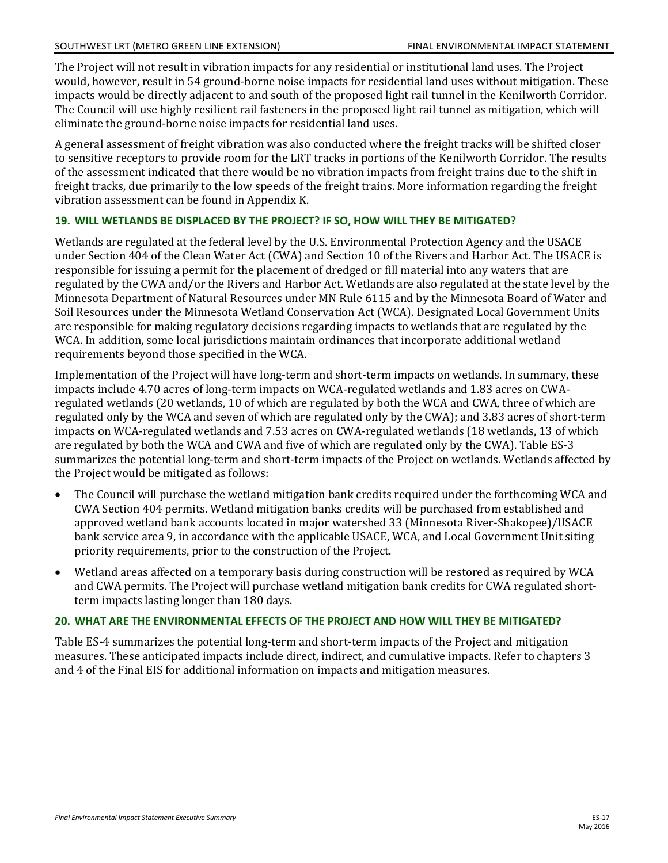The Project will not result in vibration impacts for any residential or institutional land uses. The Project would, however, result in 54 ground-borne noise impacts for residential land uses without mitigation. These impacts would be directly adjacent to and south of the proposed light rail tunnel in the Kenilworth Corridor. The Council will use highly resilient rail fasteners in the proposed light rail tunnel as mitigation, which will eliminate the ground-borne noise impacts for residential land uses.

A general assessment of freight vibration was also conducted where the freight tracks will be shifted closer to sensitive receptors to provide room for the LRT tracks in portions of the Kenilworth Corridor. The results of the assessment indicated that there would be no vibration impacts from freight trains due to the shift in freight tracks, due primarily to the low speeds of the freight trains. More information regarding the freight vibration assessment can be found in Appendix K.

#### **19. WILL WETLANDS BE DISPLACED BY THE PROJECT? IF SO, HOW WILL THEY BE MITIGATED?**

Wetlands are regulated at the federal level by the U.S. Environmental Protection Agency and the USACE under Section 404 of the Clean Water Act (CWA) and Section 10 of the Rivers and Harbor Act. The USACE is responsible for issuing a permit for the placement of dredged or fill material into any waters that are regulated by the CWA and/or the Rivers and Harbor Act. Wetlands are also regulated at the state level by the Minnesota Department of Natural Resources under MN Rule 6115 and by the Minnesota Board of Water and Soil Resources under the Minnesota Wetland Conservation Act (WCA). Designated Local Government Units are responsible for making regulatory decisions regarding impacts to wetlands that are regulated by the WCA. In addition, some local jurisdictions maintain ordinances that incorporate additional wetland requirements beyond those specified in the WCA.

Implementation of the Project will have long-term and short-term impacts on wetlands. In summary, these impacts include 4.70 acres of long-term impacts on WCA-regulated wetlands and 1.83 acres on CWAregulated wetlands (20 wetlands, 10 of which are regulated by both the WCA and CWA, three of which are regulated only by the WCA and seven of which are regulated only by the CWA); and 3.83 acres of short-term impacts on WCA-regulated wetlands and 7.53 acres on CWA-regulated wetlands (18 wetlands, 13 of which are regulated by both the WCA and CWA and five of which are regulated only by the CWA). Table ES-3 summarizes the potential long-term and short-term impacts of the Project on wetlands. Wetlands affected by the Project would be mitigated as follows:

- The Council will purchase the wetland mitigation bank credits required under the forthcoming WCA and CWA Section 404 permits. Wetland mitigation banks credits will be purchased from established and approved wetland bank accounts located in major watershed 33 (Minnesota River-Shakopee)/USACE bank service area 9, in accordance with the applicable USACE, WCA, and Local Government Unit siting priority requirements, prior to the construction of the Project.
- Wetland areas affected on a temporary basis during construction will be restored as required by WCA and CWA permits. The Project will purchase wetland mitigation bank credits for CWA regulated shortterm impacts lasting longer than 180 days.

#### **20. WHAT ARE THE ENVIRONMENTAL EFFECTS OF THE PROJECT AND HOW WILL THEY BE MITIGATED?**

Table ES-4 summarizes the potential long-term and short-term impacts of the Project and mitigation measures. These anticipated impacts include direct, indirect, and cumulative impacts. Refer to chapters 3 and 4 of the Final EIS for additional information on impacts and mitigation measures.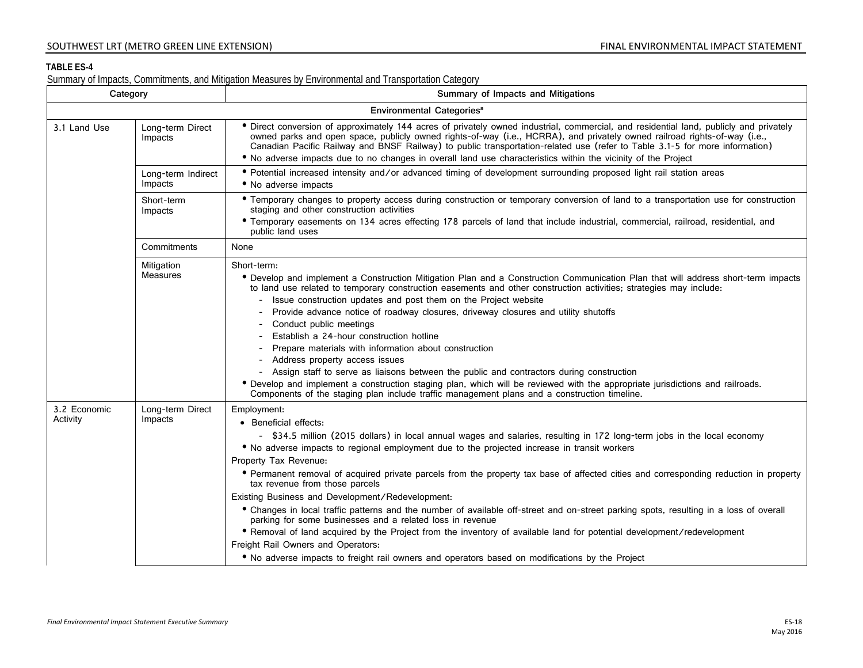#### **TABLE ES-4**

Summary of Impacts, Commitments, and Mitigation Measures by Environmental and Transportation Category

| Category                 |                               | Summary of Impacts and Mitigations                                                                                                                                                                                                                                                                                                                                                                                                                                                                                                                                                                                                                                                                                                                                                                                                                                                                                                                                                                 |
|--------------------------|-------------------------------|----------------------------------------------------------------------------------------------------------------------------------------------------------------------------------------------------------------------------------------------------------------------------------------------------------------------------------------------------------------------------------------------------------------------------------------------------------------------------------------------------------------------------------------------------------------------------------------------------------------------------------------------------------------------------------------------------------------------------------------------------------------------------------------------------------------------------------------------------------------------------------------------------------------------------------------------------------------------------------------------------|
|                          |                               | Environmental Categories <sup>a</sup>                                                                                                                                                                                                                                                                                                                                                                                                                                                                                                                                                                                                                                                                                                                                                                                                                                                                                                                                                              |
| 3.1 Land Use             | Long-term Direct<br>Impacts   | • Direct conversion of approximately 144 acres of privately owned industrial, commercial, and residential land, publicly and privately<br>owned parks and open space, publicly owned rights-of-way (i.e., HCRRA), and privately owned railroad rights-of-way (i.e.,<br>Canadian Pacific Railway and BNSF Railway) to public transportation-related use (refer to Table 3.1-5 for more information)<br>. No adverse impacts due to no changes in overall land use characteristics within the vicinity of the Project                                                                                                                                                                                                                                                                                                                                                                                                                                                                                |
|                          | Long-term Indirect<br>Impacts | • Potential increased intensity and/or advanced timing of development surrounding proposed light rail station areas<br>• No adverse impacts                                                                                                                                                                                                                                                                                                                                                                                                                                                                                                                                                                                                                                                                                                                                                                                                                                                        |
|                          | Short-term<br>Impacts         | • Temporary changes to property access during construction or temporary conversion of land to a transportation use for construction<br>staging and other construction activities<br>• Temporary easements on 134 acres effecting 178 parcels of land that include industrial, commercial, railroad, residential, and<br>public land uses                                                                                                                                                                                                                                                                                                                                                                                                                                                                                                                                                                                                                                                           |
|                          | Commitments                   | None                                                                                                                                                                                                                                                                                                                                                                                                                                                                                                                                                                                                                                                                                                                                                                                                                                                                                                                                                                                               |
|                          | Mitigation<br><b>Measures</b> | Short-term:<br>• Develop and implement a Construction Mitigation Plan and a Construction Communication Plan that will address short-term impacts<br>to land use related to temporary construction easements and other construction activities; strategies may include:<br>- Issue construction updates and post them on the Project website<br>- Provide advance notice of roadway closures, driveway closures and utility shutoffs<br>- Conduct public meetings<br>Establish a 24-hour construction hotline<br>Prepare materials with information about construction<br>- Address property access issues<br>- Assign staff to serve as liaisons between the public and contractors during construction<br>• Develop and implement a construction staging plan, which will be reviewed with the appropriate jurisdictions and railroads.<br>Components of the staging plan include traffic management plans and a construction timeline.                                                           |
| 3.2 Economic<br>Activity | Long-term Direct<br>Impacts   | Employment:<br>• Beneficial effects:<br>- \$34.5 million (2015 dollars) in local annual wages and salaries, resulting in 172 long-term jobs in the local economy<br>. No adverse impacts to regional employment due to the projected increase in transit workers<br>Property Tax Revenue:<br>• Permanent removal of acquired private parcels from the property tax base of affected cities and corresponding reduction in property<br>tax revenue from those parcels<br>Existing Business and Development/Redevelopment:<br>• Changes in local traffic patterns and the number of available off-street and on-street parking spots, resulting in a loss of overall<br>parking for some businesses and a related loss in revenue<br>• Removal of land acquired by the Project from the inventory of available land for potential development/redevelopment<br>Freight Rail Owners and Operators:<br>• No adverse impacts to freight rail owners and operators based on modifications by the Project |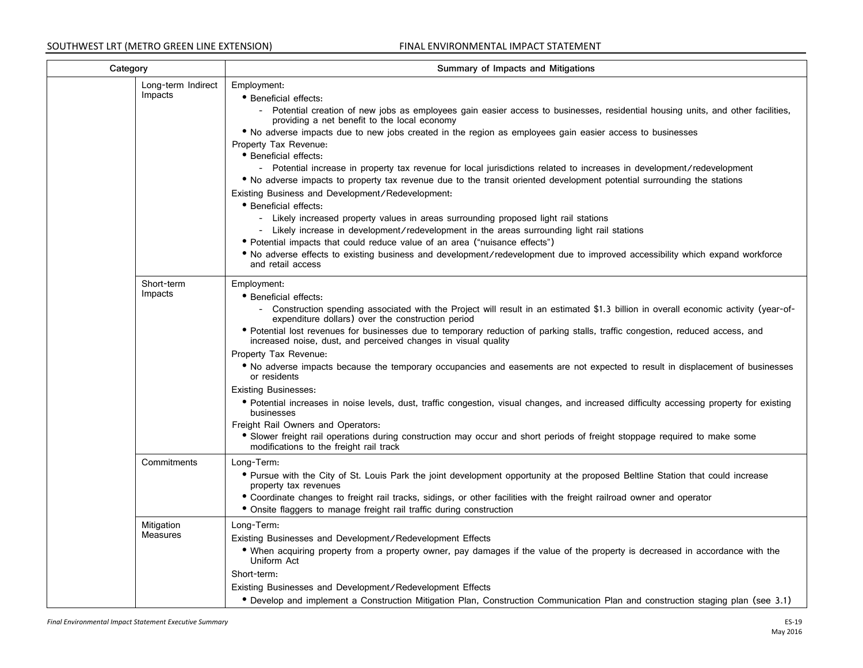| Category                      | Summary of Impacts and Mitigations                                                                                                                                                                                                                                                                                                                                                                                                                                                                                                                                                                                                                                                                                                                                                                                                                                                                                                                                                                                                                                                                                                                  |
|-------------------------------|-----------------------------------------------------------------------------------------------------------------------------------------------------------------------------------------------------------------------------------------------------------------------------------------------------------------------------------------------------------------------------------------------------------------------------------------------------------------------------------------------------------------------------------------------------------------------------------------------------------------------------------------------------------------------------------------------------------------------------------------------------------------------------------------------------------------------------------------------------------------------------------------------------------------------------------------------------------------------------------------------------------------------------------------------------------------------------------------------------------------------------------------------------|
| Long-term Indirect<br>Impacts | Employment:<br>• Beneficial effects:<br>- Potential creation of new jobs as employees gain easier access to businesses, residential housing units, and other facilities,<br>providing a net benefit to the local economy<br>. No adverse impacts due to new jobs created in the region as employees gain easier access to businesses<br>Property Tax Revenue:<br>• Beneficial effects:<br>- Potential increase in property tax revenue for local jurisdictions related to increases in development/redevelopment<br>• No adverse impacts to property tax revenue due to the transit oriented development potential surrounding the stations<br>Existing Business and Development/Redevelopment:<br>• Beneficial effects:<br>- Likely increased property values in areas surrounding proposed light rail stations<br>- Likely increase in development/redevelopment in the areas surrounding light rail stations<br>• Potential impacts that could reduce value of an area ("nuisance effects")<br>• No adverse effects to existing business and development/redevelopment due to improved accessibility which expand workforce<br>and retail access |
| Short-term<br>Impacts         | Employment:<br>• Beneficial effects:<br>- Construction spending associated with the Project will result in an estimated \$1.3 billion in overall economic activity (year-of-<br>expenditure dollars) over the construction period<br>• Potential lost revenues for businesses due to temporary reduction of parking stalls, traffic congestion, reduced access, and<br>increased noise, dust, and perceived changes in visual quality<br>Property Tax Revenue:<br>• No adverse impacts because the temporary occupancies and easements are not expected to result in displacement of businesses<br>or residents<br><b>Existing Businesses:</b><br>• Potential increases in noise levels, dust, traffic congestion, visual changes, and increased difficulty accessing property for existing<br>businesses<br>Freight Rail Owners and Operators:<br>• Slower freight rail operations during construction may occur and short periods of freight stoppage required to make some<br>modifications to the freight rail track                                                                                                                            |
| Commitments                   | Long-Term:<br>• Pursue with the City of St. Louis Park the joint development opportunity at the proposed Beltline Station that could increase<br>property tax revenues<br>• Coordinate changes to freight rail tracks, sidings, or other facilities with the freight railroad owner and operator<br>• Onsite flaggers to manage freight rail traffic during construction                                                                                                                                                                                                                                                                                                                                                                                                                                                                                                                                                                                                                                                                                                                                                                            |
| Mitigation<br>Measures        | Long-Term:<br>Existing Businesses and Development/Redevelopment Effects<br>• When acquiring property from a property owner, pay damages if the value of the property is decreased in accordance with the<br>Uniform Act<br>Short-term:<br>Existing Businesses and Development/Redevelopment Effects<br>• Develop and implement a Construction Mitigation Plan, Construction Communication Plan and construction staging plan (see 3.1)                                                                                                                                                                                                                                                                                                                                                                                                                                                                                                                                                                                                                                                                                                              |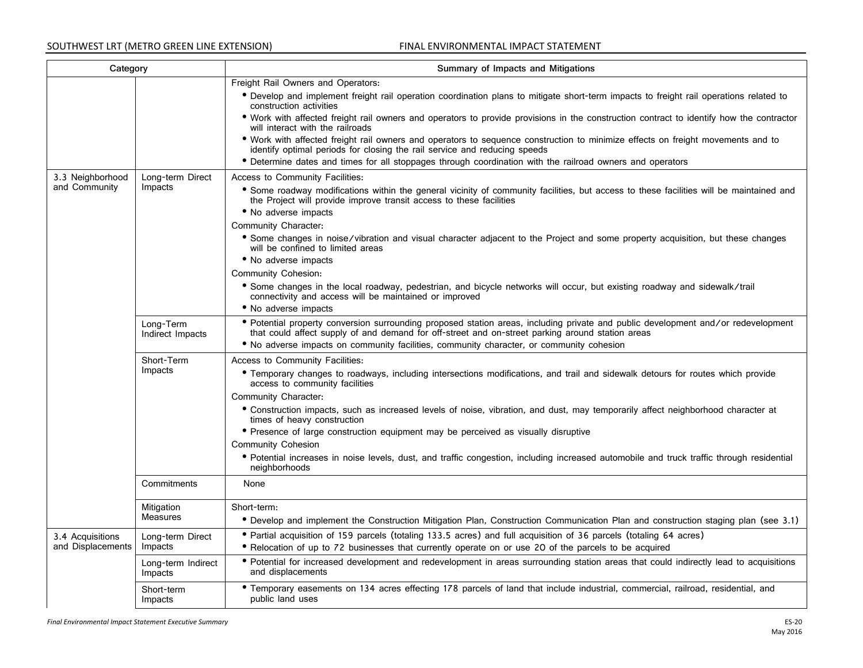| Category                              |                               | Summary of Impacts and Mitigations                                                                                                                                                                                                     |
|---------------------------------------|-------------------------------|----------------------------------------------------------------------------------------------------------------------------------------------------------------------------------------------------------------------------------------|
|                                       |                               | Freight Rail Owners and Operators:                                                                                                                                                                                                     |
|                                       |                               | • Develop and implement freight rail operation coordination plans to mitigate short-term impacts to freight rail operations related to<br>construction activities                                                                      |
|                                       |                               | • Work with affected freight rail owners and operators to provide provisions in the construction contract to identify how the contractor<br>will interact with the railroads                                                           |
|                                       |                               | • Work with affected freight rail owners and operators to sequence construction to minimize effects on freight movements and to<br>identify optimal periods for closing the rail service and reducing speeds                           |
|                                       |                               | • Determine dates and times for all stoppages through coordination with the railroad owners and operators                                                                                                                              |
| 3.3 Neighborhood                      | Long-term Direct              | Access to Community Facilities:                                                                                                                                                                                                        |
| and Community                         | Impacts                       | • Some roadway modifications within the general vicinity of community facilities, but access to these facilities will be maintained and<br>the Project will provide improve transit access to these facilities<br>• No adverse impacts |
|                                       |                               | Community Character:                                                                                                                                                                                                                   |
|                                       |                               | • Some changes in noise/vibration and visual character adjacent to the Project and some property acquisition, but these changes<br>will be confined to limited areas                                                                   |
|                                       |                               | • No adverse impacts                                                                                                                                                                                                                   |
|                                       |                               | <b>Community Cohesion:</b>                                                                                                                                                                                                             |
|                                       |                               | • Some changes in the local roadway, pedestrian, and bicycle networks will occur, but existing roadway and sidewalk/trail<br>connectivity and access will be maintained or improved                                                    |
|                                       |                               | • No adverse impacts                                                                                                                                                                                                                   |
|                                       | Long-Term<br>Indirect Impacts | • Potential property conversion surrounding proposed station areas, including private and public development and/or redevelopment<br>that could affect supply of and demand for off-street and on-street parking around station areas  |
|                                       |                               | • No adverse impacts on community facilities, community character, or community cohesion                                                                                                                                               |
|                                       | Short-Term                    | Access to Community Facilities:                                                                                                                                                                                                        |
|                                       | Impacts                       | • Temporary changes to roadways, including intersections modifications, and trail and sidewalk detours for routes which provide<br>access to community facilities                                                                      |
|                                       |                               | Community Character:                                                                                                                                                                                                                   |
|                                       |                               | • Construction impacts, such as increased levels of noise, vibration, and dust, may temporarily affect neighborhood character at<br>times of heavy construction                                                                        |
|                                       |                               | • Presence of large construction equipment may be perceived as visually disruptive                                                                                                                                                     |
|                                       |                               | <b>Community Cohesion</b>                                                                                                                                                                                                              |
|                                       |                               | • Potential increases in noise levels, dust, and traffic congestion, including increased automobile and truck traffic through residential<br>neighborhoods                                                                             |
|                                       | Commitments                   | None                                                                                                                                                                                                                                   |
|                                       | Mitigation                    | Short-term:                                                                                                                                                                                                                            |
|                                       | <b>Measures</b>               | • Develop and implement the Construction Mitigation Plan, Construction Communication Plan and construction staging plan (see 3.1)                                                                                                      |
| 3.4 Acquisitions<br>and Displacements | Long-term Direct<br>Impacts   | • Partial acquisition of 159 parcels (totaling 133.5 acres) and full acquisition of 36 parcels (totaling 64 acres)<br>• Relocation of up to 72 businesses that currently operate on or use 20 of the parcels to be acquired            |
|                                       | Long-term Indirect<br>Impacts | • Potential for increased development and redevelopment in areas surrounding station areas that could indirectly lead to acquisitions<br>and displacements                                                                             |
|                                       | Short-term<br>Impacts         | • Temporary easements on 134 acres effecting 178 parcels of land that include industrial, commercial, railroad, residential, and<br>public land uses                                                                                   |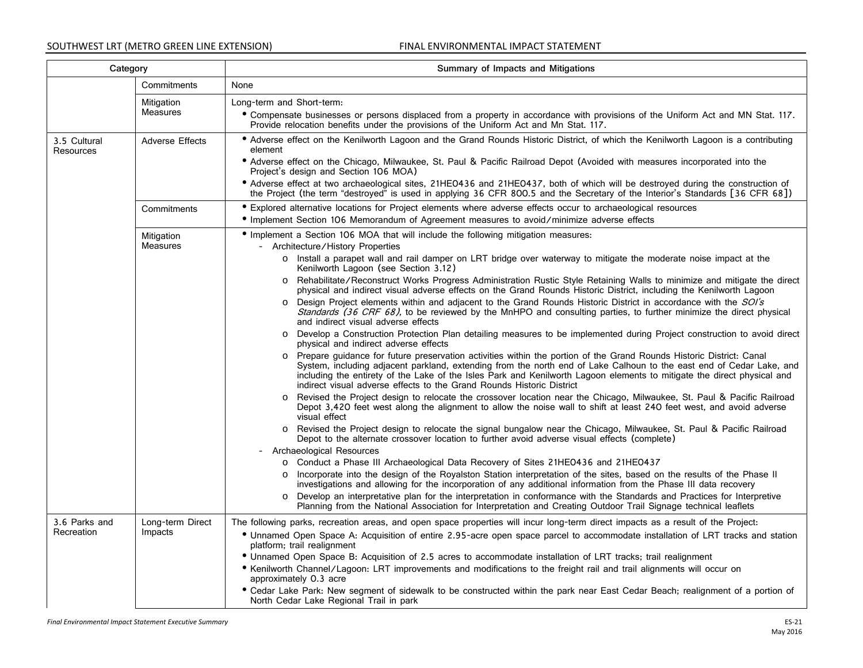| Category                  |                        | Summary of Impacts and Mitigations                                                                                                                                                                                                                                                                                                                                                                                                                |
|---------------------------|------------------------|---------------------------------------------------------------------------------------------------------------------------------------------------------------------------------------------------------------------------------------------------------------------------------------------------------------------------------------------------------------------------------------------------------------------------------------------------|
|                           | Commitments            | None                                                                                                                                                                                                                                                                                                                                                                                                                                              |
|                           | Mitigation             | Long-term and Short-term:                                                                                                                                                                                                                                                                                                                                                                                                                         |
|                           | <b>Measures</b>        | • Compensate businesses or persons displaced from a property in accordance with provisions of the Uniform Act and MN Stat. 117.<br>Provide relocation benefits under the provisions of the Uniform Act and Mn Stat. 117.                                                                                                                                                                                                                          |
| 3.5 Cultural<br>Resources | <b>Adverse Effects</b> | • Adverse effect on the Kenilworth Lagoon and the Grand Rounds Historic District, of which the Kenilworth Lagoon is a contributing<br>element                                                                                                                                                                                                                                                                                                     |
|                           |                        | • Adverse effect on the Chicago, Milwaukee, St. Paul & Pacific Railroad Depot (Avoided with measures incorporated into the<br>Project's design and Section 106 MOA)                                                                                                                                                                                                                                                                               |
|                           |                        | • Adverse effect at two archaeological sites, 21HEO436 and 21HEO437, both of which will be destroyed during the construction of<br>the Project (the term "destroyed" is used in applying 36 CFR 800.5 and the Secretary of the Interior's Standards [36 CFR 68])                                                                                                                                                                                  |
|                           | Commitments            | • Explored alternative locations for Project elements where adverse effects occur to archaeological resources                                                                                                                                                                                                                                                                                                                                     |
|                           |                        | • Implement Section 106 Memorandum of Agreement measures to avoid/minimize adverse effects                                                                                                                                                                                                                                                                                                                                                        |
|                           | Mitigation             | • Implement a Section 106 MOA that will include the following mitigation measures:                                                                                                                                                                                                                                                                                                                                                                |
|                           | <b>Measures</b>        | - Architecture/History Properties                                                                                                                                                                                                                                                                                                                                                                                                                 |
|                           |                        | o Install a parapet wall and rail damper on LRT bridge over waterway to mitigate the moderate noise impact at the<br>Kenilworth Lagoon (see Section 3.12)                                                                                                                                                                                                                                                                                         |
|                           |                        | Rehabilitate/Reconstruct Works Progress Administration Rustic Style Retaining Walls to minimize and mitigate the direct<br>$\circ$<br>physical and indirect visual adverse effects on the Grand Rounds Historic District, including the Kenilworth Lagoon                                                                                                                                                                                         |
|                           |                        | Design Project elements within and adjacent to the Grand Rounds Historic District in accordance with the SOI's<br>Standards (36 CRF 68), to be reviewed by the MnHPO and consulting parties, to further minimize the direct physical<br>and indirect visual adverse effects                                                                                                                                                                       |
|                           |                        | o Develop a Construction Protection Plan detailing measures to be implemented during Project construction to avoid direct<br>physical and indirect adverse effects                                                                                                                                                                                                                                                                                |
|                           |                        | o Prepare guidance for future preservation activities within the portion of the Grand Rounds Historic District: Canal<br>System, including adjacent parkland, extending from the north end of Lake Calhoun to the east end of Cedar Lake, and<br>including the entirety of the Lake of the Isles Park and Kenilworth Lagoon elements to mitigate the direct physical and<br>indirect visual adverse effects to the Grand Rounds Historic District |
|                           |                        | Revised the Project design to relocate the crossover location near the Chicago, Milwaukee, St. Paul & Pacific Railroad<br>Depot 3,420 feet west along the alignment to allow the noise wall to shift at least 240 feet west, and avoid adverse<br>visual effect                                                                                                                                                                                   |
|                           |                        | o Revised the Project design to relocate the signal bungalow near the Chicago, Milwaukee, St. Paul & Pacific Railroad<br>Depot to the alternate crossover location to further avoid adverse visual effects (complete)                                                                                                                                                                                                                             |
|                           |                        | - Archaeological Resources                                                                                                                                                                                                                                                                                                                                                                                                                        |
|                           |                        | ○ Conduct a Phase III Archaeological Data Recovery of Sites 21HE0436 and 21HE0437                                                                                                                                                                                                                                                                                                                                                                 |
|                           |                        | Incorporate into the design of the Royalston Station interpretation of the sites, based on the results of the Phase II<br>$\circ$<br>investigations and allowing for the incorporation of any additional information from the Phase III data recovery                                                                                                                                                                                             |
|                           |                        | Develop an interpretative plan for the interpretation in conformance with the Standards and Practices for Interpretive<br>$\circ$<br>Planning from the National Association for Interpretation and Creating Outdoor Trail Signage technical leaflets                                                                                                                                                                                              |
| 3.6 Parks and             | Long-term Direct       | The following parks, recreation areas, and open space properties will incur long-term direct impacts as a result of the Project:                                                                                                                                                                                                                                                                                                                  |
| Recreation                | Impacts                | • Unnamed Open Space A: Acquisition of entire 2.95-acre open space parcel to accommodate installation of LRT tracks and station<br>platform; trail realignment                                                                                                                                                                                                                                                                                    |
|                           |                        | • Unnamed Open Space B: Acquisition of 2.5 acres to accommodate installation of LRT tracks; trail realignment                                                                                                                                                                                                                                                                                                                                     |
|                           |                        | • Kenilworth Channel/Lagoon: LRT improvements and modifications to the freight rail and trail alignments will occur on<br>approximately 0.3 acre                                                                                                                                                                                                                                                                                                  |
|                           |                        | • Cedar Lake Park: New segment of sidewalk to be constructed within the park near East Cedar Beach; realignment of a portion of<br>North Cedar Lake Regional Trail in park                                                                                                                                                                                                                                                                        |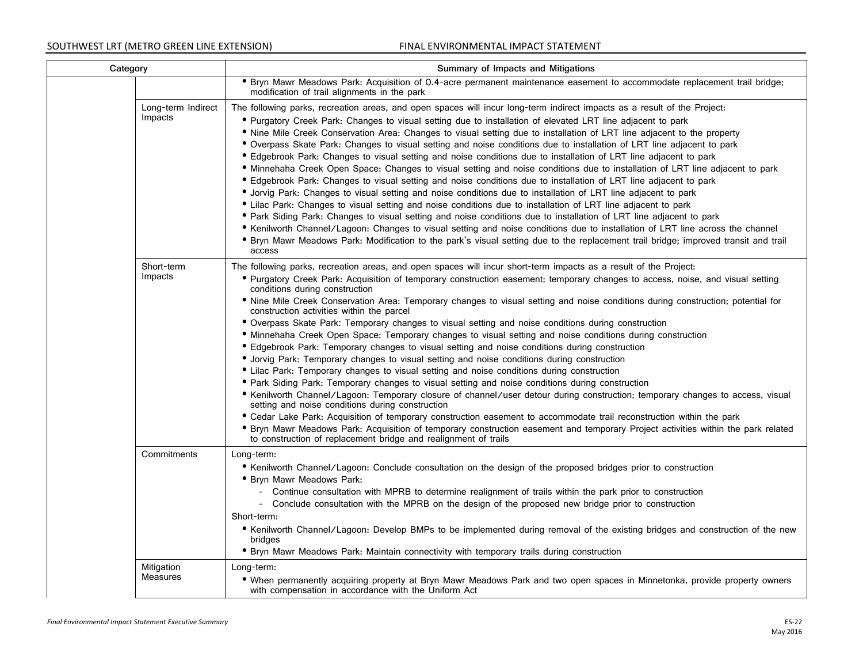| Category                      | Summary of Impacts and Mitigations                                                                                                                                                                                                                                                                                                                                                                                                                                                                                                                                                                                                                                                                                                                                                                                                                                                                                                                                                                                                                                                                                                                                                                                                                                                                                                                                                                                                                                                                                                                                                                                   |
|-------------------------------|----------------------------------------------------------------------------------------------------------------------------------------------------------------------------------------------------------------------------------------------------------------------------------------------------------------------------------------------------------------------------------------------------------------------------------------------------------------------------------------------------------------------------------------------------------------------------------------------------------------------------------------------------------------------------------------------------------------------------------------------------------------------------------------------------------------------------------------------------------------------------------------------------------------------------------------------------------------------------------------------------------------------------------------------------------------------------------------------------------------------------------------------------------------------------------------------------------------------------------------------------------------------------------------------------------------------------------------------------------------------------------------------------------------------------------------------------------------------------------------------------------------------------------------------------------------------------------------------------------------------|
|                               | . Bryn Mawr Meadows Park: Acquisition of 0.4-acre permanent maintenance easement to accommodate replacement trail bridge;<br>modification of trail alignments in the park                                                                                                                                                                                                                                                                                                                                                                                                                                                                                                                                                                                                                                                                                                                                                                                                                                                                                                                                                                                                                                                                                                                                                                                                                                                                                                                                                                                                                                            |
| Long-term Indirect<br>Impacts | The following parks, recreation areas, and open spaces will incur long-term indirect impacts as a result of the Project:<br>• Purgatory Creek Park: Changes to visual setting due to installation of elevated LRT line adjacent to park<br>• Nine Mile Creek Conservation Area: Changes to visual setting due to installation of LRT line adjacent to the property<br>• Overpass Skate Park: Changes to visual setting and noise conditions due to installation of LRT line adjacent to park<br>• Edgebrook Park: Changes to visual setting and noise conditions due to installation of LRT line adjacent to park<br>· Minnehaha Creek Open Space: Changes to visual setting and noise conditions due to installation of LRT line adjacent to park<br>• Edgebrook Park: Changes to visual setting and noise conditions due to installation of LRT line adjacent to park<br>• Jorvig Park: Changes to visual setting and noise conditions due to installation of LRT line adjacent to park<br>• Lilac Park: Changes to visual setting and noise conditions due to installation of LRT line adjacent to park<br>• Park Siding Park: Changes to visual setting and noise conditions due to installation of LRT line adjacent to park<br>• Kenilworth Channel/Lagoon: Changes to visual setting and noise conditions due to installation of LRT line across the channel<br>• Bryn Mawr Meadows Park: Modification to the park's visual setting due to the replacement trail bridge; improved transit and trail<br>access                                                                                                 |
| Short-term<br>Impacts         | The following parks, recreation areas, and open spaces will incur short-term impacts as a result of the Project:<br>• Purgatory Creek Park: Acquisition of temporary construction easement; temporary changes to access, noise, and visual setting<br>conditions during construction<br>. Nine Mile Creek Conservation Area: Temporary changes to visual setting and noise conditions during construction; potential for<br>construction activities within the parcel<br>• Overpass Skate Park: Temporary changes to visual setting and noise conditions during construction<br>. Minnehaha Creek Open Space: Temporary changes to visual setting and noise conditions during construction<br>• Edgebrook Park: Temporary changes to visual setting and noise conditions during construction<br>• Jorvig Park: Temporary changes to visual setting and noise conditions during construction<br>• Lilac Park: Temporary changes to visual setting and noise conditions during construction<br>• Park Siding Park: Temporary changes to visual setting and noise conditions during construction<br>• Kenilworth Channel/Lagoon: Temporary closure of channel/user detour during construction; temporary changes to access, visual<br>setting and noise conditions during construction<br>• Cedar Lake Park: Acquisition of temporary construction easement to accommodate trail reconstruction within the park<br>• Bryn Mawr Meadows Park: Acquisition of temporary construction easement and temporary Project activities within the park related<br>to construction of replacement bridge and realignment of trails |
| Commitments                   | Long-term:<br>• Kenilworth Channel/Lagoon: Conclude consultation on the design of the proposed bridges prior to construction<br><b>• Bryn Mawr Meadows Park:</b><br>- Continue consultation with MPRB to determine realignment of trails within the park prior to construction<br>- Conclude consultation with the MPRB on the design of the proposed new bridge prior to construction<br>Short-term:<br>• Kenilworth Channel/Lagoon: Develop BMPs to be implemented during removal of the existing bridges and construction of the new<br>bridges<br>• Bryn Mawr Meadows Park: Maintain connectivity with temporary trails during construction                                                                                                                                                                                                                                                                                                                                                                                                                                                                                                                                                                                                                                                                                                                                                                                                                                                                                                                                                                      |
| Mitigation<br><b>Measures</b> | Long-term:<br>• When permanently acquiring property at Bryn Mawr Meadows Park and two open spaces in Minnetonka, provide property owners<br>with compensation in accordance with the Uniform Act                                                                                                                                                                                                                                                                                                                                                                                                                                                                                                                                                                                                                                                                                                                                                                                                                                                                                                                                                                                                                                                                                                                                                                                                                                                                                                                                                                                                                     |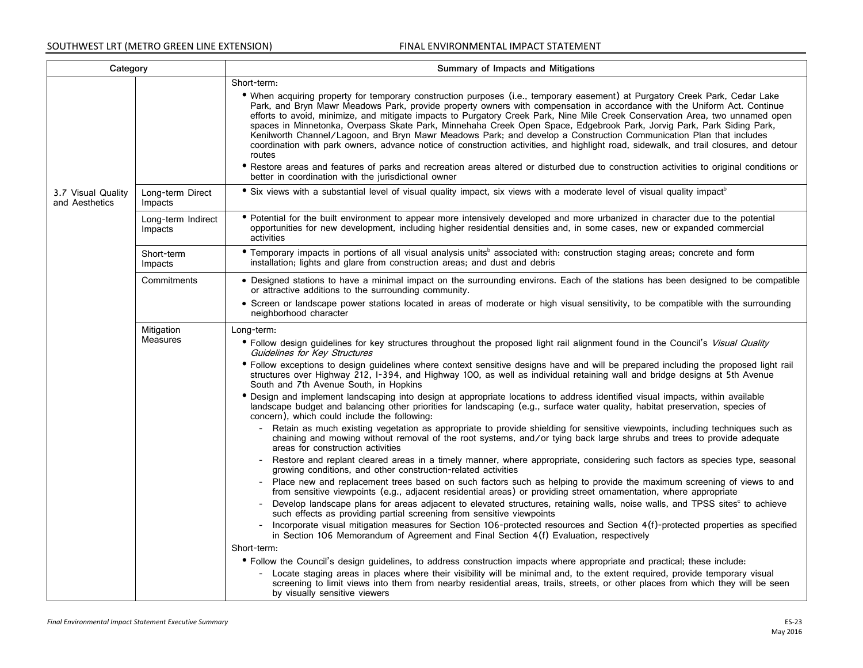| Category                             |                               | Summary of Impacts and Mitigations                                                                                                                                                                                                                                                                                                                                                                                                                                                                                                                                                                                                                                                                                                                                                                                                                                                                                                                                                               |
|--------------------------------------|-------------------------------|--------------------------------------------------------------------------------------------------------------------------------------------------------------------------------------------------------------------------------------------------------------------------------------------------------------------------------------------------------------------------------------------------------------------------------------------------------------------------------------------------------------------------------------------------------------------------------------------------------------------------------------------------------------------------------------------------------------------------------------------------------------------------------------------------------------------------------------------------------------------------------------------------------------------------------------------------------------------------------------------------|
|                                      |                               | Short-term:                                                                                                                                                                                                                                                                                                                                                                                                                                                                                                                                                                                                                                                                                                                                                                                                                                                                                                                                                                                      |
|                                      |                               | . When acquiring property for temporary construction purposes (i.e., temporary easement) at Purgatory Creek Park, Cedar Lake<br>Park, and Bryn Mawr Meadows Park, provide property owners with compensation in accordance with the Uniform Act. Continue<br>efforts to avoid, minimize, and mitigate impacts to Purgatory Creek Park, Nine Mile Creek Conservation Area, two unnamed open<br>spaces in Minnetonka, Overpass Skate Park, Minnehaha Creek Open Space, Edgebrook Park, Jorvig Park, Park Siding Park,<br>Kenilworth Channel/Lagoon, and Bryn Mawr Meadows Park; and develop a Construction Communication Plan that includes<br>coordination with park owners, advance notice of construction activities, and highlight road, sidewalk, and trail closures, and detour<br>routes<br>• Restore areas and features of parks and recreation areas altered or disturbed due to construction activities to original conditions or<br>better in coordination with the jurisdictional owner |
| 3.7 Visual Quality<br>and Aesthetics | Long-term Direct<br>Impacts   | • Six views with a substantial level of visual quality impact, six views with a moderate level of visual quality impact <sup>b</sup>                                                                                                                                                                                                                                                                                                                                                                                                                                                                                                                                                                                                                                                                                                                                                                                                                                                             |
|                                      | Long-term Indirect<br>Impacts | • Potential for the built environment to appear more intensively developed and more urbanized in character due to the potential<br>opportunities for new development, including higher residential densities and, in some cases, new or expanded commercial<br>activities                                                                                                                                                                                                                                                                                                                                                                                                                                                                                                                                                                                                                                                                                                                        |
|                                      | Short-term<br>Impacts         | • Temporary impacts in portions of all visual analysis units <sup>b</sup> associated with: construction staging areas; concrete and form<br>installation; lights and glare from construction areas; and dust and debris                                                                                                                                                                                                                                                                                                                                                                                                                                                                                                                                                                                                                                                                                                                                                                          |
|                                      | Commitments                   | • Designed stations to have a minimal impact on the surrounding environs. Each of the stations has been designed to be compatible<br>or attractive additions to the surrounding community.                                                                                                                                                                                                                                                                                                                                                                                                                                                                                                                                                                                                                                                                                                                                                                                                       |
|                                      |                               | • Screen or landscape power stations located in areas of moderate or high visual sensitivity, to be compatible with the surrounding<br>neighborhood character                                                                                                                                                                                                                                                                                                                                                                                                                                                                                                                                                                                                                                                                                                                                                                                                                                    |
| Mitigation                           |                               | Long-term:                                                                                                                                                                                                                                                                                                                                                                                                                                                                                                                                                                                                                                                                                                                                                                                                                                                                                                                                                                                       |
|                                      | <b>Measures</b>               | • Follow design guidelines for key structures throughout the proposed light rail alignment found in the Council's Visual Quality<br>Guidelines for Key Structures                                                                                                                                                                                                                                                                                                                                                                                                                                                                                                                                                                                                                                                                                                                                                                                                                                |
|                                      |                               | • Follow exceptions to design quidelines where context sensitive designs have and will be prepared including the proposed light rail<br>structures over Highway 212, I-394, and Highway 100, as well as individual retaining wall and bridge designs at 5th Avenue<br>South and 7th Avenue South, in Hopkins                                                                                                                                                                                                                                                                                                                                                                                                                                                                                                                                                                                                                                                                                     |
|                                      |                               | • Design and implement landscaping into design at appropriate locations to address identified visual impacts, within available<br>landscape budget and balancing other priorities for landscaping (e.g., surface water quality, habitat preservation, species of<br>concern), which could include the following:                                                                                                                                                                                                                                                                                                                                                                                                                                                                                                                                                                                                                                                                                 |
|                                      |                               | Retain as much existing vegetation as appropriate to provide shielding for sensitive viewpoints, including techniques such as<br>chaining and mowing without removal of the root systems, and/or tying back large shrubs and trees to provide adequate<br>areas for construction activities                                                                                                                                                                                                                                                                                                                                                                                                                                                                                                                                                                                                                                                                                                      |
|                                      |                               | Restore and replant cleared areas in a timely manner, where appropriate, considering such factors as species type, seasonal<br>growing conditions, and other construction-related activities                                                                                                                                                                                                                                                                                                                                                                                                                                                                                                                                                                                                                                                                                                                                                                                                     |
|                                      |                               | - Place new and replacement trees based on such factors such as helping to provide the maximum screening of views to and<br>from sensitive viewpoints (e.g., adjacent residential areas) or providing street ornamentation, where appropriate                                                                                                                                                                                                                                                                                                                                                                                                                                                                                                                                                                                                                                                                                                                                                    |
|                                      |                               | Develop landscape plans for areas adjacent to elevated structures, retaining walls, noise walls, and TPSS sites to achieve<br>such effects as providing partial screening from sensitive viewpoints                                                                                                                                                                                                                                                                                                                                                                                                                                                                                                                                                                                                                                                                                                                                                                                              |
|                                      |                               | - Incorporate visual mitigation measures for Section 106-protected resources and Section 4(f)-protected properties as specified<br>in Section 106 Memorandum of Agreement and Final Section 4(f) Evaluation, respectively                                                                                                                                                                                                                                                                                                                                                                                                                                                                                                                                                                                                                                                                                                                                                                        |
|                                      |                               | Short-term:                                                                                                                                                                                                                                                                                                                                                                                                                                                                                                                                                                                                                                                                                                                                                                                                                                                                                                                                                                                      |
|                                      |                               | • Follow the Council's design guidelines, to address construction impacts where appropriate and practical; these include:                                                                                                                                                                                                                                                                                                                                                                                                                                                                                                                                                                                                                                                                                                                                                                                                                                                                        |
|                                      |                               | Locate staging areas in places where their visibility will be minimal and, to the extent required, provide temporary visual<br>screening to limit views into them from nearby residential areas, trails, streets, or other places from which they will be seen<br>by visually sensitive viewers                                                                                                                                                                                                                                                                                                                                                                                                                                                                                                                                                                                                                                                                                                  |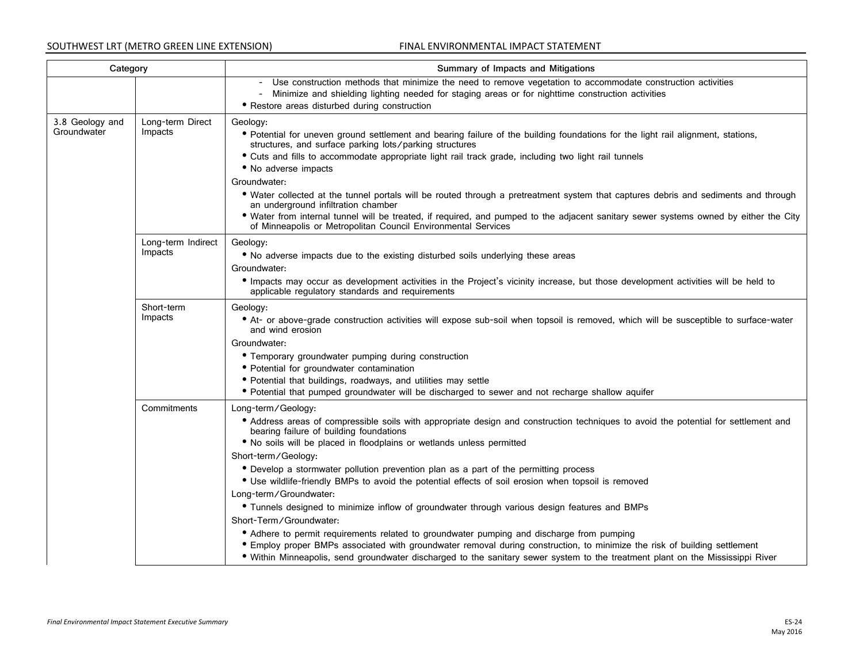| Category                       |                               | Summary of Impacts and Mitigations                                                                                                                                                                                                                                                                                                                                                                                                                                                                                                                                                                                                                                                                                                                                                                                                                                                                                                                                                                                    |
|--------------------------------|-------------------------------|-----------------------------------------------------------------------------------------------------------------------------------------------------------------------------------------------------------------------------------------------------------------------------------------------------------------------------------------------------------------------------------------------------------------------------------------------------------------------------------------------------------------------------------------------------------------------------------------------------------------------------------------------------------------------------------------------------------------------------------------------------------------------------------------------------------------------------------------------------------------------------------------------------------------------------------------------------------------------------------------------------------------------|
|                                |                               | - Use construction methods that minimize the need to remove vegetation to accommodate construction activities<br>- Minimize and shielding lighting needed for staging areas or for nighttime construction activities<br>• Restore areas disturbed during construction                                                                                                                                                                                                                                                                                                                                                                                                                                                                                                                                                                                                                                                                                                                                                 |
| 3.8 Geology and<br>Groundwater | Long-term Direct<br>Impacts   | Geology:<br>• Potential for uneven ground settlement and bearing failure of the building foundations for the light rail alignment, stations,<br>structures, and surface parking lots/parking structures<br>• Cuts and fills to accommodate appropriate light rail track grade, including two light rail tunnels<br>• No adverse impacts<br>Groundwater:<br>• Water collected at the tunnel portals will be routed through a pretreatment system that captures debris and sediments and through<br>an underground infiltration chamber<br>• Water from internal tunnel will be treated, if required, and pumped to the adjacent sanitary sewer systems owned by either the City<br>of Minneapolis or Metropolitan Council Environmental Services                                                                                                                                                                                                                                                                       |
|                                | Long-term Indirect<br>Impacts | Geology:<br>• No adverse impacts due to the existing disturbed soils underlying these areas<br>Groundwater:<br>• Impacts may occur as development activities in the Project's vicinity increase, but those development activities will be held to<br>applicable regulatory standards and requirements                                                                                                                                                                                                                                                                                                                                                                                                                                                                                                                                                                                                                                                                                                                 |
|                                | Short-term<br>Impacts         | Geology:<br>• At- or above-grade construction activities will expose sub-soil when topsoil is removed, which will be susceptible to surface-water<br>and wind erosion<br>Groundwater:<br>• Temporary groundwater pumping during construction<br>• Potential for groundwater contamination<br>· Potential that buildings, roadways, and utilities may settle<br>• Potential that pumped groundwater will be discharged to sewer and not recharge shallow aguifer                                                                                                                                                                                                                                                                                                                                                                                                                                                                                                                                                       |
|                                | Commitments                   | Long-term/Geology:<br>• Address areas of compressible soils with appropriate design and construction techniques to avoid the potential for settlement and<br>bearing failure of building foundations<br>• No soils will be placed in floodplains or wetlands unless permitted<br>Short-term/Geology:<br>• Develop a stormwater pollution prevention plan as a part of the permitting process<br>• Use wildlife-friendly BMPs to avoid the potential effects of soil erosion when topsoil is removed<br>Long-term/Groundwater:<br>• Tunnels designed to minimize inflow of groundwater through various design features and BMPs<br>Short-Term/Groundwater:<br>• Adhere to permit requirements related to groundwater pumping and discharge from pumping<br>• Employ proper BMPs associated with groundwater removal during construction, to minimize the risk of building settlement<br>• Within Minneapolis, send groundwater discharged to the sanitary sewer system to the treatment plant on the Mississippi River |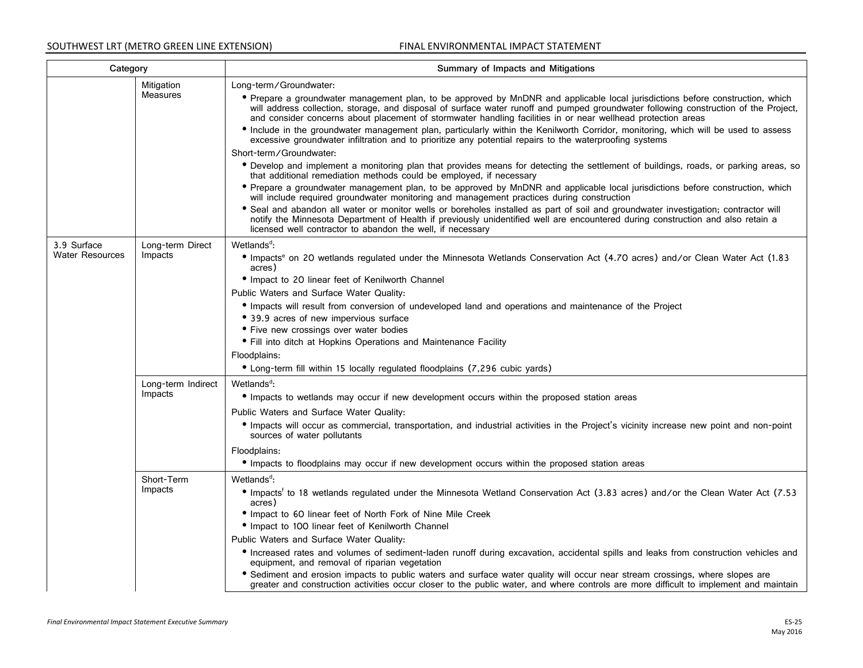| Category                              |                               | Summary of Impacts and Mitigations                                                                                                                                                                                                                                                                                                                                                                                                                                                                                                                                                                                                                                                                                                                                                                                                    |
|---------------------------------------|-------------------------------|---------------------------------------------------------------------------------------------------------------------------------------------------------------------------------------------------------------------------------------------------------------------------------------------------------------------------------------------------------------------------------------------------------------------------------------------------------------------------------------------------------------------------------------------------------------------------------------------------------------------------------------------------------------------------------------------------------------------------------------------------------------------------------------------------------------------------------------|
|                                       | Mitigation<br>Measures        | Long-term/Groundwater:<br>• Prepare a groundwater management plan, to be approved by MnDNR and applicable local jurisdictions before construction, which<br>will address collection, storage, and disposal of surface water runoff and pumped groundwater following construction of the Project,<br>and consider concerns about placement of stormwater handling facilities in or near wellhead protection areas<br>• Include in the groundwater management plan, particularly within the Kenilworth Corridor, monitoring, which will be used to assess<br>excessive groundwater infiltration and to prioritize any potential repairs to the waterproofing systems<br>Short-term/Groundwater:<br>• Develop and implement a monitoring plan that provides means for detecting the settlement of buildings, roads, or parking areas, so |
|                                       |                               | that additional remediation methods could be employed, if necessary<br>• Prepare a groundwater management plan, to be approved by MnDNR and applicable local jurisdictions before construction, which<br>will include required groundwater monitoring and management practices during construction<br>• Seal and abandon all water or monitor wells or boreholes installed as part of soil and groundwater investigation; contractor will<br>notify the Minnesota Department of Health if previously unidentified well are encountered during construction and also retain a<br>licensed well contractor to abandon the well, if necessary                                                                                                                                                                                            |
| 3.9 Surface<br><b>Water Resources</b> | Long-term Direct<br>Impacts   | Wetlands <sup>d</sup> :<br>· Impacts <sup>e</sup> on 20 wetlands regulated under the Minnesota Wetlands Conservation Act (4.70 acres) and/or Clean Water Act (1.83<br>acres)<br>• Impact to 20 linear feet of Kenilworth Channel<br>Public Waters and Surface Water Quality:<br>· Impacts will result from conversion of undeveloped land and operations and maintenance of the Project<br>• 39.9 acres of new impervious surface<br>• Five new crossings over water bodies<br>• Fill into ditch at Hopkins Operations and Maintenance Facility<br>Floodplains:<br>• Long-term fill within 15 locally regulated floodplains (7,296 cubic yards)                                                                                                                                                                                       |
|                                       | Long-term Indirect<br>Impacts | Wetlands <sup>d</sup> :<br>• Impacts to wetlands may occur if new development occurs within the proposed station areas<br>Public Waters and Surface Water Quality:<br>• Impacts will occur as commercial, transportation, and industrial activities in the Project's vicinity increase new point and non-point<br>sources of water pollutants<br>Floodplains:<br>• Impacts to floodplains may occur if new development occurs within the proposed station areas                                                                                                                                                                                                                                                                                                                                                                       |
|                                       | Short-Term<br>Impacts         | Wetlands <sup>d</sup> :<br>• Impacts <sup>†</sup> to 18 wetlands regulated under the Minnesota Wetland Conservation Act (3.83 acres) and/or the Clean Water Act (7.53<br>acres)<br>• Impact to 60 linear feet of North Fork of Nine Mile Creek<br>• Impact to 100 linear feet of Kenilworth Channel<br>Public Waters and Surface Water Quality:<br>• Increased rates and volumes of sediment-laden runoff during excavation, accidental spills and leaks from construction vehicles and<br>equipment, and removal of riparian vegetation<br>• Sediment and erosion impacts to public waters and surface water quality will occur near stream crossings, where slopes are<br>greater and construction activities occur closer to the public water, and where controls are more difficult to implement and maintain                     |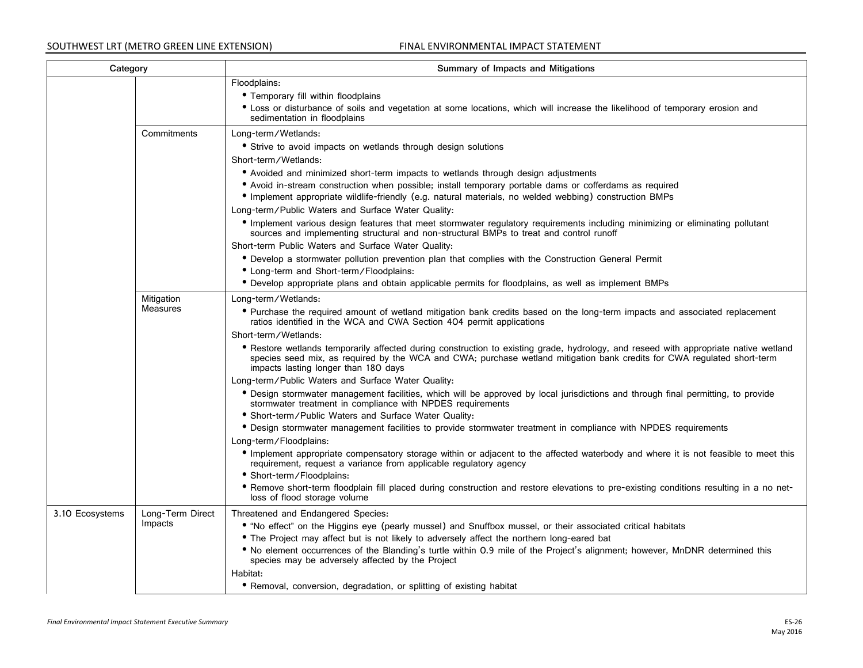| Category        |                               | Summary of Impacts and Mitigations                                                                                                                                                                                                                                                                                                                                                                                                                                                                                                                                                                                                                                                                                                                                                                                                                                                                                                                                                                                                                                                                                                                                                                                                                                                                                                                                                                                                               |
|-----------------|-------------------------------|--------------------------------------------------------------------------------------------------------------------------------------------------------------------------------------------------------------------------------------------------------------------------------------------------------------------------------------------------------------------------------------------------------------------------------------------------------------------------------------------------------------------------------------------------------------------------------------------------------------------------------------------------------------------------------------------------------------------------------------------------------------------------------------------------------------------------------------------------------------------------------------------------------------------------------------------------------------------------------------------------------------------------------------------------------------------------------------------------------------------------------------------------------------------------------------------------------------------------------------------------------------------------------------------------------------------------------------------------------------------------------------------------------------------------------------------------|
|                 |                               | Floodplains:<br>• Temporary fill within floodplains<br>• Loss or disturbance of soils and vegetation at some locations, which will increase the likelihood of temporary erosion and<br>sedimentation in floodplains                                                                                                                                                                                                                                                                                                                                                                                                                                                                                                                                                                                                                                                                                                                                                                                                                                                                                                                                                                                                                                                                                                                                                                                                                              |
|                 | Commitments                   | Long-term/Wetlands:<br>• Strive to avoid impacts on wetlands through design solutions<br>Short-term/Wetlands:<br>• Avoided and minimized short-term impacts to wetlands through design adjustments<br>· Avoid in-stream construction when possible; install temporary portable dams or cofferdams as required<br>· Implement appropriate wildlife-friendly (e.g. natural materials, no welded webbing) construction BMPs<br>Long-term/Public Waters and Surface Water Quality:<br>• Implement various design features that meet stormwater regulatory requirements including minimizing or eliminating pollutant<br>sources and implementing structural and non-structural BMPs to treat and control runoff                                                                                                                                                                                                                                                                                                                                                                                                                                                                                                                                                                                                                                                                                                                                      |
|                 |                               | Short-term Public Waters and Surface Water Quality:<br>• Develop a stormwater pollution prevention plan that complies with the Construction General Permit<br>• Long-term and Short-term/Floodplains:<br>· Develop appropriate plans and obtain applicable permits for floodplains, as well as implement BMPs                                                                                                                                                                                                                                                                                                                                                                                                                                                                                                                                                                                                                                                                                                                                                                                                                                                                                                                                                                                                                                                                                                                                    |
|                 | Mitigation<br><b>Measures</b> | Long-term/Wetlands:<br>• Purchase the required amount of wetland mitigation bank credits based on the long-term impacts and associated replacement<br>ratios identified in the WCA and CWA Section 404 permit applications<br>Short-term/Wetlands:<br>• Restore wetlands temporarily affected during construction to existing grade, hydrology, and reseed with appropriate native wetland<br>species seed mix, as required by the WCA and CWA; purchase wetland mitigation bank credits for CWA regulated short-term<br>impacts lasting longer than 180 days<br>Long-term/Public Waters and Surface Water Quality:<br>• Design stormwater management facilities, which will be approved by local jurisdictions and through final permitting, to provide<br>stormwater treatment in compliance with NPDES requirements<br>• Short-term/Public Waters and Surface Water Quality:<br>• Design stormwater management facilities to provide stormwater treatment in compliance with NPDES requirements<br>Long-term/Floodplains:<br>• Implement appropriate compensatory storage within or adjacent to the affected waterbody and where it is not feasible to meet this<br>requirement, request a variance from applicable regulatory agency<br>· Short-term/Floodplains:<br>• Remove short-term floodplain fill placed during construction and restore elevations to pre-existing conditions resulting in a no net-<br>loss of flood storage volume |
| 3.10 Ecosystems | Long-Term Direct<br>Impacts   | Threatened and Endangered Species:<br>• "No effect" on the Higgins eye (pearly mussel) and Snuffbox mussel, or their associated critical habitats<br>• The Project may affect but is not likely to adversely affect the northern long-eared bat<br>• No element occurrences of the Blanding's turtle within 0.9 mile of the Project's alignment; however, MnDNR determined this<br>species may be adversely affected by the Project<br>Habitat:<br>• Removal, conversion, degradation, or splitting of existing habitat                                                                                                                                                                                                                                                                                                                                                                                                                                                                                                                                                                                                                                                                                                                                                                                                                                                                                                                          |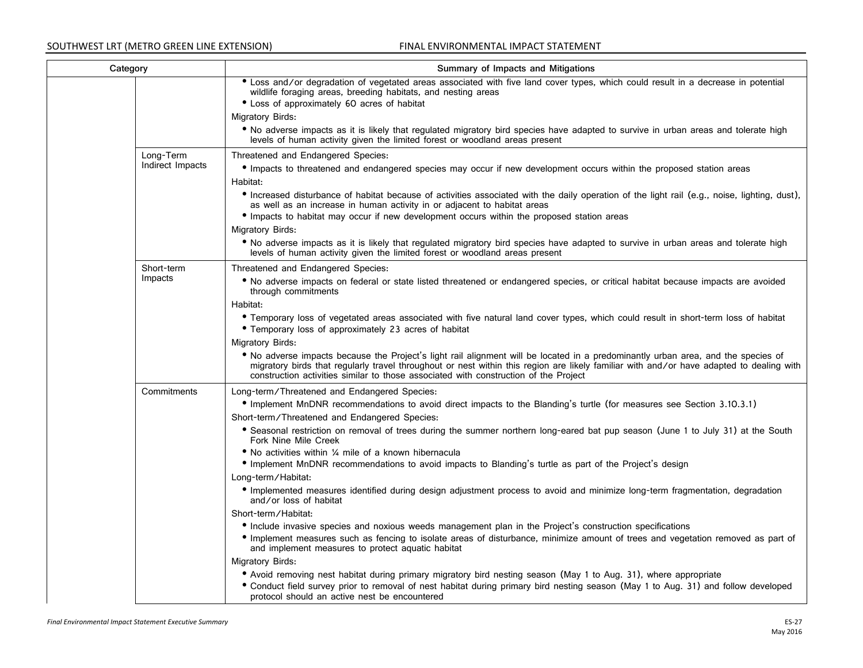| Category |                  | Summary of Impacts and Mitigations                                                                                                                                                                                                                                                                                                                                    |
|----------|------------------|-----------------------------------------------------------------------------------------------------------------------------------------------------------------------------------------------------------------------------------------------------------------------------------------------------------------------------------------------------------------------|
|          |                  | • Loss and/or degradation of vegetated areas associated with five land cover types, which could result in a decrease in potential<br>wildlife foraging areas, breeding habitats, and nesting areas                                                                                                                                                                    |
|          |                  | • Loss of approximately 60 acres of habitat                                                                                                                                                                                                                                                                                                                           |
|          |                  | Migratory Birds:                                                                                                                                                                                                                                                                                                                                                      |
|          |                  | • No adverse impacts as it is likely that regulated migratory bird species have adapted to survive in urban areas and tolerate high<br>levels of human activity given the limited forest or woodland areas present                                                                                                                                                    |
|          | Long-Term        | Threatened and Endangered Species:                                                                                                                                                                                                                                                                                                                                    |
|          | Indirect Impacts | • Impacts to threatened and endangered species may occur if new development occurs within the proposed station areas                                                                                                                                                                                                                                                  |
|          |                  | Habitat:                                                                                                                                                                                                                                                                                                                                                              |
|          |                  | • Increased disturbance of habitat because of activities associated with the daily operation of the light rail (e.g., noise, lighting, dust),<br>as well as an increase in human activity in or adjacent to habitat areas                                                                                                                                             |
|          |                  | • Impacts to habitat may occur if new development occurs within the proposed station areas                                                                                                                                                                                                                                                                            |
|          |                  | Migratory Birds:                                                                                                                                                                                                                                                                                                                                                      |
|          |                  | • No adverse impacts as it is likely that regulated migratory bird species have adapted to survive in urban areas and tolerate high<br>levels of human activity given the limited forest or woodland areas present                                                                                                                                                    |
|          | Short-term       | Threatened and Endangered Species:                                                                                                                                                                                                                                                                                                                                    |
|          | Impacts          | • No adverse impacts on federal or state listed threatened or endangered species, or critical habitat because impacts are avoided<br>through commitments                                                                                                                                                                                                              |
|          |                  | Habitat:                                                                                                                                                                                                                                                                                                                                                              |
|          |                  | • Temporary loss of vegetated areas associated with five natural land cover types, which could result in short-term loss of habitat                                                                                                                                                                                                                                   |
|          |                  | • Temporary loss of approximately 23 acres of habitat                                                                                                                                                                                                                                                                                                                 |
|          |                  | Migratory Birds:                                                                                                                                                                                                                                                                                                                                                      |
|          |                  | • No adverse impacts because the Project's light rail alignment will be located in a predominantly urban area, and the species of<br>migratory birds that regularly travel throughout or nest within this region are likely familiar with and/or have adapted to dealing with<br>construction activities similar to those associated with construction of the Project |
|          | Commitments      | Long-term/Threatened and Endangered Species:                                                                                                                                                                                                                                                                                                                          |
|          |                  | • Implement MnDNR recommendations to avoid direct impacts to the Blanding's turtle (for measures see Section 3.10.3.1)                                                                                                                                                                                                                                                |
|          |                  | Short-term/Threatened and Endangered Species:                                                                                                                                                                                                                                                                                                                         |
|          |                  | • Seasonal restriction on removal of trees during the summer northern long-eared bat pup season (June 1 to July 31) at the South<br>Fork Nine Mile Creek                                                                                                                                                                                                              |
|          |                  | • No activities within 1/4 mile of a known hibernacula                                                                                                                                                                                                                                                                                                                |
|          |                  | • Implement MnDNR recommendations to avoid impacts to Blanding's turtle as part of the Project's design                                                                                                                                                                                                                                                               |
|          |                  | Long-term/Habitat:                                                                                                                                                                                                                                                                                                                                                    |
|          |                  | • Implemented measures identified during design adjustment process to avoid and minimize long-term fragmentation, degradation<br>and/or loss of habitat                                                                                                                                                                                                               |
|          |                  | Short-term/Habitat:                                                                                                                                                                                                                                                                                                                                                   |
|          |                  | • Include invasive species and noxious weeds management plan in the Project's construction specifications                                                                                                                                                                                                                                                             |
|          |                  | · Implement measures such as fencing to isolate areas of disturbance, minimize amount of trees and vegetation removed as part of<br>and implement measures to protect aquatic habitat                                                                                                                                                                                 |
|          |                  | Migratory Birds:                                                                                                                                                                                                                                                                                                                                                      |
|          |                  | • Avoid removing nest habitat during primary migratory bird nesting season (May 1 to Aug. 31), where appropriate                                                                                                                                                                                                                                                      |
|          |                  | • Conduct field survey prior to removal of nest habitat during primary bird nesting season (May 1 to Aug. 31) and follow developed<br>protocol should an active nest be encountered                                                                                                                                                                                   |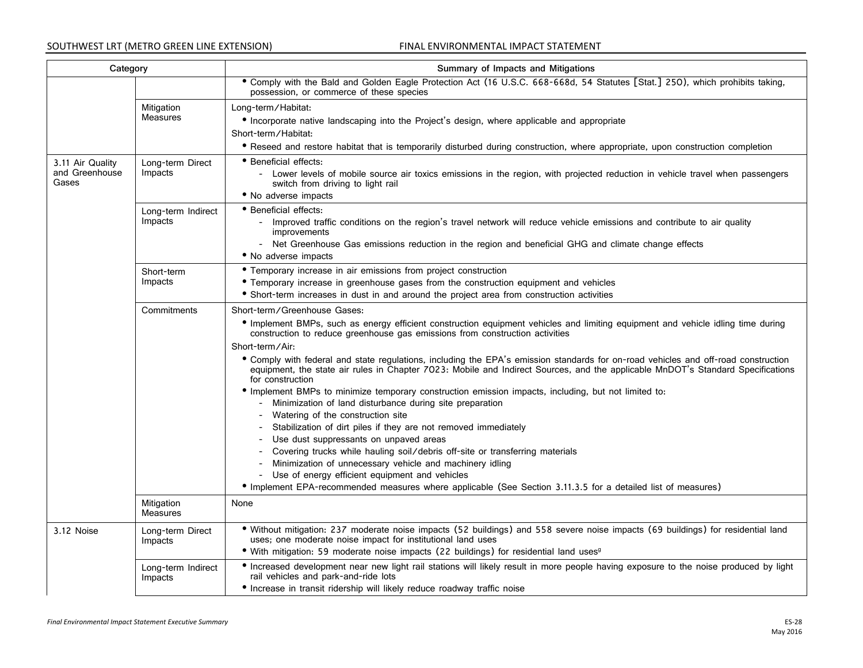| Category                                    |                               | Summary of Impacts and Mitigations                                                                                                                                                                                                                                                                                                                                                                                                                                                                                                                                                                                                                                                                                                                                                                                                                                                                                                                                                                                                                                                                                                                                                                               |
|---------------------------------------------|-------------------------------|------------------------------------------------------------------------------------------------------------------------------------------------------------------------------------------------------------------------------------------------------------------------------------------------------------------------------------------------------------------------------------------------------------------------------------------------------------------------------------------------------------------------------------------------------------------------------------------------------------------------------------------------------------------------------------------------------------------------------------------------------------------------------------------------------------------------------------------------------------------------------------------------------------------------------------------------------------------------------------------------------------------------------------------------------------------------------------------------------------------------------------------------------------------------------------------------------------------|
|                                             |                               | • Comply with the Bald and Golden Eagle Protection Act (16 U.S.C. 668-668d, 54 Statutes [Stat.] 250), which prohibits taking,<br>possession, or commerce of these species                                                                                                                                                                                                                                                                                                                                                                                                                                                                                                                                                                                                                                                                                                                                                                                                                                                                                                                                                                                                                                        |
|                                             | Mitigation<br>Measures        | Long-term/Habitat:<br>• Incorporate native landscaping into the Project's design, where applicable and appropriate<br>Short-term/Habitat:                                                                                                                                                                                                                                                                                                                                                                                                                                                                                                                                                                                                                                                                                                                                                                                                                                                                                                                                                                                                                                                                        |
|                                             |                               | • Reseed and restore habitat that is temporarily disturbed during construction, where appropriate, upon construction completion                                                                                                                                                                                                                                                                                                                                                                                                                                                                                                                                                                                                                                                                                                                                                                                                                                                                                                                                                                                                                                                                                  |
| 3.11 Air Quality<br>and Greenhouse<br>Gases | Long-term Direct<br>Impacts   | • Beneficial effects:<br>- Lower levels of mobile source air toxics emissions in the region, with projected reduction in vehicle travel when passengers<br>switch from driving to light rail<br>• No adverse impacts                                                                                                                                                                                                                                                                                                                                                                                                                                                                                                                                                                                                                                                                                                                                                                                                                                                                                                                                                                                             |
|                                             | Long-term Indirect<br>Impacts | • Beneficial effects:<br>- Improved traffic conditions on the region's travel network will reduce vehicle emissions and contribute to air quality<br>improvements<br>- Net Greenhouse Gas emissions reduction in the region and beneficial GHG and climate change effects<br>• No adverse impacts                                                                                                                                                                                                                                                                                                                                                                                                                                                                                                                                                                                                                                                                                                                                                                                                                                                                                                                |
|                                             | Short-term<br>Impacts         | • Temporary increase in air emissions from project construction<br>• Temporary increase in greenhouse gases from the construction equipment and vehicles<br>• Short-term increases in dust in and around the project area from construction activities                                                                                                                                                                                                                                                                                                                                                                                                                                                                                                                                                                                                                                                                                                                                                                                                                                                                                                                                                           |
|                                             | Commitments                   | Short-term/Greenhouse Gases:<br>• Implement BMPs, such as energy efficient construction equipment vehicles and limiting equipment and vehicle idling time during<br>construction to reduce greenhouse gas emissions from construction activities<br>Short-term/Air:<br>• Comply with federal and state regulations, including the EPA's emission standards for on-road vehicles and off-road construction<br>equipment, the state air rules in Chapter 7023: Mobile and Indirect Sources, and the applicable MnDOT's Standard Specifications<br>for construction<br>• Implement BMPs to minimize temporary construction emission impacts, including, but not limited to:<br>- Minimization of land disturbance during site preparation<br>- Watering of the construction site<br>- Stabilization of dirt piles if they are not removed immediately<br>Use dust suppressants on unpaved areas<br>- Covering trucks while hauling soil/debris off-site or transferring materials<br>- Minimization of unnecessary vehicle and machinery idling<br>- Use of energy efficient equipment and vehicles<br>• Implement EPA-recommended measures where applicable (See Section 3.11.3.5 for a detailed list of measures) |
|                                             | Mitigation<br><b>Measures</b> | None                                                                                                                                                                                                                                                                                                                                                                                                                                                                                                                                                                                                                                                                                                                                                                                                                                                                                                                                                                                                                                                                                                                                                                                                             |
| 3.12 Noise                                  | Long-term Direct<br>Impacts   | . Without mitigation: 237 moderate noise impacts (52 buildings) and 558 severe noise impacts (69 buildings) for residential land<br>uses; one moderate noise impact for institutional land uses<br>• With mitigation: 59 moderate noise impacts (22 buildings) for residential land uses <sup>9</sup>                                                                                                                                                                                                                                                                                                                                                                                                                                                                                                                                                                                                                                                                                                                                                                                                                                                                                                            |
|                                             | Long-term Indirect<br>Impacts | • Increased development near new light rail stations will likely result in more people having exposure to the noise produced by light<br>rail vehicles and park-and-ride lots<br>• Increase in transit ridership will likely reduce roadway traffic noise                                                                                                                                                                                                                                                                                                                                                                                                                                                                                                                                                                                                                                                                                                                                                                                                                                                                                                                                                        |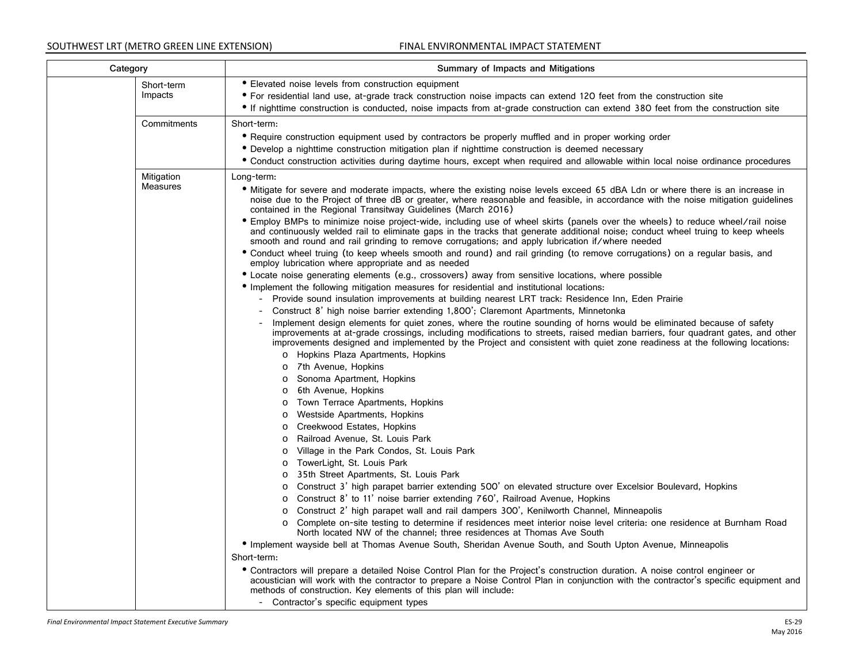| Category               |  | Summary of Impacts and Mitigations                                                                                                                                                                                                                                                                                                                                                                                                                                                    |
|------------------------|--|---------------------------------------------------------------------------------------------------------------------------------------------------------------------------------------------------------------------------------------------------------------------------------------------------------------------------------------------------------------------------------------------------------------------------------------------------------------------------------------|
| Short-term<br>Impacts  |  | • Elevated noise levels from construction equipment<br>• For residential land use, at-grade track construction noise impacts can extend 120 feet from the construction site<br>• If nighttime construction is conducted, noise impacts from at-grade construction can extend 380 feet from the construction site                                                                                                                                                                      |
| Commitments            |  | Short-term:<br>• Require construction equipment used by contractors be properly muffled and in proper working order<br>• Develop a nighttime construction mitigation plan if nighttime construction is deemed necessary<br>• Conduct construction activities during daytime hours, except when required and allowable within local noise ordinance procedures                                                                                                                         |
| Mitigation<br>Measures |  | Long-term:<br>• Mitigate for severe and moderate impacts, where the existing noise levels exceed 65 dBA Ldn or where there is an increase in<br>noise due to the Project of three dB or greater, where reasonable and feasible, in accordance with the noise mitigation guidelines<br>contained in the Regional Transitway Guidelines (March 2016)<br>• Employ BMPs to minimize noise project-wide, including use of wheel skirts (panels over the wheels) to reduce wheel/rail noise |
|                        |  | and continuously welded rail to eliminate gaps in the tracks that generate additional noise; conduct wheel truing to keep wheels<br>smooth and round and rail grinding to remove corrugations; and apply lubrication if/where needed<br>• Conduct wheel truing (to keep wheels smooth and round) and rail grinding (to remove corrugations) on a regular basis, and<br>employ lubrication where appropriate and as needed                                                             |
|                        |  | • Locate noise generating elements (e.g., crossovers) away from sensitive locations, where possible<br>• Implement the following mitigation measures for residential and institutional locations:<br>Provide sound insulation improvements at building nearest LRT track: Residence Inn, Eden Prairie<br>$\overline{\phantom{0}}$<br>Construct 8' high noise barrier extending 1,800'; Claremont Apartments, Minnetonka                                                               |
|                        |  | Implement design elements for quiet zones, where the routine sounding of horns would be eliminated because of safety<br>improvements at at-grade crossings, including modifications to streets, raised median barriers, four quadrant gates, and other<br>improvements designed and implemented by the Project and consistent with quiet zone readiness at the following locations:                                                                                                   |
|                        |  | o Hopkins Plaza Apartments, Hopkins<br>7th Avenue, Hopkins<br>$\circ$<br>Sonoma Apartment, Hopkins<br>$\circ$                                                                                                                                                                                                                                                                                                                                                                         |
|                        |  | 6th Avenue, Hopkins<br>$\circ$<br>Town Terrace Apartments, Hopkins<br>$\circ$<br>Westside Apartments, Hopkins<br>$\circ$<br>Creekwood Estates, Hopkins<br>O                                                                                                                                                                                                                                                                                                                           |
|                        |  | Railroad Avenue, St. Louis Park<br>$\circ$<br>Village in the Park Condos, St. Louis Park<br>$\circ$<br>TowerLight, St. Louis Park<br>$\circ$<br>35th Street Apartments, St. Louis Park<br>$\circ$                                                                                                                                                                                                                                                                                     |
|                        |  | Construct 3' high parapet barrier extending 500' on elevated structure over Excelsior Boulevard, Hopkins<br>$\circ$<br>Construct 8' to 11' noise barrier extending 760', Railroad Avenue, Hopkins<br>$\circ$<br>Construct 2' high parapet wall and rail dampers 300', Kenilworth Channel, Minneapolis<br>$\circ$<br>Complete on-site testing to determine if residences meet interior noise level criteria: one residence at Burnham Road                                             |
|                        |  | North located NW of the channel; three residences at Thomas Ave South<br>• Implement wayside bell at Thomas Avenue South, Sheridan Avenue South, and South Upton Avenue, Minneapolis<br>Short-term:<br>• Contractors will prepare a detailed Noise Control Plan for the Project's construction duration. A noise control engineer or<br>acoustician will work with the contractor to prepare a Noise Control Plan in conjunction with the contractor's specific equipment and         |
|                        |  | methods of construction. Key elements of this plan will include:<br>- Contractor's specific equipment types                                                                                                                                                                                                                                                                                                                                                                           |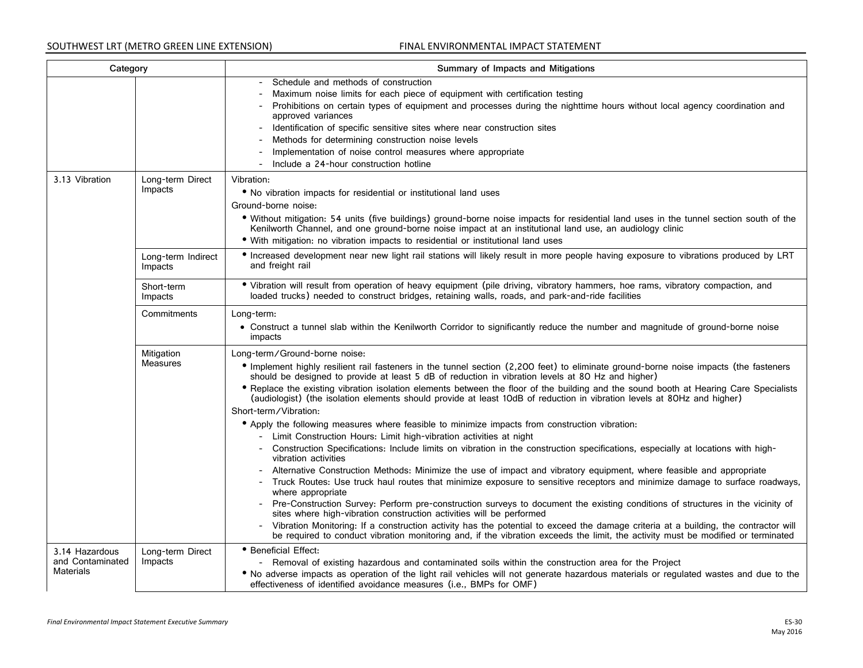| Category                                               |                               | Summary of Impacts and Mitigations                                                                                                                                                                                                                                                                                                                                                                                                                                                                                                                                                                                                                                                                                                                                                                                                                                                                                                                                                                                                                                                                                                                                                                                                                                                                                                                                                                                                                                                                                                                                                                                                                                                      |
|--------------------------------------------------------|-------------------------------|-----------------------------------------------------------------------------------------------------------------------------------------------------------------------------------------------------------------------------------------------------------------------------------------------------------------------------------------------------------------------------------------------------------------------------------------------------------------------------------------------------------------------------------------------------------------------------------------------------------------------------------------------------------------------------------------------------------------------------------------------------------------------------------------------------------------------------------------------------------------------------------------------------------------------------------------------------------------------------------------------------------------------------------------------------------------------------------------------------------------------------------------------------------------------------------------------------------------------------------------------------------------------------------------------------------------------------------------------------------------------------------------------------------------------------------------------------------------------------------------------------------------------------------------------------------------------------------------------------------------------------------------------------------------------------------------|
|                                                        |                               | Schedule and methods of construction<br>Maximum noise limits for each piece of equipment with certification testing<br>Prohibitions on certain types of equipment and processes during the nighttime hours without local agency coordination and<br>approved variances<br>- Identification of specific sensitive sites where near construction sites<br>Methods for determining construction noise levels<br>Implementation of noise control measures where appropriate<br>Include a 24-hour construction hotline                                                                                                                                                                                                                                                                                                                                                                                                                                                                                                                                                                                                                                                                                                                                                                                                                                                                                                                                                                                                                                                                                                                                                                       |
| 3.13 Vibration                                         | Long-term Direct<br>Impacts   | Vibration:<br>• No vibration impacts for residential or institutional land uses<br>Ground-borne noise:<br>. Without mitigation: 54 units (five buildings) ground-borne noise impacts for residential land uses in the tunnel section south of the<br>Kenilworth Channel, and one ground-borne noise impact at an institutional land use, an audiology clinic<br>. With mitigation: no vibration impacts to residential or institutional land uses                                                                                                                                                                                                                                                                                                                                                                                                                                                                                                                                                                                                                                                                                                                                                                                                                                                                                                                                                                                                                                                                                                                                                                                                                                       |
|                                                        | Long-term Indirect<br>Impacts | • Increased development near new light rail stations will likely result in more people having exposure to vibrations produced by LRT<br>and freight rail                                                                                                                                                                                                                                                                                                                                                                                                                                                                                                                                                                                                                                                                                                                                                                                                                                                                                                                                                                                                                                                                                                                                                                                                                                                                                                                                                                                                                                                                                                                                |
|                                                        | Short-term<br>Impacts         | · Vibration will result from operation of heavy equipment (pile driving, vibratory hammers, hoe rams, vibratory compaction, and<br>loaded trucks) needed to construct bridges, retaining walls, roads, and park-and-ride facilities                                                                                                                                                                                                                                                                                                                                                                                                                                                                                                                                                                                                                                                                                                                                                                                                                                                                                                                                                                                                                                                                                                                                                                                                                                                                                                                                                                                                                                                     |
|                                                        | Commitments                   | Long-term:<br>• Construct a tunnel slab within the Kenilworth Corridor to significantly reduce the number and magnitude of ground-borne noise<br>impacts                                                                                                                                                                                                                                                                                                                                                                                                                                                                                                                                                                                                                                                                                                                                                                                                                                                                                                                                                                                                                                                                                                                                                                                                                                                                                                                                                                                                                                                                                                                                |
|                                                        | Mitigation<br><b>Measures</b> | Long-term/Ground-borne noise:<br>• Implement highly resilient rail fasteners in the tunnel section (2,200 feet) to eliminate ground-borne noise impacts (the fasteners<br>should be designed to provide at least 5 dB of reduction in vibration levels at 80 Hz and higher)<br>• Replace the existing vibration isolation elements between the floor of the building and the sound booth at Hearing Care Specialists<br>(audiologist) (the isolation elements should provide at least 10dB of reduction in vibration levels at 80Hz and higher)<br>Short-term/Vibration:<br>• Apply the following measures where feasible to minimize impacts from construction vibration:<br>- Limit Construction Hours: Limit high-vibration activities at night<br>- Construction Specifications: Include limits on vibration in the construction specifications, especially at locations with high-<br>vibration activities<br>- Alternative Construction Methods: Minimize the use of impact and vibratory equipment, where feasible and appropriate<br>- Truck Routes: Use truck haul routes that minimize exposure to sensitive receptors and minimize damage to surface roadways,<br>where appropriate<br>- Pre-Construction Survey: Perform pre-construction surveys to document the existing conditions of structures in the vicinity of<br>sites where high-vibration construction activities will be performed<br>- Vibration Monitoring: If a construction activity has the potential to exceed the damage criteria at a building, the contractor will<br>be required to conduct vibration monitoring and, if the vibration exceeds the limit, the activity must be modified or terminated |
| 3.14 Hazardous<br>and Contaminated<br><b>Materials</b> | Long-term Direct<br>Impacts   | • Beneficial Effect:<br>- Removal of existing hazardous and contaminated soils within the construction area for the Project<br>. No adverse impacts as operation of the light rail vehicles will not generate hazardous materials or regulated wastes and due to the<br>effectiveness of identified avoidance measures (i.e., BMPs for OMF)                                                                                                                                                                                                                                                                                                                                                                                                                                                                                                                                                                                                                                                                                                                                                                                                                                                                                                                                                                                                                                                                                                                                                                                                                                                                                                                                             |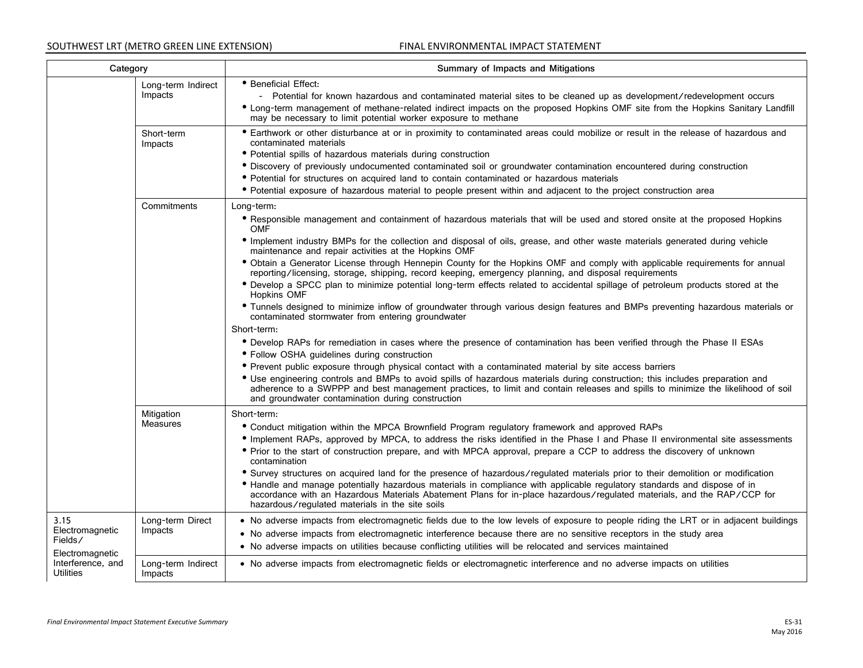| Category                                                                                       |                               | Summary of Impacts and Mitigations                                                                                                                                                                                                                                                                                                                                                                                                                                                                                                                                                                                                                                                                                                                                                                                                                                                                                                                                                                                                                                                                                                                                                                                                                                                                                                                                                                                                                                                                           |
|------------------------------------------------------------------------------------------------|-------------------------------|--------------------------------------------------------------------------------------------------------------------------------------------------------------------------------------------------------------------------------------------------------------------------------------------------------------------------------------------------------------------------------------------------------------------------------------------------------------------------------------------------------------------------------------------------------------------------------------------------------------------------------------------------------------------------------------------------------------------------------------------------------------------------------------------------------------------------------------------------------------------------------------------------------------------------------------------------------------------------------------------------------------------------------------------------------------------------------------------------------------------------------------------------------------------------------------------------------------------------------------------------------------------------------------------------------------------------------------------------------------------------------------------------------------------------------------------------------------------------------------------------------------|
|                                                                                                | Long-term Indirect<br>Impacts | • Beneficial Effect:<br>- Potential for known hazardous and contaminated material sites to be cleaned up as development/redevelopment occurs<br>• Long-term management of methane-related indirect impacts on the proposed Hopkins OMF site from the Hopkins Sanitary Landfill<br>may be necessary to limit potential worker exposure to methane                                                                                                                                                                                                                                                                                                                                                                                                                                                                                                                                                                                                                                                                                                                                                                                                                                                                                                                                                                                                                                                                                                                                                             |
|                                                                                                | Short-term<br>Impacts         | • Earthwork or other disturbance at or in proximity to contaminated areas could mobilize or result in the release of hazardous and<br>contaminated materials<br>• Potential spills of hazardous materials during construction<br>· Discovery of previously undocumented contaminated soil or groundwater contamination encountered during construction<br>• Potential for structures on acquired land to contain contaminated or hazardous materials<br>• Potential exposure of hazardous material to people present within and adjacent to the project construction area                                                                                                                                                                                                                                                                                                                                                                                                                                                                                                                                                                                                                                                                                                                                                                                                                                                                                                                                    |
|                                                                                                | Commitments                   | Long-term:<br>• Responsible management and containment of hazardous materials that will be used and stored onsite at the proposed Hopkins<br><b>OMF</b><br>• Implement industry BMPs for the collection and disposal of oils, grease, and other waste materials generated during vehicle<br>maintenance and repair activities at the Hopkins OMF<br>. Obtain a Generator License through Hennepin County for the Hopkins OMF and comply with applicable requirements for annual<br>reporting/licensing, storage, shipping, record keeping, emergency planning, and disposal requirements<br>. Develop a SPCC plan to minimize potential long-term effects related to accidental spillage of petroleum products stored at the<br>Hopkins OMF<br>• Tunnels designed to minimize inflow of groundwater through various design features and BMPs preventing hazardous materials or<br>contaminated stormwater from entering groundwater<br>Short-term:<br>• Develop RAPs for remediation in cases where the presence of contamination has been verified through the Phase II ESAs<br>• Follow OSHA guidelines during construction<br>• Prevent public exposure through physical contact with a contaminated material by site access barriers<br>• Use engineering controls and BMPs to avoid spills of hazardous materials during construction; this includes preparation and<br>adherence to a SWPPP and best management practices, to limit and contain releases and spills to minimize the likelihood of soil |
|                                                                                                | Mitigation<br><b>Measures</b> | and groundwater contamination during construction<br>Short-term:<br>• Conduct mitigation within the MPCA Brownfield Program regulatory framework and approved RAPs<br>• Implement RAPs, approved by MPCA, to address the risks identified in the Phase I and Phase II environmental site assessments<br>• Prior to the start of construction prepare, and with MPCA approval, prepare a CCP to address the discovery of unknown<br>contamination<br>• Survey structures on acquired land for the presence of hazardous/regulated materials prior to their demolition or modification<br>• Handle and manage potentially hazardous materials in compliance with applicable regulatory standards and dispose of in<br>accordance with an Hazardous Materials Abatement Plans for in-place hazardous/regulated materials, and the RAP/CCP for<br>hazardous/regulated materials in the site soils                                                                                                                                                                                                                                                                                                                                                                                                                                                                                                                                                                                                                |
| 3.15<br>Electromagnetic<br>Fields/<br>Electromagnetic<br>Interference, and<br><b>Utilities</b> | Long-term Direct<br>Impacts   | • No adverse impacts from electromagnetic fields due to the low levels of exposure to people riding the LRT or in adjacent buildings<br>• No adverse impacts from electromagnetic interference because there are no sensitive receptors in the study area<br>• No adverse impacts on utilities because conflicting utilities will be relocated and services maintained                                                                                                                                                                                                                                                                                                                                                                                                                                                                                                                                                                                                                                                                                                                                                                                                                                                                                                                                                                                                                                                                                                                                       |
|                                                                                                | Long-term Indirect<br>Impacts | • No adverse impacts from electromagnetic fields or electromagnetic interference and no adverse impacts on utilities                                                                                                                                                                                                                                                                                                                                                                                                                                                                                                                                                                                                                                                                                                                                                                                                                                                                                                                                                                                                                                                                                                                                                                                                                                                                                                                                                                                         |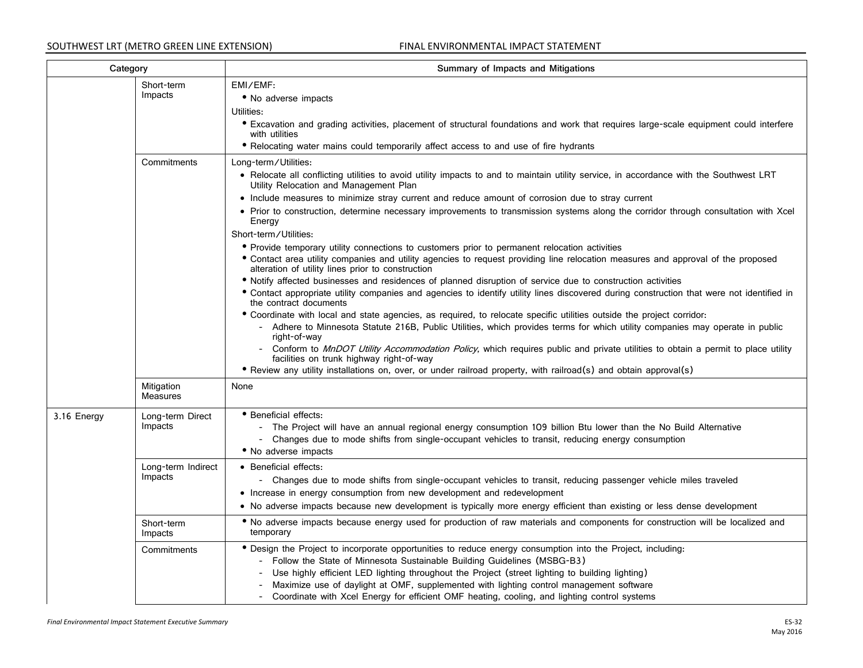| Category    |                               | Summary of Impacts and Mitigations                                                                                                                                                                                                                                                                                                                                                                                                                                                                                                                                        |
|-------------|-------------------------------|---------------------------------------------------------------------------------------------------------------------------------------------------------------------------------------------------------------------------------------------------------------------------------------------------------------------------------------------------------------------------------------------------------------------------------------------------------------------------------------------------------------------------------------------------------------------------|
|             | Short-term<br>Impacts         | EMI/EMF:<br>• No adverse impacts<br>Utilities:<br>• Excavation and grading activities, placement of structural foundations and work that requires large-scale equipment could interfere<br>with utilities<br>• Relocating water mains could temporarily affect access to and use of fire hydrants                                                                                                                                                                                                                                                                         |
|             | Commitments                   | Long-term/Utilities:<br>• Relocate all conflicting utilities to avoid utility impacts to and to maintain utility service, in accordance with the Southwest LRT<br>Utility Relocation and Management Plan                                                                                                                                                                                                                                                                                                                                                                  |
|             |                               | • Include measures to minimize stray current and reduce amount of corrosion due to stray current<br>• Prior to construction, determine necessary improvements to transmission systems along the corridor through consultation with Xcel<br>Energy<br>Short-term/Utilities:                                                                                                                                                                                                                                                                                                |
|             |                               | • Provide temporary utility connections to customers prior to permanent relocation activities<br>• Contact area utility companies and utility agencies to request providing line relocation measures and approval of the proposed<br>alteration of utility lines prior to construction                                                                                                                                                                                                                                                                                    |
|             |                               | • Notify affected businesses and residences of planned disruption of service due to construction activities<br>• Contact appropriate utility companies and agencies to identify utility lines discovered during construction that were not identified in<br>the contract documents                                                                                                                                                                                                                                                                                        |
|             |                               | • Coordinate with local and state agencies, as required, to relocate specific utilities outside the project corridor:<br>- Adhere to Minnesota Statute 216B, Public Utilities, which provides terms for which utility companies may operate in public<br>right-of-way<br>- Conform to MnDOT Utility Accommodation Policy, which requires public and private utilities to obtain a permit to place utility<br>facilities on trunk highway right-of-way<br>• Review any utility installations on, over, or under railroad property, with railroad(s) and obtain approval(s) |
|             | Mitigation<br>Measures        | None                                                                                                                                                                                                                                                                                                                                                                                                                                                                                                                                                                      |
| 3.16 Energy | Long-term Direct<br>Impacts   | • Beneficial effects:<br>- The Project will have an annual regional energy consumption 109 billion Btu lower than the No Build Alternative<br>- Changes due to mode shifts from single-occupant vehicles to transit, reducing energy consumption<br>• No adverse impacts                                                                                                                                                                                                                                                                                                  |
|             | Long-term Indirect<br>Impacts | • Beneficial effects:<br>- Changes due to mode shifts from single-occupant vehicles to transit, reducing passenger vehicle miles traveled<br>• Increase in energy consumption from new development and redevelopment<br>• No adverse impacts because new development is typically more energy efficient than existing or less dense development                                                                                                                                                                                                                           |
|             | Short-term<br>Impacts         | • No adverse impacts because energy used for production of raw materials and components for construction will be localized and<br>temporary                                                                                                                                                                                                                                                                                                                                                                                                                               |
|             | Commitments                   | • Design the Project to incorporate opportunities to reduce energy consumption into the Project, including:<br>- Follow the State of Minnesota Sustainable Building Guidelines (MSBG-B3)<br>- Use highly efficient LED lighting throughout the Project (street lighting to building lighting)<br>Maximize use of daylight at OMF, supplemented with lighting control management software<br>- Coordinate with Xcel Energy for efficient OMF heating, cooling, and lighting control systems                                                                                |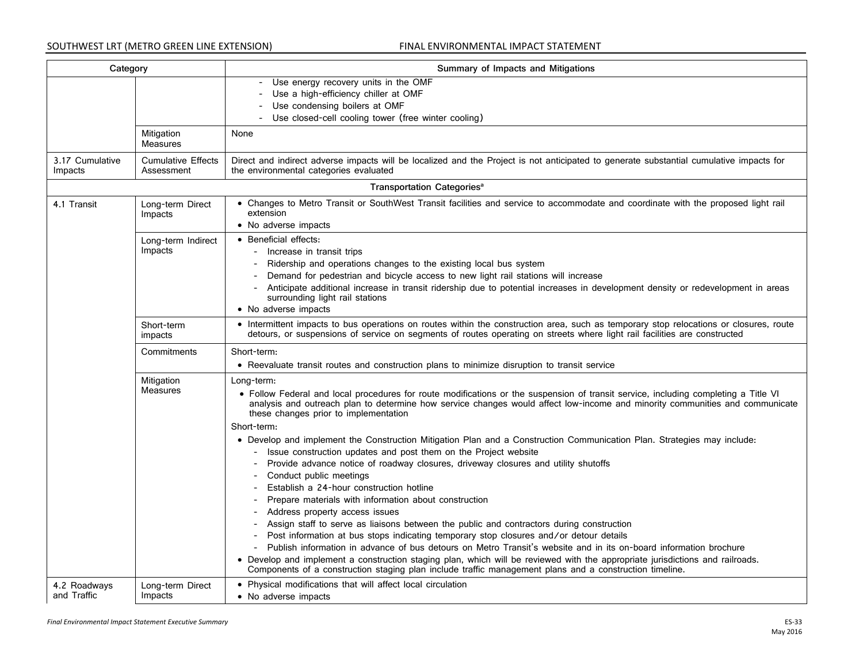| Category                    |                                         | Summary of Impacts and Mitigations                                                                                                                                                                                                                                                                                                                                                                                                                                                                                                                                                                                                                                                                                                                                                                                                                                                                                                                                                                                                                                                                                                                                                                                                                                                                                                                     |
|-----------------------------|-----------------------------------------|--------------------------------------------------------------------------------------------------------------------------------------------------------------------------------------------------------------------------------------------------------------------------------------------------------------------------------------------------------------------------------------------------------------------------------------------------------------------------------------------------------------------------------------------------------------------------------------------------------------------------------------------------------------------------------------------------------------------------------------------------------------------------------------------------------------------------------------------------------------------------------------------------------------------------------------------------------------------------------------------------------------------------------------------------------------------------------------------------------------------------------------------------------------------------------------------------------------------------------------------------------------------------------------------------------------------------------------------------------|
|                             |                                         | Use energy recovery units in the OMF<br>Use a high-efficiency chiller at OMF<br>Use condensing boilers at OMF<br>Use closed-cell cooling tower (free winter cooling)                                                                                                                                                                                                                                                                                                                                                                                                                                                                                                                                                                                                                                                                                                                                                                                                                                                                                                                                                                                                                                                                                                                                                                                   |
|                             | Mitigation<br><b>Measures</b>           | None                                                                                                                                                                                                                                                                                                                                                                                                                                                                                                                                                                                                                                                                                                                                                                                                                                                                                                                                                                                                                                                                                                                                                                                                                                                                                                                                                   |
| 3.17 Cumulative<br>Impacts  | <b>Cumulative Effects</b><br>Assessment | Direct and indirect adverse impacts will be localized and the Project is not anticipated to generate substantial cumulative impacts for<br>the environmental categories evaluated                                                                                                                                                                                                                                                                                                                                                                                                                                                                                                                                                                                                                                                                                                                                                                                                                                                                                                                                                                                                                                                                                                                                                                      |
|                             |                                         | Transportation Categories <sup>a</sup>                                                                                                                                                                                                                                                                                                                                                                                                                                                                                                                                                                                                                                                                                                                                                                                                                                                                                                                                                                                                                                                                                                                                                                                                                                                                                                                 |
| 4.1 Transit                 | Long-term Direct<br>Impacts             | • Changes to Metro Transit or SouthWest Transit facilities and service to accommodate and coordinate with the proposed light rail<br>extension<br>• No adverse impacts                                                                                                                                                                                                                                                                                                                                                                                                                                                                                                                                                                                                                                                                                                                                                                                                                                                                                                                                                                                                                                                                                                                                                                                 |
|                             | Long-term Indirect<br>Impacts           | • Beneficial effects:<br>- Increase in transit trips<br>Ridership and operations changes to the existing local bus system<br>Demand for pedestrian and bicycle access to new light rail stations will increase<br>Anticipate additional increase in transit ridership due to potential increases in development density or redevelopment in areas<br>surrounding light rail stations<br>• No adverse impacts                                                                                                                                                                                                                                                                                                                                                                                                                                                                                                                                                                                                                                                                                                                                                                                                                                                                                                                                           |
|                             | Short-term<br>impacts                   | • Intermittent impacts to bus operations on routes within the construction area, such as temporary stop relocations or closures, route<br>detours, or suspensions of service on segments of routes operating on streets where light rail facilities are constructed                                                                                                                                                                                                                                                                                                                                                                                                                                                                                                                                                                                                                                                                                                                                                                                                                                                                                                                                                                                                                                                                                    |
|                             | Commitments                             | Short-term:<br>• Reevaluate transit routes and construction plans to minimize disruption to transit service                                                                                                                                                                                                                                                                                                                                                                                                                                                                                                                                                                                                                                                                                                                                                                                                                                                                                                                                                                                                                                                                                                                                                                                                                                            |
|                             | Mitigation<br><b>Measures</b>           | Long-term:<br>• Follow Federal and local procedures for route modifications or the suspension of transit service, including completing a Title VI<br>analysis and outreach plan to determine how service changes would affect low-income and minority communities and communicate<br>these changes prior to implementation<br>Short-term:<br>. Develop and implement the Construction Mitigation Plan and a Construction Communication Plan. Strategies may include:<br>Issue construction updates and post them on the Project website<br>Provide advance notice of roadway closures, driveway closures and utility shutoffs<br>Conduct public meetings<br>Establish a 24-hour construction hotline<br>Prepare materials with information about construction<br>Address property access issues<br>Assign staff to serve as liaisons between the public and contractors during construction<br>Post information at bus stops indicating temporary stop closures and/or detour details<br>Publish information in advance of bus detours on Metro Transit's website and in its on-board information brochure<br>• Develop and implement a construction staging plan, which will be reviewed with the appropriate jurisdictions and railroads.<br>Components of a construction staging plan include traffic management plans and a construction timeline. |
| 4.2 Roadways<br>and Traffic | Long-term Direct<br>Impacts             | • Physical modifications that will affect local circulation<br>• No adverse impacts                                                                                                                                                                                                                                                                                                                                                                                                                                                                                                                                                                                                                                                                                                                                                                                                                                                                                                                                                                                                                                                                                                                                                                                                                                                                    |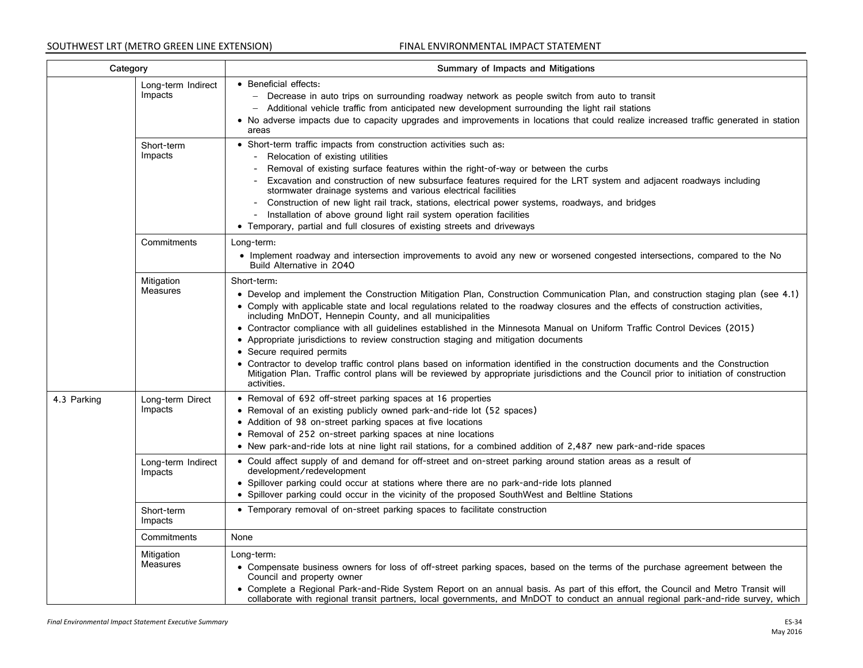| Category    |                               | Summary of Impacts and Mitigations                                                                                                                                                                                                                                                                                                                                                                                                                                                                                                                                                                                                                                                                                                                                                                                                                                                                |
|-------------|-------------------------------|---------------------------------------------------------------------------------------------------------------------------------------------------------------------------------------------------------------------------------------------------------------------------------------------------------------------------------------------------------------------------------------------------------------------------------------------------------------------------------------------------------------------------------------------------------------------------------------------------------------------------------------------------------------------------------------------------------------------------------------------------------------------------------------------------------------------------------------------------------------------------------------------------|
|             | Long-term Indirect<br>Impacts | • Beneficial effects:<br>Decrease in auto trips on surrounding roadway network as people switch from auto to transit<br>- Additional vehicle traffic from anticipated new development surrounding the light rail stations<br>• No adverse impacts due to capacity upgrades and improvements in locations that could realize increased traffic generated in station<br>areas                                                                                                                                                                                                                                                                                                                                                                                                                                                                                                                       |
|             | Short-term<br>Impacts         | • Short-term traffic impacts from construction activities such as:<br>Relocation of existing utilities<br>Removal of existing surface features within the right-of-way or between the curbs<br>Excavation and construction of new subsurface features required for the LRT system and adjacent roadways including<br>stormwater drainage systems and various electrical facilities<br>- Construction of new light rail track, stations, electrical power systems, roadways, and bridges<br>Installation of above ground light rail system operation facilities<br>• Temporary, partial and full closures of existing streets and driveways                                                                                                                                                                                                                                                        |
|             | Commitments                   | Long-term:<br>• Implement roadway and intersection improvements to avoid any new or worsened congested intersections, compared to the No<br>Build Alternative in 2040                                                                                                                                                                                                                                                                                                                                                                                                                                                                                                                                                                                                                                                                                                                             |
|             | Mitigation<br>Measures        | Short-term:<br>• Develop and implement the Construction Mitigation Plan, Construction Communication Plan, and construction staging plan (see 4.1)<br>• Comply with applicable state and local regulations related to the roadway closures and the effects of construction activities,<br>including MnDOT, Hennepin County, and all municipalities<br>• Contractor compliance with all guidelines established in the Minnesota Manual on Uniform Traffic Control Devices (2015)<br>• Appropriate jurisdictions to review construction staging and mitigation documents<br>• Secure required permits<br>• Contractor to develop traffic control plans based on information identified in the construction documents and the Construction<br>Mitigation Plan. Traffic control plans will be reviewed by appropriate jurisdictions and the Council prior to initiation of construction<br>activities. |
| 4.3 Parking | Long-term Direct<br>Impacts   | • Removal of 692 off-street parking spaces at 16 properties<br>• Removal of an existing publicly owned park-and-ride lot (52 spaces)<br>• Addition of 98 on-street parking spaces at five locations<br>• Removal of 252 on-street parking spaces at nine locations<br>• New park-and-ride lots at nine light rail stations, for a combined addition of 2,487 new park-and-ride spaces                                                                                                                                                                                                                                                                                                                                                                                                                                                                                                             |
|             | Long-term Indirect<br>Impacts | • Could affect supply of and demand for off-street and on-street parking around station areas as a result of<br>development/redevelopment<br>• Spillover parking could occur at stations where there are no park-and-ride lots planned<br>• Spillover parking could occur in the vicinity of the proposed SouthWest and Beltline Stations                                                                                                                                                                                                                                                                                                                                                                                                                                                                                                                                                         |
|             | Short-term<br>Impacts         | • Temporary removal of on-street parking spaces to facilitate construction                                                                                                                                                                                                                                                                                                                                                                                                                                                                                                                                                                                                                                                                                                                                                                                                                        |
|             | Commitments                   | None                                                                                                                                                                                                                                                                                                                                                                                                                                                                                                                                                                                                                                                                                                                                                                                                                                                                                              |
|             | Mitigation<br>Measures        | Long-term:<br>• Compensate business owners for loss of off-street parking spaces, based on the terms of the purchase agreement between the<br>Council and property owner<br>• Complete a Regional Park-and-Ride System Report on an annual basis. As part of this effort, the Council and Metro Transit will<br>collaborate with regional transit partners, local governments, and MnDOT to conduct an annual regional park-and-ride survey, which                                                                                                                                                                                                                                                                                                                                                                                                                                                |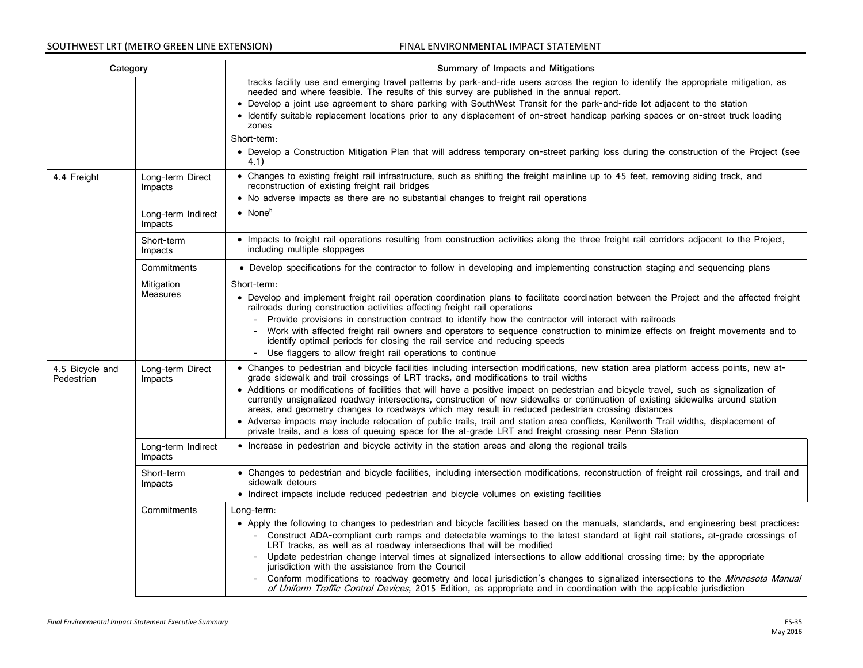| Category                      |                               | Summary of Impacts and Mitigations                                                                                                                                                                                                                                                                                                                                              |
|-------------------------------|-------------------------------|---------------------------------------------------------------------------------------------------------------------------------------------------------------------------------------------------------------------------------------------------------------------------------------------------------------------------------------------------------------------------------|
|                               |                               | tracks facility use and emerging travel patterns by park-and-ride users across the region to identify the appropriate mitigation, as<br>needed and where feasible. The results of this survey are published in the annual report.                                                                                                                                               |
|                               |                               | • Develop a joint use agreement to share parking with SouthWest Transit for the park-and-ride lot adjacent to the station                                                                                                                                                                                                                                                       |
|                               |                               | • Identify suitable replacement locations prior to any displacement of on-street handicap parking spaces or on-street truck loading<br>zones                                                                                                                                                                                                                                    |
|                               |                               | Short-term:                                                                                                                                                                                                                                                                                                                                                                     |
|                               |                               | • Develop a Construction Mitigation Plan that will address temporary on-street parking loss during the construction of the Project (see<br>4.1)                                                                                                                                                                                                                                 |
| 4.4 Freight                   | Long-term Direct<br>Impacts   | • Changes to existing freight rail infrastructure, such as shifting the freight mainline up to 45 feet, removing siding track, and<br>reconstruction of existing freight rail bridges<br>• No adverse impacts as there are no substantial changes to freight rail operations                                                                                                    |
|                               |                               |                                                                                                                                                                                                                                                                                                                                                                                 |
|                               | Long-term Indirect<br>Impacts | • None $^h$                                                                                                                                                                                                                                                                                                                                                                     |
|                               | Short-term<br>Impacts         | • Impacts to freight rail operations resulting from construction activities along the three freight rail corridors adjacent to the Project,<br>including multiple stoppages                                                                                                                                                                                                     |
|                               | Commitments                   | • Develop specifications for the contractor to follow in developing and implementing construction staging and sequencing plans                                                                                                                                                                                                                                                  |
|                               | Mitigation                    | Short-term:                                                                                                                                                                                                                                                                                                                                                                     |
|                               | <b>Measures</b>               | • Develop and implement freight rail operation coordination plans to facilitate coordination between the Project and the affected freight<br>railroads during construction activities affecting freight rail operations                                                                                                                                                         |
|                               |                               | Provide provisions in construction contract to identify how the contractor will interact with railroads<br>$-$                                                                                                                                                                                                                                                                  |
|                               |                               | Work with affected freight rail owners and operators to sequence construction to minimize effects on freight movements and to<br>$ \,$<br>identify optimal periods for closing the rail service and reducing speeds                                                                                                                                                             |
|                               |                               | - Use flaggers to allow freight rail operations to continue                                                                                                                                                                                                                                                                                                                     |
| 4.5 Bicycle and<br>Pedestrian | Long-term Direct<br>Impacts   | • Changes to pedestrian and bicycle facilities including intersection modifications, new station area platform access points, new at-<br>grade sidewalk and trail crossings of LRT tracks, and modifications to trail widths                                                                                                                                                    |
|                               |                               | • Additions or modifications of facilities that will have a positive impact on pedestrian and bicycle travel, such as signalization of<br>currently unsignalized roadway intersections, construction of new sidewalks or continuation of existing sidewalks around station<br>areas, and geometry changes to roadways which may result in reduced pedestrian crossing distances |
|                               |                               | • Adverse impacts may include relocation of public trails, trail and station area conflicts, Kenilworth Trail widths, displacement of<br>private trails, and a loss of queuing space for the at-grade LRT and freight crossing near Penn Station                                                                                                                                |
|                               | Long-term Indirect<br>Impacts | • Increase in pedestrian and bicycle activity in the station areas and along the regional trails                                                                                                                                                                                                                                                                                |
|                               | Short-term<br>Impacts         | • Changes to pedestrian and bicycle facilities, including intersection modifications, reconstruction of freight rail crossings, and trail and<br>sidewalk detours                                                                                                                                                                                                               |
|                               |                               | • Indirect impacts include reduced pedestrian and bicycle volumes on existing facilities                                                                                                                                                                                                                                                                                        |
|                               | Commitments                   | Long-term:                                                                                                                                                                                                                                                                                                                                                                      |
|                               |                               | • Apply the following to changes to pedestrian and bicycle facilities based on the manuals, standards, and engineering best practices:                                                                                                                                                                                                                                          |
|                               |                               | - Construct ADA-compliant curb ramps and detectable warnings to the latest standard at light rail stations, at-grade crossings of<br>LRT tracks, as well as at roadway intersections that will be modified                                                                                                                                                                      |
|                               |                               | - Update pedestrian change interval times at signalized intersections to allow additional crossing time; by the appropriate<br>jurisdiction with the assistance from the Council                                                                                                                                                                                                |
|                               |                               | - Conform modifications to roadway geometry and local jurisdiction's changes to signalized intersections to the Minnesota Manual<br>of Uniform Traffic Control Devices, 2015 Edition, as appropriate and in coordination with the applicable jurisdiction                                                                                                                       |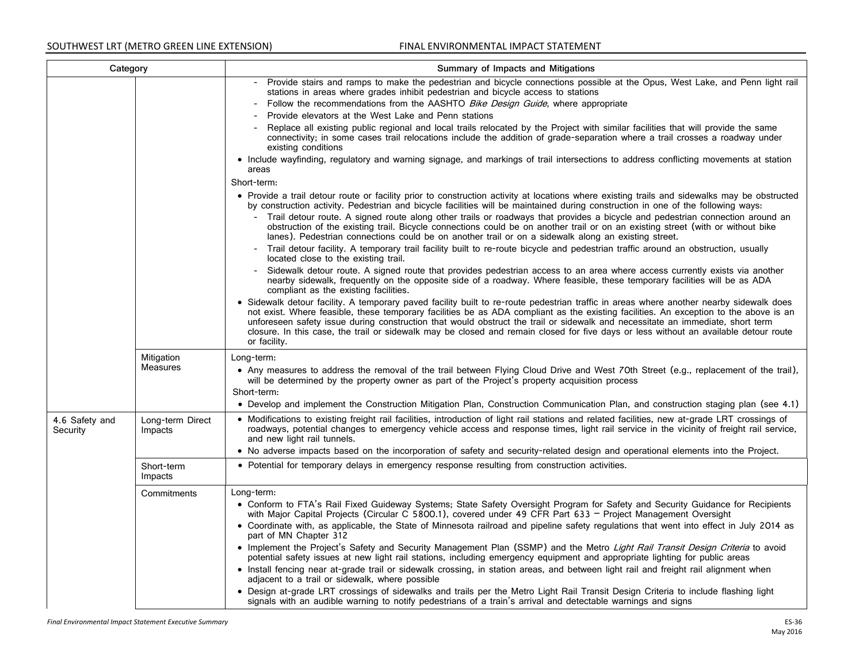| Category                   |                             | Summary of Impacts and Mitigations                                                                                                                                                                                                                                                                                                                                                                                                                                                                                                                                         |
|----------------------------|-----------------------------|----------------------------------------------------------------------------------------------------------------------------------------------------------------------------------------------------------------------------------------------------------------------------------------------------------------------------------------------------------------------------------------------------------------------------------------------------------------------------------------------------------------------------------------------------------------------------|
|                            |                             | - Provide stairs and ramps to make the pedestrian and bicycle connections possible at the Opus, West Lake, and Penn light rail<br>stations in areas where grades inhibit pedestrian and bicycle access to stations                                                                                                                                                                                                                                                                                                                                                         |
|                            |                             | Follow the recommendations from the AASHTO <i>Bike Design Guide</i> , where appropriate                                                                                                                                                                                                                                                                                                                                                                                                                                                                                    |
|                            |                             | Provide elevators at the West Lake and Penn stations                                                                                                                                                                                                                                                                                                                                                                                                                                                                                                                       |
|                            |                             | Replace all existing public regional and local trails relocated by the Project with similar facilities that will provide the same<br>connectivity; in some cases trail relocations include the addition of grade-separation where a trail crosses a roadway under<br>existing conditions                                                                                                                                                                                                                                                                                   |
|                            |                             | • Include wayfinding, regulatory and warning signage, and markings of trail intersections to address conflicting movements at station<br>areas                                                                                                                                                                                                                                                                                                                                                                                                                             |
|                            |                             | Short-term:                                                                                                                                                                                                                                                                                                                                                                                                                                                                                                                                                                |
|                            |                             | • Provide a trail detour route or facility prior to construction activity at locations where existing trails and sidewalks may be obstructed<br>by construction activity. Pedestrian and bicycle facilities will be maintained during construction in one of the following ways:                                                                                                                                                                                                                                                                                           |
|                            |                             | Trail detour route. A signed route along other trails or roadways that provides a bicycle and pedestrian connection around an<br>$\equiv$<br>obstruction of the existing trail. Bicycle connections could be on another trail or on an existing street (with or without bike<br>lanes). Pedestrian connections could be on another trail or on a sidewalk along an existing street.                                                                                                                                                                                        |
|                            |                             | Trail detour facility. A temporary trail facility built to re-route bicycle and pedestrian traffic around an obstruction, usually<br>located close to the existing trail.                                                                                                                                                                                                                                                                                                                                                                                                  |
|                            |                             | Sidewalk detour route. A signed route that provides pedestrian access to an area where access currently exists via another<br>nearby sidewalk, frequently on the opposite side of a roadway. Where feasible, these temporary facilities will be as ADA<br>compliant as the existing facilities.                                                                                                                                                                                                                                                                            |
|                            |                             | • Sidewalk detour facility. A temporary paved facility built to re-route pedestrian traffic in areas where another nearby sidewalk does<br>not exist. Where feasible, these temporary facilities be as ADA compliant as the existing facilities. An exception to the above is an<br>unforeseen safety issue during construction that would obstruct the trail or sidewalk and necessitate an immediate, short term<br>closure. In this case, the trail or sidewalk may be closed and remain closed for five days or less without an available detour route<br>or facility. |
|                            | Mitigation                  | Long-term:                                                                                                                                                                                                                                                                                                                                                                                                                                                                                                                                                                 |
|                            | <b>Measures</b>             | • Any measures to address the removal of the trail between Flying Cloud Drive and West 70th Street (e.g., replacement of the trail),<br>will be determined by the property owner as part of the Project's property acquisition process<br>Short-term:                                                                                                                                                                                                                                                                                                                      |
|                            |                             | • Develop and implement the Construction Mitigation Plan, Construction Communication Plan, and construction staging plan (see 4.1)                                                                                                                                                                                                                                                                                                                                                                                                                                         |
| 4.6 Safety and<br>Security | Long-term Direct<br>Impacts | • Modifications to existing freight rail facilities, introduction of light rail stations and related facilities, new at-grade LRT crossings of<br>roadways, potential changes to emergency vehicle access and response times, light rail service in the vicinity of freight rail service,<br>and new light rail tunnels.                                                                                                                                                                                                                                                   |
|                            |                             | . No adverse impacts based on the incorporation of safety and security-related design and operational elements into the Project.                                                                                                                                                                                                                                                                                                                                                                                                                                           |
|                            | Short-term<br>Impacts       | • Potential for temporary delays in emergency response resulting from construction activities.                                                                                                                                                                                                                                                                                                                                                                                                                                                                             |
|                            | Commitments                 | Long-term:                                                                                                                                                                                                                                                                                                                                                                                                                                                                                                                                                                 |
|                            |                             | • Conform to FTA's Rail Fixed Guideway Systems; State Safety Oversight Program for Safety and Security Guidance for Recipients<br>with Major Capital Projects (Circular C 5800.1), covered under 49 CFR Part 633 - Project Management Oversight                                                                                                                                                                                                                                                                                                                            |
|                            |                             | • Coordinate with, as applicable, the State of Minnesota railroad and pipeline safety regulations that went into effect in July 2014 as<br>part of MN Chapter 312                                                                                                                                                                                                                                                                                                                                                                                                          |
|                            |                             | • Implement the Project's Safety and Security Management Plan (SSMP) and the Metro Light Rail Transit Design Criteria to avoid<br>potential safety issues at new light rail stations, including emergency equipment and appropriate lighting for public areas                                                                                                                                                                                                                                                                                                              |
|                            |                             | • Install fencing near at-grade trail or sidewalk crossing, in station areas, and between light rail and freight rail alignment when<br>adjacent to a trail or sidewalk, where possible                                                                                                                                                                                                                                                                                                                                                                                    |
|                            |                             | . Design at-grade LRT crossings of sidewalks and trails per the Metro Light Rail Transit Design Criteria to include flashing light<br>signals with an audible warning to notify pedestrians of a train's arrival and detectable warnings and signs                                                                                                                                                                                                                                                                                                                         |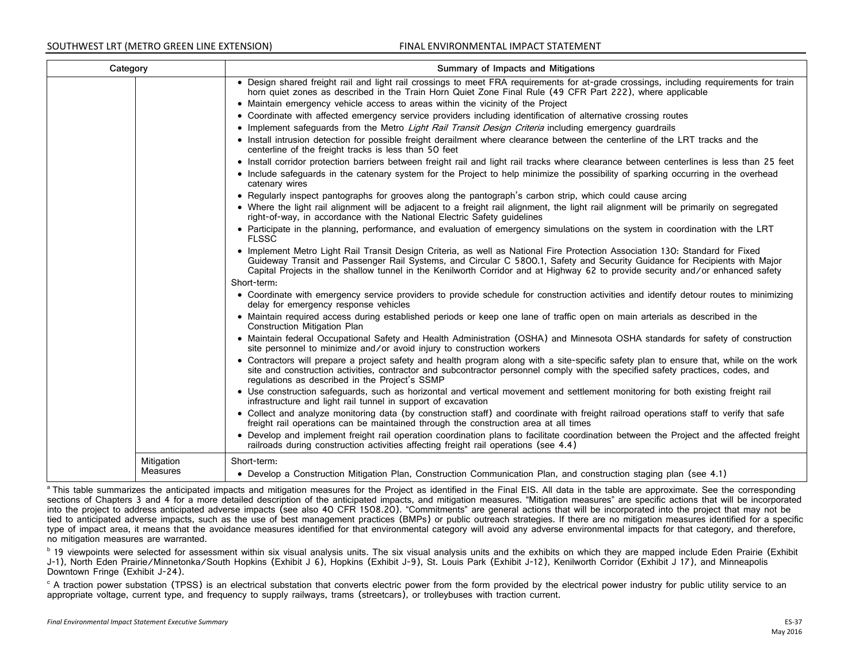| Category |                        | Summary of Impacts and Mitigations                                                                                                                                                                                                                                                                                                                                                            |
|----------|------------------------|-----------------------------------------------------------------------------------------------------------------------------------------------------------------------------------------------------------------------------------------------------------------------------------------------------------------------------------------------------------------------------------------------|
|          |                        | . Design shared freight rail and light rail crossings to meet FRA requirements for at-grade crossings, including requirements for train<br>horn quiet zones as described in the Train Horn Quiet Zone Final Rule (49 CFR Part 222), where applicable                                                                                                                                          |
|          |                        | • Maintain emergency vehicle access to areas within the vicinity of the Project                                                                                                                                                                                                                                                                                                               |
|          |                        | • Coordinate with affected emergency service providers including identification of alternative crossing routes                                                                                                                                                                                                                                                                                |
|          |                        | • Implement safeguards from the Metro Light Rail Transit Design Criteria including emergency guardrails                                                                                                                                                                                                                                                                                       |
|          |                        | • Install intrusion detection for possible freight derailment where clearance between the centerline of the LRT tracks and the<br>centerline of the freight tracks is less than 50 feet                                                                                                                                                                                                       |
|          |                        | • Install corridor protection barriers between freight rail and light rail tracks where clearance between centerlines is less than 25 feet                                                                                                                                                                                                                                                    |
|          |                        | • Include safequards in the catenary system for the Project to help minimize the possibility of sparking occurring in the overhead<br>catenary wires                                                                                                                                                                                                                                          |
|          |                        | • Regularly inspect pantographs for grooves along the pantograph's carbon strip, which could cause arcing                                                                                                                                                                                                                                                                                     |
|          |                        | • Where the light rail alignment will be adjacent to a freight rail alignment, the light rail alignment will be primarily on segregated<br>right-of-way, in accordance with the National Electric Safety guidelines                                                                                                                                                                           |
|          |                        | • Participate in the planning, performance, and evaluation of emergency simulations on the system in coordination with the LRT<br><b>FLSSC</b>                                                                                                                                                                                                                                                |
|          |                        | • Implement Metro Light Rail Transit Design Criteria, as well as National Fire Protection Association 130: Standard for Fixed<br>Guideway Transit and Passenger Rail Systems, and Circular C 5800.1, Safety and Security Guidance for Recipients with Major<br>Capital Projects in the shallow tunnel in the Kenilworth Corridor and at Highway 62 to provide security and/or enhanced safety |
|          |                        | Short-term:                                                                                                                                                                                                                                                                                                                                                                                   |
|          |                        | • Coordinate with emergency service providers to provide schedule for construction activities and identify detour routes to minimizing<br>delay for emergency response vehicles                                                                                                                                                                                                               |
|          |                        | • Maintain required access during established periods or keep one lane of traffic open on main arterials as described in the<br><b>Construction Mitigation Plan</b>                                                                                                                                                                                                                           |
|          |                        | • Maintain federal Occupational Safety and Health Administration (OSHA) and Minnesota OSHA standards for safety of construction<br>site personnel to minimize and/or avoid injury to construction workers                                                                                                                                                                                     |
|          |                        | • Contractors will prepare a project safety and health program along with a site-specific safety plan to ensure that, while on the work<br>site and construction activities, contractor and subcontractor personnel comply with the specified safety practices, codes, and<br>regulations as described in the Project's SSMP                                                                  |
|          |                        | • Use construction safeguards, such as horizontal and vertical movement and settlement monitoring for both existing freight rail<br>infrastructure and light rail tunnel in support of excavation                                                                                                                                                                                             |
|          |                        | • Collect and analyze monitoring data (by construction staff) and coordinate with freight railroad operations staff to verify that safe<br>freight rail operations can be maintained through the construction area at all times                                                                                                                                                               |
|          |                        | • Develop and implement freight rail operation coordination plans to facilitate coordination between the Project and the affected freight<br>railroads during construction activities affecting freight rail operations (see 4.4)                                                                                                                                                             |
|          | Mitigation<br>Measures | Short-term:                                                                                                                                                                                                                                                                                                                                                                                   |
|          |                        | • Develop a Construction Mitigation Plan, Construction Communication Plan, and construction staging plan (see 4.1)                                                                                                                                                                                                                                                                            |

<sup>a</sup> This table summarizes the anticipated impacts and mitigation measures for the Project as identified in the Final EIS. All data in the table are approximate. See the corresponding sections of Chapters 3 and 4 for a more detailed description of the anticipated impacts, and mitigation measures. "Mitigation measures" are specific actions that will be incorporated into the project to address anticipated adverse impacts (see also 40 CFR 1508.20). "Commitments" are general actions that will be incorporated into the project that may not be tied to anticipated adverse impacts, such as the use of best management practices (BMPs) or public outreach strategies. If there are no mitigation measures identified for a specific type of impact area, it means that the avoidance measures identified for that environmental category will avoid any adverse environmental impacts for that category, and therefore, no mitigation measures are warranted.

<sup>b</sup> 19 viewpoints were selected for assessment within six visual analysis units. The six visual analysis units and the exhibits on which they are mapped include Eden Prairie (Exhibit J-1), North Eden Prairie/Minnetonka/South Hopkins (Exhibit J 6), Hopkins (Exhibit J-9), St. Louis Park (Exhibit J-12), Kenilworth Corridor (Exhibit J 17), and Minneapolis Downtown Fringe (Exhibit J-24).

<sup>c</sup> A traction power substation (TPSS) is an electrical substation that converts electric power from the form provided by the electrical power industry for public utility service to an appropriate voltage, current type, and frequency to supply railways, trams (streetcars), or trolleybuses with traction current.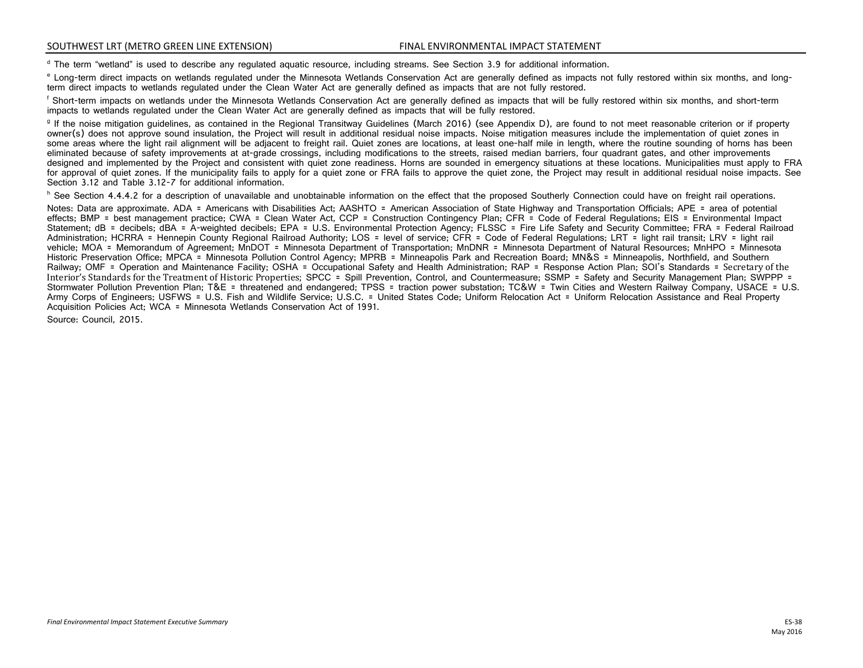<sup>d</sup> The term "wetland" is used to describe any regulated aquatic resource, including streams. See Section 3.9 for additional information.<br>
<sup>d</sup> Long-term direct impacts on wetlands regulated under the Minnesota Wetlands Con

<sup>g</sup> If the noise mitigation guidelines, as contained in the Regional Transitway Guidelines (March 2016) (see Appendix D), are found to not meet reasonable criterion or if property owner(s) does not approve sound insulation, the Project will result in additional residual noise impacts. Noise mitigation measures include the implementation of quiet zones in some areas where the light rail alignment will be adjacent to freight rail. Quiet zones are locations, at least one-half mile in length, where the routine sounding of horns has been eliminated because of safety improvements at at-grade crossings, including modifications to the streets, raised median barriers, four quadrant gates, and other improvements designed and implemented by the Project and consistent with quiet zone readiness. Horns are sounded in emergency situations at these locations. Municipalities must apply to FRA for approval of quiet zones. If the municipality fails to apply for a quiet zone or FRA fails to approve the quiet zone, the Project may result in additional residual noise impacts. See Section 3.12 and Table 3.12-7 for additional information.

h See Section 4.4.4.2 for a description of unavailable and unobtainable information on the effect that the proposed Southerly Connection could have on freight rail operations.

Notes: Data are approximate. ADA = Americans with Disabilities Act: AASHTO = American Association of State Highway and Transportation Officials: APE = area of potential effects; BMP = best management practice; CWA = Clean Water Act, CCP = Construction Contingency Plan; CFR = Code of Federal Regulations; EIS = Environmental Impact Statement; dB = decibels; dBA = A-weighted decibels; EPA = U.S. Environmental Protection Agency; FLSSC = Fire Life Safety and Security Committee; FRA = Federal Railroad Administration: HCRRA = Hennepin County Regional Railroad Authority: LOS = level of service: CFR = Code of Federal Regulations: LRT = light rail transit; LRV = light rail vehicle; MOA = Memorandum of Agreement; MnDOT = Minnesota Department of Transportation; MnDNR = Minnesota Department of Natural Resources; MnHPO = Minnesota Historic Preservation Office: MPCA = Minnesota Pollution Control Agency: MPRB = Minneapolis Park and Recreation Board: MN&S = Minneapolis, Northfield, and Southern Railway; OMF = Operation and Maintenance Facility; OSHA = Occupational Safety and Health Administration; RAP = Response Action Plan; SOI's Standards = Secretary of the Interior's Standards for the Treatment of Historic Properties; SPCC = Spill Prevention, Control, and Countermeasure; SSMP = Safety and Security Management Plan; SWPPP = Stormwater Pollution Prevention Plan; T&E = threatened and endangered; TPSS = traction power substation; TC&W = Twin Cities and Western Railway Company, USACE = U.S. Army Corps of Engineers: USFWS = U.S. Fish and Wildlife Service: U.S.C. = United States Code: Uniform Relocation Act = Uniform Relocation Assistance and Real Property Acquisition Policies Act; WCA = Minnesota Wetlands Conservation Act of 1991.

Source: Council, 2015.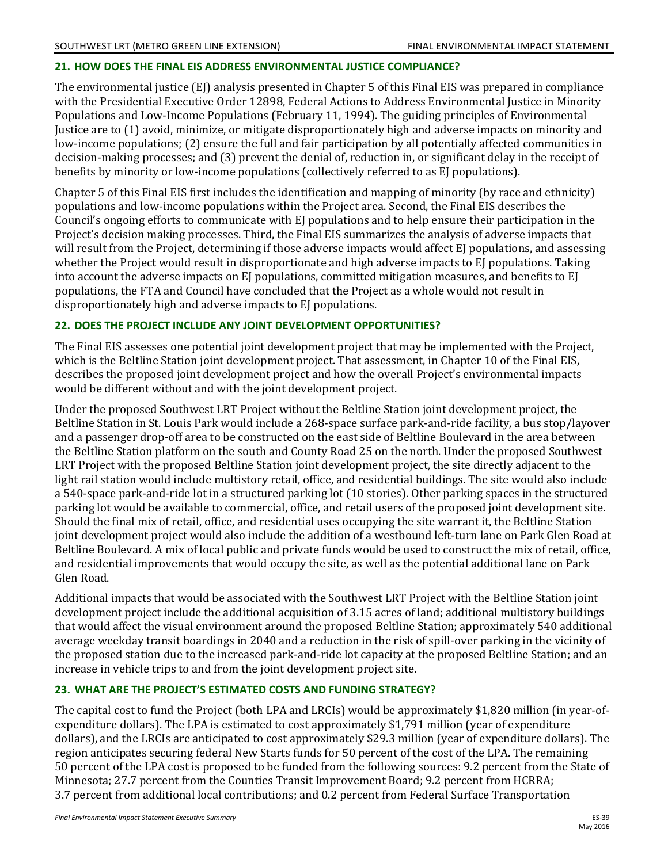#### **21. HOW DOES THE FINAL EIS ADDRESS ENVIRONMENTAL JUSTICE COMPLIANCE?**

The environmental justice (EJ) analysis presented in Chapter 5 of this Final EIS was prepared in compliance with the Presidential Executive Order 12898, Federal Actions to Address Environmental Justice in Minority Populations and Low-Income Populations (February 11, 1994). The guiding principles of Environmental Justice are to (1) avoid, minimize, or mitigate disproportionately high and adverse impacts on minority and low-income populations; (2) ensure the full and fair participation by all potentially affected communities in decision-making processes; and (3) prevent the denial of, reduction in, or significant delay in the receipt of benefits by minority or low-income populations (collectively referred to as EJ populations).

Chapter 5 of this Final EIS first includes the identification and mapping of minority (by race and ethnicity) populations and low-income populations within the Project area. Second, the Final EIS describes the Council's ongoing efforts to communicate with EJ populations and to help ensure their participation in the Project's decision making processes. Third, the Final EIS summarizes the analysis of adverse impacts that will result from the Project, determining if those adverse impacts would affect EJ populations, and assessing whether the Project would result in disproportionate and high adverse impacts to EJ populations. Taking into account the adverse impacts on EI populations, committed mitigation measures, and benefits to EI populations, the FTA and Council have concluded that the Project as a whole would not result in disproportionately high and adverse impacts to EJ populations.

#### **22. DOES THE PROJECT INCLUDE ANY JOINT DEVELOPMENT OPPORTUNITIES?**

The Final EIS assesses one potential joint development project that may be implemented with the Project, which is the Beltline Station joint development project. That assessment, in Chapter 10 of the Final EIS, describes the proposed joint development project and how the overall Project's environmental impacts would be different without and with the joint development project.

Under the proposed Southwest LRT Project without the Beltline Station joint development project, the Beltline Station in St. Louis Park would include a 268-space surface park-and-ride facility, a bus stop/layover and a passenger drop-off area to be constructed on the east side of Beltline Boulevard in the area between the Beltline Station platform on the south and County Road 25 on the north. Under the proposed Southwest LRT Project with the proposed Beltline Station joint development project, the site directly adjacent to the light rail station would include multistory retail, office, and residential buildings. The site would also include a 540-space park-and-ride lot in a structured parking lot (10 stories). Other parking spaces in the structured parking lot would be available to commercial, office, and retail users of the proposed joint development site. Should the final mix of retail, office, and residential uses occupying the site warrant it, the Beltline Station joint development project would also include the addition of a westbound left-turn lane on Park Glen Road at Beltline Boulevard. A mix of local public and private funds would be used to construct the mix of retail, office, and residential improvements that would occupy the site, as well as the potential additional lane on Park Glen Road.

Additional impacts that would be associated with the Southwest LRT Project with the Beltline Station joint development project include the additional acquisition of 3.15 acres of land; additional multistory buildings that would affect the visual environment around the proposed Beltline Station; approximately 540 additional average weekday transit boardings in 2040 and a reduction in the risk of spill-over parking in the vicinity of the proposed station due to the increased park-and-ride lot capacity at the proposed Beltline Station; and an increase in vehicle trips to and from the joint development project site.

## **23. WHAT ARE THE PROJECT'S ESTIMATED COSTS AND FUNDING STRATEGY?**

The capital cost to fund the Project (both LPA and LRCIs) would be approximately \$1,820 million (in year-ofexpenditure dollars). The LPA is estimated to cost approximately \$1,791 million (year of expenditure dollars), and the LRCIs are anticipated to cost approximately \$29.3 million (year of expenditure dollars). The region anticipates securing federal New Starts funds for 50 percent of the cost of the LPA. The remaining 50 percent of the LPA cost is proposed to be funded from the following sources: 9.2 percent from the State of Minnesota; 27.7 percent from the Counties Transit Improvement Board; 9.2 percent from HCRRA; 3.7 percent from additional local contributions; and 0.2 percent from Federal Surface Transportation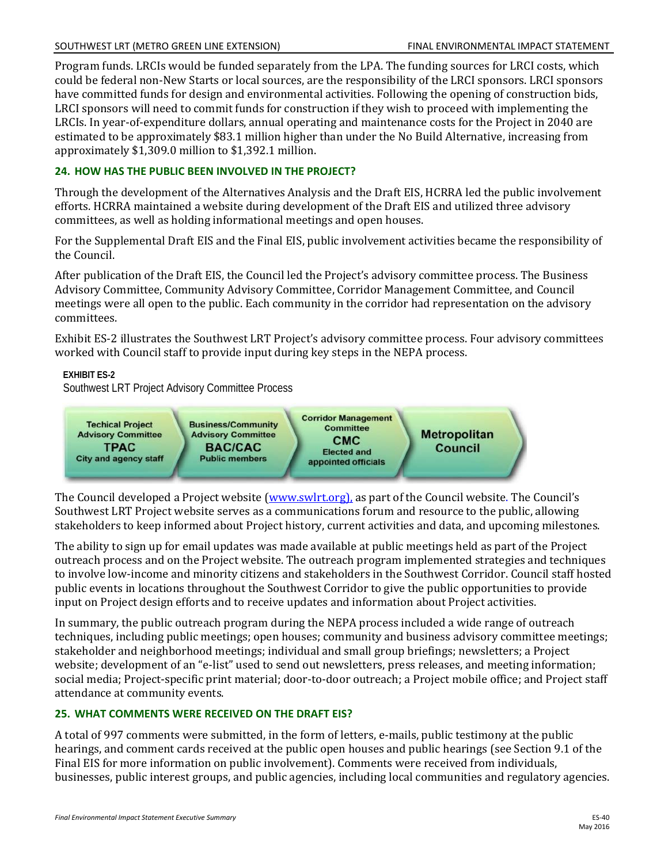Program funds. LRCIs would be funded separately from the LPA. The funding sources for LRCI costs, which could be federal non-New Starts or local sources, are the responsibility of the LRCI sponsors. LRCI sponsors have committed funds for design and environmental activities. Following the opening of construction bids, LRCI sponsors will need to commit funds for construction if they wish to proceed with implementing the LRCIs. In year-of-expenditure dollars, annual operating and maintenance costs for the Project in 2040 are estimated to be approximately \$83.1 million higher than under the No Build Alternative, increasing from approximately \$1,309.0 million to \$1,392.1 million.

# **24. HOW HAS THE PUBLIC BEEN INVOLVED IN THE PROJECT?**

Through the development of the Alternatives Analysis and the Draft EIS, HCRRA led the public involvement efforts. HCRRA maintained a website during development of the Draft EIS and utilized three advisory committees, as well as holding informational meetings and open houses.

For the Supplemental Draft EIS and the Final EIS, public involvement activities became the responsibility of the Council.

After publication of the Draft EIS, the Council led the Project's advisory committee process. The Business Advisory Committee, Community Advisory Committee, Corridor Management Committee, and Council meetings were all open to the public. Each community in the corridor had representation on the advisory committees.

Exhibit ES-2 illustrates the Southwest LRT Project's advisory committee process. Four advisory committees worked with Council staff to provide input during key steps in the NEPA process.

**EXHIBIT ES-2** 

Southwest LRT Project Advisory Committee Process



The Council developed a Project website [\(www.swlrt.org\)](http://www.swlrt.org/), as part of the Council website. The Council's Southwest LRT Project website serves as a communications forum and resource to the public, allowing stakeholders to keep informed about Project history, current activities and data, and upcoming milestones.

The ability to sign up for email updates was made available at public meetings held as part of the Project outreach process and on the Project website. The outreach program implemented strategies and techniques to involve low-income and minority citizens and stakeholders in the Southwest Corridor. Council staff hosted public events in locations throughout the Southwest Corridor to give the public opportunities to provide input on Project design efforts and to receive updates and information about Project activities.

In summary, the public outreach program during the NEPA process included a wide range of outreach techniques, including public meetings; open houses; community and business advisory committee meetings; stakeholder and neighborhood meetings; individual and small group briefings; newsletters; a Project website; development of an "e-list" used to send out newsletters, press releases, and meeting information; social media; Project-specific print material; door-to-door outreach; a Project mobile office; and Project staff attendance at community events.

# **25. WHAT COMMENTS WERE RECEIVED ON THE DRAFT EIS?**

A total of 997 comments were submitted, in the form of letters, e-mails, public testimony at the public hearings, and comment cards received at the public open houses and public hearings (see Section 9.1 of the Final EIS for more information on public involvement). Comments were received from individuals, businesses, public interest groups, and public agencies, including local communities and regulatory agencies.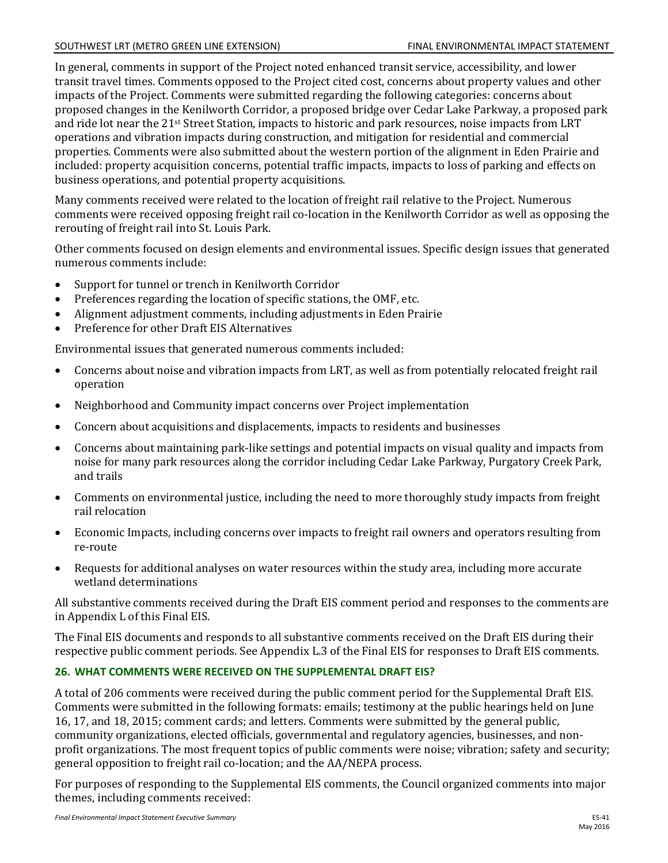#### SOUTHWEST LRT (METRO GREEN LINE EXTENSION) FINAL ENVIRONMENTAL IMPACT STATEMENT

In general, comments in support of the Project noted enhanced transit service, accessibility, and lower transit travel times. Comments opposed to the Project cited cost, concerns about property values and other impacts of the Project. Comments were submitted regarding the following categories: concerns about proposed changes in the Kenilworth Corridor, a proposed bridge over Cedar Lake Parkway, a proposed park and ride lot near the 21st Street Station, impacts to historic and park resources, noise impacts from LRT operations and vibration impacts during construction, and mitigation for residential and commercial properties. Comments were also submitted about the western portion of the alignment in Eden Prairie and included: property acquisition concerns, potential traffic impacts, impacts to loss of parking and effects on business operations, and potential property acquisitions.

Many comments received were related to the location of freight rail relative to the Project. Numerous comments were received opposing freight rail co-location in the Kenilworth Corridor as well as opposing the rerouting of freight rail into St. Louis Park.

Other comments focused on design elements and environmental issues. Specific design issues that generated numerous comments include:

- $\bullet$ Support for tunnel or trench in Kenilworth Corridor
- Preferences regarding the location of specific stations, the OMF, etc.
- Alignment adjustment comments, including adjustments in Eden Prairie
- Preference for other Draft EIS Alternatives

Environmental issues that generated numerous comments included:

- Concerns about noise and vibration impacts from LRT, as well as from potentially relocated freight rail operation
- Neighborhood and Community impact concerns over Project implementation
- Concern about acquisitions and displacements, impacts to residents and businesses
- Concerns about maintaining park-like settings and potential impacts on visual quality and impacts from noise for many park resources along the corridor including Cedar Lake Parkway, Purgatory Creek Park, and trails
- Comments on environmental justice, including the need to more thoroughly study impacts from freight rail relocation
- Economic Impacts, including concerns over impacts to freight rail owners and operators resulting from re-route
- Requests for additional analyses on water resources within the study area, including more accurate wetland determinations

All substantive comments received during the Draft EIS comment period and responses to the comments are in Appendix L of this Final EIS.

The Final EIS documents and responds to all substantive comments received on the Draft EIS during their respective public comment periods. See Appendix L.3 of the Final EIS for responses to Draft EIS comments.

#### **26. WHAT COMMENTS WERE RECEIVED ON THE SUPPLEMENTAL DRAFT EIS?**

A total of 206 comments were received during the public comment period for the Supplemental Draft EIS. Comments were submitted in the following formats: emails; testimony at the public hearings held on June 16, 17, and 18, 2015; comment cards; and letters. Comments were submitted by the general public, community organizations, elected officials, governmental and regulatory agencies, businesses, and nonprofit organizations. The most frequent topics of public comments were noise; vibration; safety and security; general opposition to freight rail co-location; and the AA/NEPA process.

For purposes of responding to the Supplemental EIS comments, the Council organized comments into major themes, including comments received: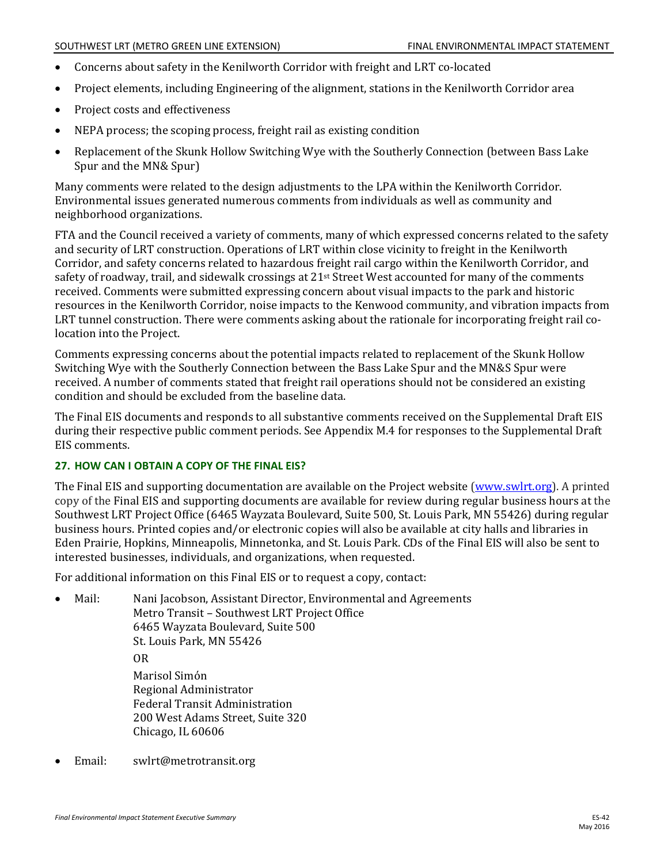- $\bullet$ Concerns about safety in the Kenilworth Corridor with freight and LRT co-located
- $\bullet$ Project elements, including Engineering of the alignment, stations in the Kenilworth Corridor area
- $\bullet$ Project costs and effectiveness
- NEPA process; the scoping process, freight rail as existing condition
- Replacement of the Skunk Hollow Switching Wye with the Southerly Connection (between Bass Lake Spur and the MN& Spur)

Many comments were related to the design adjustments to the LPA within the Kenilworth Corridor. Environmental issues generated numerous comments from individuals as well as community and neighborhood organizations.

FTA and the Council received a variety of comments, many of which expressed concerns related to the safety and security of LRT construction. Operations of LRT within close vicinity to freight in the Kenilworth Corridor, and safety concerns related to hazardous freight rail cargo within the Kenilworth Corridor, and safety of roadway, trail, and sidewalk crossings at 21<sup>st</sup> Street West accounted for many of the comments received. Comments were submitted expressing concern about visual impacts to the park and historic resources in the Kenilworth Corridor, noise impacts to the Kenwood community, and vibration impacts from LRT tunnel construction. There were comments asking about the rationale for incorporating freight rail colocation into the Project.

Comments expressing concerns about the potential impacts related to replacement of the Skunk Hollow Switching Wye with the Southerly Connection between the Bass Lake Spur and the MN&S Spur were received. A number of comments stated that freight rail operations should not be considered an existing condition and should be excluded from the baseline data.

The Final EIS documents and responds to all substantive comments received on the Supplemental Draft EIS during their respective public comment periods. See Appendix M.4 for responses to the Supplemental Draft EIS comments.

#### **27. HOW CAN I OBTAIN A COPY OF THE FINAL EIS?**

The Final EIS and supporting documentation are available on the Project website [\(www.swlrt.org\)](http://www.swlrt.org/). A printed copy of the Final EIS and supporting documents are available for review during regular business hours at the Southwest LRT Project Office (6465 Wayzata Boulevard, Suite 500, St. Louis Park, MN 55426) during regular business hours. Printed copies and/or electronic copies will also be available at city halls and libraries in Eden Prairie, Hopkins, Minneapolis, Minnetonka, and St. Louis Park. CDs of the Final EIS will also be sent to interested businesses, individuals, and organizations, when requested.

For additional information on this Final EIS or to request a copy, contact:

- Mail: Nani Jacobson, Assistant Director, Environmental and Agreements Metro Transit – Southwest LRT Project Office 6465 Wayzata Boulevard, Suite 500 St. Louis Park, MN 55426 OR Marisol Simόn Regional Administrator Federal Transit Administration 200 West Adams Street, Suite 320 Chicago, IL 60606
- Email: swlrt@metrotransit.org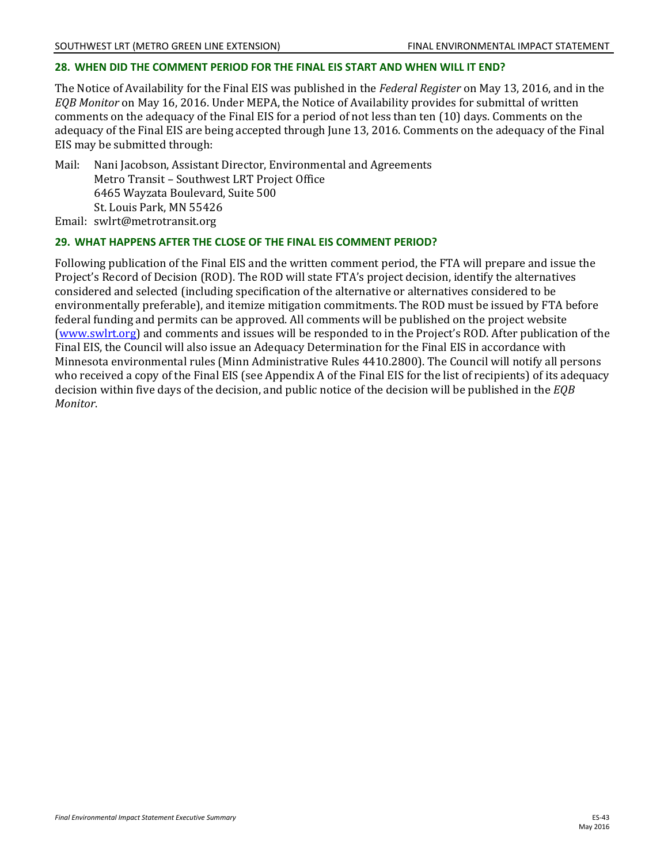# **28. WHEN DID THE COMMENT PERIOD FOR THE FINAL EIS START AND WHEN WILL IT END?**

The Notice of Availability for the Final EIS was published in the *Federal Register* on May 13, 2016, and in the *EQB Monitor* on May 16, 2016. Under MEPA, the Notice of Availability provides for submittal of written comments on the adequacy of the Final EIS for a period of not less than ten (10) days. Comments on the adequacy of the Final EIS are being accepted through June 13, 2016. Comments on the adequacy of the Final EIS may be submitted through:

Mail: Nani Jacobson, Assistant Director, Environmental and Agreements Metro Transit – Southwest LRT Project Office 6465 Wayzata Boulevard, Suite 500 St. Louis Park, MN 55426 Email: swlrt@metrotransit.org

# **29. WHAT HAPPENS AFTER THE CLOSE OF THE FINAL EIS COMMENT PERIOD?**

Following publication of the Final EIS and the written comment period, the FTA will prepare and issue the Project's Record of Decision (ROD). The ROD will state FTA's project decision, identify the alternatives considered and selected (including specification of the alternative or alternatives considered to be environmentally preferable), and itemize mitigation commitments. The ROD must be issued by FTA before federal funding and permits can be approved. All comments will be published on the project website [\(www.swlrt.org\)](http://www.swlrt.org/) and comments and issues will be responded to in the Project's ROD. After publication of the Final EIS, the Council will also issue an Adequacy Determination for the Final EIS in accordance with Minnesota environmental rules (Minn Administrative Rules 4410.2800). The Council will notify all persons who received a copy of the Final EIS (see Appendix A of the Final EIS for the list of recipients) of its adequacy decision within five days of the decision, and public notice of the decision will be published in the *EQB Monitor*.